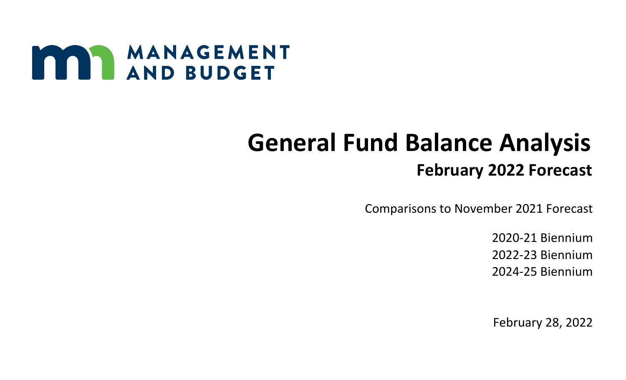

# **General Fund Balance Analysis February 2022 Forecast**

Comparisons to November 2021 Forecast

2020-21 Biennium 2022-23 Biennium 2024-25 Biennium

February 28, 2022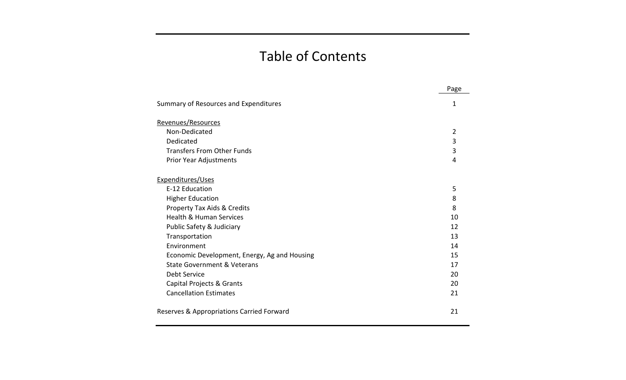# Table of Contents

|                                              | Page           |
|----------------------------------------------|----------------|
| Summary of Resources and Expenditures        | 1              |
| Revenues/Resources                           |                |
| Non-Dedicated                                | $\overline{2}$ |
| Dedicated                                    | 3              |
| <b>Transfers From Other Funds</b>            | 3              |
| Prior Year Adjustments                       | 4              |
| Expenditures/Uses                            |                |
| E-12 Education                               | 5              |
| <b>Higher Education</b>                      | 8              |
| Property Tax Aids & Credits                  | 8              |
| <b>Health &amp; Human Services</b>           | 10             |
| Public Safety & Judiciary                    | 12             |
| Transportation                               | 13             |
| Environment                                  | 14             |
| Economic Development, Energy, Ag and Housing | 15             |
| State Government & Veterans                  | 17             |
| <b>Debt Service</b>                          | 20             |
| Capital Projects & Grants                    | 20             |
| <b>Cancellation Estimates</b>                | 21             |
| Reserves & Appropriations Carried Forward    | 21             |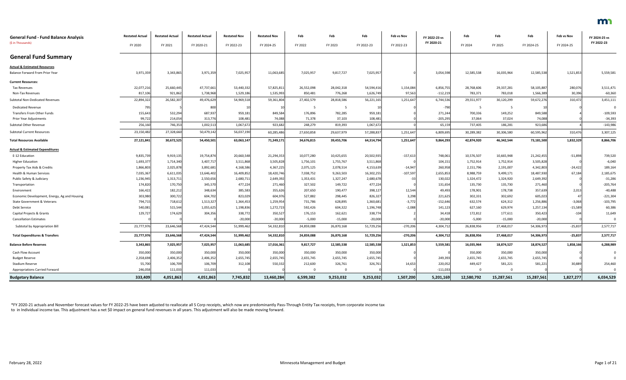| <b>General Fund - Fund Balance Analysis</b>  | <b>Restated Actual</b> | <b>Restated Actual</b> | <b>Restated Actual</b> | <b>Restated Nov</b> | <b>Restated Nov</b> | Feb        | Feb        | Feb        | <b>Feb vs Nov</b> | FY 2022-23 vs | Feb        | Feb        | Feb        | Feb vs Nov | FY 2024-25 vs |
|----------------------------------------------|------------------------|------------------------|------------------------|---------------------|---------------------|------------|------------|------------|-------------------|---------------|------------|------------|------------|------------|---------------|
| (\$ in Thousands)                            | FY 2020                | FY 2021                | FY 2020-21             | FY 2022-23          | FY 2024-25          | FY 2022    | FY 2023    | FY 2022-23 | FY 2022-23        | FY 2020-21    | FY 2024    | FY 2025    | FY 2024-25 | FY 2024-25 | FY 2022-23    |
| <b>General Fund Summary</b>                  |                        |                        |                        |                     |                     |            |            |            |                   |               |            |            |            |            |               |
| <b>Actual &amp; Estimated Resources</b>      |                        |                        |                        |                     |                     |            |            |            |                   |               |            |            |            |            |               |
| Balance Forward From Prior Year              | 3,971,359              | 3,343,865              | 3,971,359              | 7,025,95            | 11,063,685          | 7,025,957  | 9,817,727  | 7,025,957  |                   | 3,054,598     | 12,585,538 | 16,035,964 | 12,585,538 | 1,521,853  | 5,559,581     |
| <b>Current Resources:</b>                    |                        |                        |                        |                     |                     |            |            |            |                   |               |            |            |            |            |               |
| <b>Tax Revenues</b>                          | 22,077,216             | 25,660,445             | 47,737,661             | 53,440,332          | 57,825,811          | 26,552,098 | 28,042,318 | 54,594,416 | 1,154,084         | 6,856,755     | 28,768,606 | 29,337,281 | 58,105,887 | 280,076    | 3,511,471     |
| Non-Tax Revenues                             | 817,10                 | 921,862                | 1,738,968              | 1,529,186           | 1,535,993           | 850,481    | 776,268    | 1,626,749  | 97,563            | $-112,219$    | 783,371    | 783,018    | 1,566,389  | 30,396     | $-60,360$     |
| Subtotal Non-Dedicated Revenues              | 22,894,322             | 26,582,307             | 49,476,629             | 54,969,518          | 59,361,804          | 27,402,579 | 28,818,586 | 56,221,165 | 1,251,647         | 6,744,536     | 29,551,977 | 30,120,299 | 59,672,276 | 310,472    | 3,451,111     |
| <b>Dedicated Revenue</b>                     | 795                    |                        | 800                    |                     |                     | - 5        | -5         |            |                   | -790          | -5         | - 5        |            |            |               |
| Transfers From Other Funds                   | 155,643                | 532,294                | 687,937                | 959,181             | 849,584             | 176,896    | 782,285    | 959,181    |                   | 271,244       | 700,336    | 149,252    | 849,588    |            | $-109,593$    |
| Prior Year Adjustments                       | 99,72                  | 214,054                | 313,776                | 108,481             | 74,088              | 71,378     | 37,103     | 108,481    |                   | $-205,295$    | 37,064     | 37,024     | 74,088     |            | $-34,393$     |
| Subtotal Other Revenue                       | 256,16                 | 746,353                | 1,002,513              | 1,067,672           | 923,682             | 248,279    | 819,393    | 1,067,672  |                   | 65,159        | 737,405    | 186,281    | 923,686    |            | $-143,986$    |
| <b>Subtotal Current Resources</b>            | 23,150,48              | 27,328,660             | 50,479,142             | 56,037,190          | 60,285,486          | 27,650,858 | 29,637,979 | 57,288,837 | 1,251,647         | 6,809,695     | 30,289,382 | 30,306,580 | 60,595,962 | 310,476    | 3,307,125     |
| <b>Total Resources Available</b>             | 27,121,841             | 30,672,525             | 54,450,501             | 63,063,14           | 71,349,171          | 34,676,815 | 39,455,706 | 64,314,794 | 1,251,647         | 9,864,293     | 42,874,920 | 46,342,544 | 73,181,500 | 1,832,329  | 8,866,706     |
| <b>Actual &amp; Estimated Expenditures</b>   |                        |                        |                        |                     |                     |            |            |            |                   |               |            |            |            |            |               |
| E-12 Education                               | 9,835,739              | 9,919,135              | 19,754,874             | 20,660,548          | 21,294,353          | 10,077,280 | 10,425,655 | 20,502,935 | $-157,613$        | 748,061       | 10,576,507 | 10,665,948 | 21,242,455 | $-51,898$  | 739,520       |
| <b>Higher Education</b>                      | 1,693,37               | 1,714,340              | 3,407,717              | 3,511,868           | 3,505,828           | 1,756,101  | 1,755,767  | 3,511,868  |                   | 104,151       | 1,752,914  | 1,752,914  | 3,505,828  |            | $-6,040$      |
| Property Tax Aids & Credits                  | 1,866,803              | 2,025,878              | 3,892,681              | 4,168,586           | 4,367,225           | 2,075,125  | 2,078,514  | 4,153,639  | $-14,947$         | 260,958       | 2,151,796  | 2,191,007  | 4,342,803  | $-24,422$  | 189,164       |
| Health & Human Services                      | 7,035,367              | 6,611,035              | 13,646,402             | 16,409,852          | 18,420,746          | 7,038,752  | 9,263,503  | 16,302,255 | $-107,597$        | 2,655,853     | 8,988,759  | 9,499,171  | 18,487,930 | 67,184     | 2,185,675     |
| Public Safety & Judiciary                    | 1,236,945              | 1,313,711              | 2,550,656              | 2,680,71            | 2,649,392           | 1,353,431  | 1,327,247  | 2,680,678  | $-33$             | 130,022       | 1,324,472  | 1,324,920  | 2,649,392  |            | $-31,286$     |
| Transportation                               | 174,820                | 170,750                | 345,570                | 477,22              | 271,460             | 327,502    | 149,722    | 477,224    |                   | 131,654       | 135,730    | 135,730    | 271,460    |            | $-205,764$    |
| Environment                                  | 166,422                | 182,212                | 348,634                | 385,583             | 355,626             | 207,650    | 190,477    | 398,127    | 12,544            | 49,493        | 178,901    | 178,738    | 357,639    | 2,013      | $-40,488$     |
| Economic Development, Energy, Ag and Housing | 303,980                | 300,722                | 604,702                | 823,029             | 604,976             | 527,882    | 298,445    | 826,327    | 3,298             | 221,625       | 302,331    | 302,692    | 605,023    | 47         | $-221,304$    |
| <b>State Government &amp; Veterans</b>       | 794,71                 | 718,612                | 1,513,327              | 1,364,453           | 1,259,954           | 731,786    | 628,895    | 1,360,681  | $-3,772$          | $-152,646$    | 632,574    | 624,312    | 1,256,886  | $-3,068$   | $-103,795$    |
| Debt Service                                 | 540,081                | 515,544                | 1,055,625              | 1,198,836           | 1,272,723           | 592,426    | 604,322    | 1,196,748  | $-2,088$          | 141,123       | 627,160    | 629,974    | 1,257,134  | $-15,589$  | 60,386        |
| Capital Projects & Grants                    | 129,72                 | 174,629                | 304,356                | 338,772             | 350,527             | 176,153    | 162,621    | 338,774    |                   | 34,418        | 172,812    | 177,611    | 350,423    | $-104$     | 11,649        |
| <b>Cancellation Estimates</b>                |                        |                        |                        | $-20,000$           | $-20,000$           | -5,000     | $-15,000$  | $-20,000$  |                   | $-20,000$     | $-5,000$   | $-15,000$  | $-20,000$  |            | 0             |
| Subtotal by Appropriation Bill               | 23,777,976             | 23,646,568             | 47,424,544             | 51,999,462          | 54,332,810          | 24,859,088 | 26,870,168 | 51,729,256 | $-270,206$        | 4,304,712     | 26,838,956 | 27,468,017 | 54,306,973 | $-25,83$   | 2,577,717     |
| <b>Total Expenditures &amp; Transfers</b>    | 23,777,976             | 23,646,568             | 47,424,544             | 51,999,462          | 54,332,810          | 24,859,088 | 26,870,168 | 51,729,256 | $-270,206$        | 4,304,712     | 26,838,956 | 27,468,017 | 54,306,973 | $-25,837$  | 2,577,717     |
| <b>Balance Before Reserves</b>               | 3,343,865              | 7,025,957              | 7,025,957              | 11,063,685          | 17,016,361          | 9,817,727  | 12,585,538 | 12,585,538 | 1,521,853         | 5,559,581     | 16,035,964 | 18,874,527 | 18,874,527 | 1,858,166  | 6,288,989     |
| Cash Flow Account                            | 350,000                | 350,000                | 350,000                | 350,000             | 350,000             | 350,000    | 350,000    | 350,000    |                   |               | 350,000    | 350,000    | 350,000    |            |               |
| <b>Budget Reserve</b>                        | 2,358,698              | 2,406,352              | 2,406,352              | 2,655,745           | 2,655,745           | 2,655,745  | 2,655,745  | 2,655,745  |                   | 249,393       | 2,655,745  | 2,655,745  | 2,655,745  |            |               |
| <b>Stadium Reserve</b>                       | 55,700                 | 106,709                | 106,709                | 312,108             | 550,332             | 212,600    | 326,761    | 326,761    | 14,653            | 220,052       | 449,427    | 581,221    | 581,221    | 30,889     | 254,460       |
| <b>Appropriations Carried Forward</b>        | 246,058                | 111,033                | 111,033                |                     |                     |            |            |            |                   | $-111,033$    |            |            |            |            |               |
| <b>Budgetary Balance</b>                     | 333,409                | 4,051,863              | 4,051,863              | 7,745,832           | 13,460,284          | 6,599,382  | 9,253,032  | 9,253,032  | 1,507,200         | 5,201,169     | 12,580,792 | 15,287,561 | 15,287,561 | 1,827,277  | 6,034,529     |

\*FY 2020-21 actuals and November forecast values for FY 2022-25 have been adjusted to reallocate all S Corp receipts, which now are predominantly Pass-Through Entity Tax receipts, from corporate income tax to in Individual income tax. This adjustment has a net \$0 impact on general fund revenues in all years. This adjustment will also be made moving forward.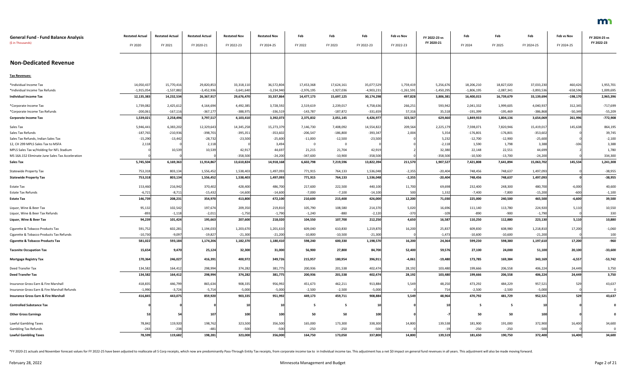| <b>General Fund - Fund Balance Analysis</b>                                          | <b>Restated Actual</b> | <b>Restated Actual</b> | <b>Restated Actual</b> | <b>Restated Nov</b> | <b>Restated Nov</b> | Feb          | Feb            | Feb         | Feb vs Nov   | FY 2022-23 vs   | Feb          | Feb          | Feb          | Feb vs Nov | FY 2024-25 vs |
|--------------------------------------------------------------------------------------|------------------------|------------------------|------------------------|---------------------|---------------------|--------------|----------------|-------------|--------------|-----------------|--------------|--------------|--------------|------------|---------------|
| (\$ in Thousands)                                                                    | FY 2020                | FY 2021                | FY 2020-21             | FY 2022-23          | FY 2024-25          | FY 2022      | FY 2023        | FY 2022-23  | FY 2022-23   | FY 2020-21      | FY 2024      | FY 2025      | FY 2024-25   | FY 2024-25 | FY 2022-23    |
| <b>Non-Dedicated Revenue</b>                                                         |                        |                        |                        |                     |                     |              |                |             |              |                 |              |              |              |            |               |
| <b>Tax Revenues:</b>                                                                 |                        |                        |                        |                     |                     |              |                |             |              |                 |              |              |              |            |               |
| *Individual Income Tax                                                               | 14,050,437             | 15,770,416             | 29,820,853             | 33,318,110          | 36,572,804          | 17,453,368   | 17,624,161     | 35,077,529  | 1,759,419    | 5,256,676       | 18,206,210   | 18,827,020   | 37,033,230   | 460,426    | 1,955,701     |
| *Individual Income Tax Refunds                                                       | $-1,915,054$           | $-1,537,882$           | $-3,452,936$           | $-3,641,640$        | $-3,234,940$        | $-2,976,195$ | $-1,927,036$   | $-4,903,23$ | $-1,261,591$ | $-1,450,295$    | $-1,806,195$ | $-2,087,341$ | $-3,893,536$ | $-658,596$ | 1,009,695     |
| <b>Individual Income Tax</b>                                                         | 12,135,383             | 14,232,534             | 26,367,917             | 29,676,470          | 33,337,864          | 14,477,173   | 15,697,125     | 30,174,298  | 497,828      | 3,806,381       | 16,400,015   | 16,739,679   | 33,139,694   | $-198,170$ | 2,965,396     |
| *Corporate Income Tax                                                                | 1,739,082              | 2,425,612              | 4,164,694              | 4,492,385           | 3,728,592           | 2,519,619    | 2,239,017      | 4,758,636   | 266,251      | 593,942         | 2,041,332    | 1,999,605    | 4,040,937    | 312,345    | $-717,699$    |
| *Corporate Income Tax Refunds                                                        | $-200,061$             | $-167,116$             | $-367,177$             | $-388,975$          | $-336,519$          | $-143,787$   | -187,872       | $-331,659$  | 57,316       | 35,518          | $-191,399$   | -195,469     | $-386,868$   | $-50,349$  | $-55,209$     |
| <b>Corporate Income Tax</b>                                                          | 1,539,021              | 2,258,496              | 3,797,517              | 4,103,410           | 3,392,073           | 2,375,832    | 2,051,145      | 4,426,977   | 323,567      | 629,460         | 1,849,933    | 1,804,136    | 3,654,069    | 261,996    | $-772,908$    |
| Sales Tax                                                                            | 5,946,441              | 6,383,202              | 12,329,643             | 14,345,258          | 15,273,379          | 7,146,730    | 7,408,092      | 14,554,822  | 209,564      | 2,225,179       | 7,598,071    | 7,820,946    | 15,419,017   | 145,638    | 864,195       |
| Sales Tax Refunds                                                                    | $-187,765$             | $-210,936$             | $-398,701$             | $-395,351$          | $-353,602$          | $-206,547$   | $-186,800$     | $-393,347$  | 2,004        | 5,354           | $-176,801$   | $-176,801$   | $-353,602$   |            | 39,745        |
| Sales Tax Refunds, Indian Sales Tax                                                  | $-15,290$              | $-13,442$              | $-28,732$              | $-23,500$           | $-25,600$           | $-11,000$    | $-12,500$      | $-23,500$   |              | 5,232           | $-12,700$    | $-12,900$    | $-25,600$    |            | $-2,100$      |
| 12, CH 299 MPLS Sales Tax to MSFA                                                    | 2,118                  |                        | 2,118                  |                     | 3,494               |              | $\overline{0}$ |             |              | $-2,11$         | 1,590        | 1,798        | 3,388        | $-106$     | 3,388         |
| MPLS Sales Tax w/Holding for NFL Stadium                                             |                        | 10,539                 | 10,539                 | 42,917              | 44,697              | 21,215       | 21,704         | 42,919      |              | 32,380          | 22,148       | 22,551       | 44,699       |            | 1,780         |
| MS 16A.152 Eliminate June Sales Tax Acceleration                                     |                        |                        |                        | $-358,500$          | $-24,200$           | $-347,600$   | $-10,900$      | $-358,500$  |              | $-358,500$      | $-10,500$    | $-13,700$    | $-24,200$    |            | 334,300       |
| <b>Sales Tax</b>                                                                     | 5,745,504              | 6,169,363              | 11,914,867             | 13,610,824          | 14,918,168          | 6,602,798    | 7,219,596      | 13,822,394  | 211,570      | 1,907,527       | 7,421,808    | 7,641,894    | 15,063,702   | 145,534    | 1,241,308     |
| <b>Statewide Property Tax</b>                                                        | 753,318                | 803,134                | 1,556,452              | 1,538,403           | 1,497,093           | 771,915      | 764,133        | 1,536,048   | $-2,355$     | $-20,404$       | 748,456      | 748,637      | 1,497,093    |            | $-38,955$     |
| <b>Statewide Property Tax</b>                                                        | 753,318                | 803,134                | 1,556,452              | 1,538,403           | 1,497,093           | 771,915      | 764,133        | 1,536,048   | $-2,355$     | $-20,404$       | 748,456      | 748,637      | 1,497,093    |            | $-38,955$     |
| Estate Tax                                                                           | 153,460                | 216,942                | 370,402                | 428,400             | 486,700             | 217,600      | 222,500        | 440,100     | 11,700       | 69,698          | 232,400      | 248,300      | 480,700      | $-6,000$   | 40,600        |
| <b>Estate Tax Refunds</b>                                                            | $-6,721$               | $-8,71.$               | $-15,432$              | $-14,600$           | $-14,600$           | $-7,000$     | $-7,100$       | $-14,100$   | 500          | 1,332           | $-7,400$     | $-7,800$     | $-15,200$    | $-600$     | $-1,100$      |
| <b>Estate Tax</b>                                                                    | 146,739                | 208,231                | 354,970                | 413,800             | 472,100             | 210,600      | 215,400        | 426,000     | 12,200       | 71,030          | 225,000      | 240,500      | 465,500      | $-6,600$   | 39,500        |
| Liquor, Wine & Beer Tax                                                              | 95,132                 | 102,542                | 197,674                | 209,350             | 219,810             | 105,790      | 108,580        | 214,370     | 5,020        | 16,696          | 111,140      | 113,780      | 224,920      | 5,110      | 10,550        |
| Liquor, Wine & Beer Tax Refunds                                                      | $-893$                 | $-1,118$               | $-2,011$               | $-1,750$            | $-1,790$            | $-1,240$     | -880           | $-2,120$    | $-370$       | $-109$          | $-890$       | $-900$       | $-1,790$     |            | 330           |
| Liquor, Wine & Beer Tax                                                              | 94,239                 | 101,424                | 195,663                | 207,600             | 218,020             | 104,550      | 107,700        | 212,250     | 4,650        | 16,587          | 110,250      | 112,880      | 223,130      | 5,110      | 10,880        |
| Cigarette & Tobacco Products Tax                                                     | 591,752                | 602,281                | 1,194,033              | 1,203,670           | 1,201,610           | 609,040      | 610,830        | 1,219,870   | 16,200       | 25,837          | 609,830      | 608,980      | 1,218,810    | 17,200     | $-1,060$      |
| Cigarette & Tobacco Products Tax Refunds                                             | $-10,730$              | $-9,097$               | $-19,827$              | $-21,300$           | $-21,200$           | $-10,800$    | -10,500        | $-21,300$   |              | $-1,473$        | $-10,600$    | $-10,600$    | $-21,200$    |            | 100           |
| <b>Cigarette &amp; Tobacco Products Tax</b>                                          | 581,022                | 593,184                | 1,174,206              | 1,182,370           | 1,180,410           | 598,240      | 600,330        | 1,198,570   | 16,200       | 24,364          | 599,230      | 598,380      | 1,197,610    | 17,200     | $-960$        |
| <b>Taconite Occupation Tax</b>                                                       | 15,654                 | 9,470                  | 25,124                 | 32,300              | 31,000              | 56,900       | 27,800         | 84,700      | 52,400       | 59,576          | 27,100       | 24,000       | 51,100       | 20,100     | $-33,600$     |
| <b>Mortgage Registry Tax</b>                                                         | 170,364                | 246,027                | 416,391                | 400,972             | 349,726             | 215,957      | 180,954        | 396,911     | $-4,061$     | $-19,480$       | 173,785      | 169,384      | 343,169      | $-6,557$   | $-53,742$     |
| Deed Transfer Tax                                                                    | 134,582                | 164,412                | 298,994                | 374,282             | 381,775             | 200,936      | 201,538        | 402,474     | 28,192       | 103,480         | 199,666      | 206,558      | 406,224      | 24,449     | 3,750         |
| <b>Deed Transfer Tax</b>                                                             | 134,582                | 164,412                | 298,994                | 374,282             | 381,775             | 200,936      | 201,538        | 402,474     | 28,192       | 103,480         | 199,666      | 206,558      | 406,224      | 24,449     | 3,750         |
|                                                                                      | 418,835                | 446,799                | 865,634                | 908,335             | 956,992             | 451,673      | 462,211        | 913,884     | 5,549        | 48,250          | 473,292      | 484,229      | 957,521      |            | 43,637        |
| Insurance Gross Earn & Fire Marshall<br>Insurance Gross Earn & Fire Marshall Refunds | $-1,990$               | $-3,724$               | $-5,714$               | $-5,000$            | $-5,000$            | $-2,500$     | $-2,500$       | $-5,000$    |              | 71 <sub>4</sub> | $-2,500$     | $-2,500$     | $-5,000$     | 529        | 0             |
| <b>Insurance Gross Earn &amp; Fire Marshall</b>                                      | 416,845                | 443,075                | 859,920                | 903,335             | 951,992             | 449,173      | 459,711        | 908,884     | 5,549        | 48,964          | 470,792      | 481,729      | 952,521      | 529        | 43,637        |
|                                                                                      |                        |                        |                        |                     |                     |              |                |             |              |                 |              |              |              |            |               |
| <b>Controlled Substance Tax</b>                                                      |                        |                        |                        |                     |                     | - 5          | - 5            |             |              |                 | 5            | - 5          |              |            |               |
| <b>Other Gross Earnings</b>                                                          |                        |                        | 107                    | 100                 | 100                 | 50           | 50             | 100         |              |                 | 50           | 50           | 100          |            |               |
| Lawful Gambling Taxes                                                                | 78,842                 | 119,920                | 198,762                | 323,500             | 356,500             | 165,000      | 173,300        | 338,300     | 14,800       | 139,538         | 181,900      | 191,000      | 372,900      | 16,400     | 34,600        |
| <b>Gambling Tax Refunds</b>                                                          | $-243$                 | $-238$                 | $-481$                 | $-500$              | $-500$              | $-250$       | $-250$         | $-500$      |              |                 | $-250$       | $-250$       | $-500$       |            | 0             |
| <b>Lawful Gambling Taxes</b>                                                         | 78,599                 | 119,682                | 198,281                | 323,000             | 356,000             | 164,750      | 173,050        | 337,800     | 14,800       | 139,519         | 181,650      | 190,750      | 372,400      | 16,400     | 34,600        |

\*FY 2020-21 actuals and November forecast values for FY 2022-25 have been adjusted to reallocate all S Corp receipts, which now are predominantly Pass-Through Entity Tax receipts, from corporate income tax to in Individual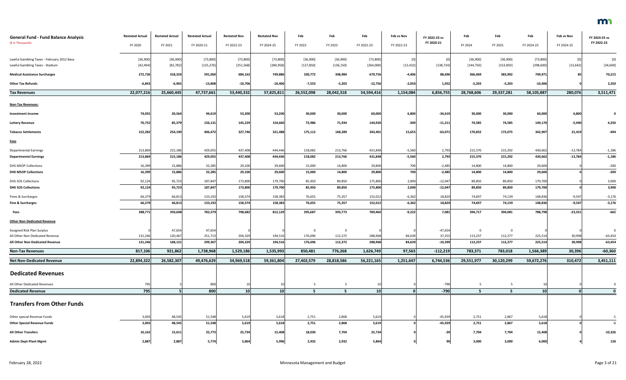| <b>General Fund - Fund Balance Analysis</b><br>(\$ in Thousands) | <b>Restated Actual</b><br>FY 2020 | <b>Restated Actual</b><br>FY 2021 | <b>Restated Actual</b><br>FY 2020-21 | <b>Restated Nov</b><br>FY 2022-23 | <b>Restated Nov</b><br>FY 2024-25 | Feb<br>FY 2022 | Feb<br>FY 2023 | Feb<br>FY 2022-23 | Feb vs Nov<br>FY 2022-23 | FY 2022-23 vs<br>FY 2020-21 | Feb<br>FY 2024 | Feb<br>FY 2025 | Feb<br>FY 2024-25 | Feb vs Nov<br>FY 2024-25 | FY 2024-25 vs<br>FY 2022-23 |
|------------------------------------------------------------------|-----------------------------------|-----------------------------------|--------------------------------------|-----------------------------------|-----------------------------------|----------------|----------------|-------------------|--------------------------|-----------------------------|----------------|----------------|-------------------|--------------------------|-----------------------------|
| Lawful Gambling Taxes - February 2012 Base                       | [36,900]                          | [36,900]                          | [73, 800]                            | [73,800]                          | [73,800]                          | [36,900]       | [36,900]       | [73,800]          | [0]                      |                             | [36,900]       | [36,900]       | [73, 800]         | [0]                      | [0]                         |
| Lawful Gambling Taxes - Stadium                                  | [42, 494]                         | $[82,782]$                        | [125, 276]                           | [251, 568]                        | [284, 958]                        | [127, 850]     | [136, 150]     | [264,000]         | [12, 432]                | [138, 724]                  | [144, 750]     | [153, 850]     | [298, 600]        | [13, 642]                | [34, 600]                   |
| <b>Medical Assistance Surcharges</b>                             | 272,736                           | 318,324                           | 591,060                              | 684,162                           | 749,886                           | 330,772        | 348,984        | 679,756           | $-4,406$                 | 88,696                      | 366,069        | 383,902        | 749,971           | 85                       | 70,215                      |
| <b>Other Tax Refunds</b>                                         | $-6,843$                          | $-6,965$                          | $-13,808$                            | $-10,706$                         | $-10,406$                         | $-7,553$       | $-5,203$       | $-12,756$         | $-2,050$                 | 1,052                       | $-5,203$       | $-5,203$       | $-10,406$         |                          | 2,350                       |
| <b>Tax Revenues</b>                                              | 22,077,216                        | 25,660,445                        | 47,737,661                           | 53,440,332                        | 57,825,811                        | 26,552,098     | 28,042,318     | 54,594,416        | 1,154,084                | 6,856,755                   | 28,768,606     | 29,337,281     | 58,105,887        | 280,076                  | 3,511,471                   |
| <b>Non-Tax Revenues:</b>                                         |                                   |                                   |                                      |                                   |                                   |                |                |                   |                          |                             |                |                |                   |                          |                             |
| <b>Investment Income</b>                                         | 74,055                            | 20,564                            | 94,619                               | 53,200                            | 53,200                            | 30,000         | 30,000         | 60,000            | 6,800                    | $-34,619$                   | 30,000         | 30,000         | 60,000            | 6,800                    |                             |
| <b>Lottery Revenue</b>                                           | 70,752                            | 85,379                            | 156,131                              | 145,229                           | 154,660                           | 72,986         | 71,934         | 144,920           | $-309$                   | $-11,211$                   | 74,585         | 74,585         | 149,170           | $-5,490$                 | 4,250                       |
| <b>Tobacco Settlements</b>                                       | 152,282                           | 254,190                           | 406,472                              | 327,746                           | 321,488                           | 175,112        | 168,289        | 343,401           | 15,655                   | $-63,071$                   | 170,832        | 172,075        | 342,907           | 21,419                   | $-494$                      |
| <b>Fees</b>                                                      |                                   |                                   |                                      |                                   |                                   |                |                |                   |                          |                             |                |                |                   |                          |                             |
| <b>Departmental Earnings</b>                                     | 213,869                           | 215,186                           | 429,055                              | 437,408                           | 444,446                           | 218,082        | 213,766        | 431,848           | $-5,560$                 | 2,793                       | 215,370        | 215,292        | 430,662           | $-13,784$                | $-1,186$                    |
| <b>Departmental Earnings</b>                                     | 213,869                           | 215,186                           | 429,055                              | 437,408                           | 444,446                           | 218,082        | 213,766        | 431,848           | $-5,560$                 | 2,793                       | 215,370        | 215,292        | 430,662           | $-13,784$                | $-1,186$                    |
| <b>DHS MSOP Collections</b>                                      | 16,399                            | 15,886                            | 32,285                               | 29,100                            | 29,600                            | 15,000         | 14,800         | 29,800            | 700                      | $-2,485$                    | 14,800         | 14,800         | 29,600            |                          | $-200$                      |
| <b>DHS MSOP Collections</b>                                      | 16,399                            | 15,886                            | 32,285                               | 29,100                            | 29,600                            | 15,000         | 14,800         | 29,800            | 700                      | $-2,485$                    | 14,800         | 14,800         | 29,600            |                          | $-200$                      |
| DHS SOS Collections                                              | 92,124                            | 95,723                            | 187,847                              | 173,800                           | 179,700                           | 85,950         | 89,850         | 175,800           | 2,000                    | $-12,047$                   | 89,850         | 89,850         | 179,700           |                          | 3,900                       |
| <b>DHS SOS Collections</b>                                       | 92,124                            | 95,723                            | 187,847                              | 173,800                           | 179,700                           | 85,950         | 89,850         | 175,800           | 2,000                    | $-12,047$                   | 89,850         | 89,850         | 179,700           |                          | 3,900                       |
| Fines & Surcharges                                               | 66,37                             | 66,81                             | 133,192                              | 158,374                           | 158,383                           | 76,655         | 75,357         | 152,012           | $-6,362$                 | 18,820                      | 74,697         | 74,139         | 148,836           | $-9,547$                 | $-3,176$                    |
| Fine & Surcharges                                                | 66,379                            | 66,813                            | 133,192                              | 158,374                           | 158,383                           | 76,655         | 75,357         | 152,012           | $-6,362$                 | 18,820                      | 74,697         | 74,139         | 148,836           | $-9,547$                 | $-3,176$                    |
| <b>Fees</b>                                                      | 388,771                           | 393,608                           | 782,379                              | 798,682                           | 812,129                           | 395,687        | 393,773        | 789,460           | $-9,222$                 | 7,081                       | 394,717        | 394,081        | 788,798           | $-23,331$                | $-662$                      |
| <b>Other Non-Dedicated Revenue</b>                               |                                   |                                   |                                      |                                   |                                   |                |                |                   |                          |                             |                |                |                   |                          |                             |
| Assigned Risk Plan Surplus                                       |                                   | 47,65                             | 47,654                               |                                   |                                   | 0              | 0              |                   |                          | $-47,654$                   | $\mathbf 0$    |                |                   |                          |                             |
| All Other Non-Dedicated Revenue                                  | 131,246                           | 120,46                            | 251,713                              | 204,329                           | 194,516                           | 176,696        | 112,272        | 288,968           | 84,639                   | 37,255                      | 113,237        | 112,277        | 225,514           | 30,998                   | $-63,454$                   |
| All Other Non-Dedicated Revenue                                  | 131,246                           | 168,121                           | 299,367                              | 204,329                           | 194,516                           | 176,696        | 112,272        | 288,968           | 84,639                   | $-10,399$                   | 113,237        | 112,277        | 225,514           | 30,998                   | $-63,454$                   |
| <b>Non-Tax Revenues</b>                                          | 817,106                           | 921,862                           | 1,738,968                            | 1,529,186                         | 1,535,993                         | 850,481        | 776,268        | 1,626,749         | 97,563                   | $-112,219$                  | 783,371        | 783,018        | 1,566,389         | 30,396                   | $-60,360$                   |
| <b>Net Non-Dedicated Revenue</b>                                 | 22,894,322                        | 26,582,307                        | 49,476,629                           | 54,969,518                        | 59,361,804                        | 27,402,579     | 28,818,586     | 56,221,165        | 1,251,647                | 6,744,536                   | 29,551,977     | 30,120,299     | 59,672,276        | 310,472                  | 3,451,111                   |
| <b>Dedicated Revenues</b>                                        |                                   |                                   |                                      |                                   |                                   |                |                |                   |                          |                             |                |                |                   |                          |                             |
| All Other Dedicated Revenues                                     | 795                               |                                   | 800                                  |                                   | 10                                | - 5            | - 5            |                   |                          | $-790$                      | - 5            | - 5            |                   |                          |                             |
| <b>Dedicated Revenue</b>                                         | 795                               |                                   | 800                                  | 10 <sup>1</sup>                   | 10 <sup>1</sup>                   | 5              | 5 <sup>5</sup> | 10                |                          | $-790$                      | 5              | 5              | 10 <sup>1</sup>   | $\mathbf{0}$             | $\mathbf{0}$                |
| <b>Transfers From Other Funds</b>                                |                                   |                                   |                                      |                                   |                                   |                |                |                   |                          |                             |                |                |                   |                          |                             |
| Other special Revenue Funds                                      | 3,003                             | 48,545                            | 51,548                               | 5,619                             | 5,618                             | 2,751          | 2,868          | 5,619             |                          | $-45,929$                   | 2,751          | 2,867          | 5,618             |                          | $-1$                        |
| <b>Other Special Revenue Funds</b>                               | 3,003                             | 48,545                            | 51,548                               | 5,619                             | 5,618                             | 2,751          | 2,868          | 5,619             |                          | $-45,929$                   | 2,751          | 2,867          | 5,618             |                          | $-1$                        |
| <b>All Other Transfers</b>                                       | 10,162                            | 15,61                             | 25,773                               | 25,734                            | 15,408                            | 18,030         | 7,704          | 25,734            |                          |                             | 7,704          | 7,704          | 15,408            |                          | $-10,326$                   |
| <b>Admin Dept-Plant Mgmt</b>                                     | 2,887                             | 2,887                             | 5,774                                | 5,864                             | 5,996                             | 2,932          | 2,932          | 5,864             |                          | 90                          | 3,000          | 3,000          | 6,000             |                          | 136                         |

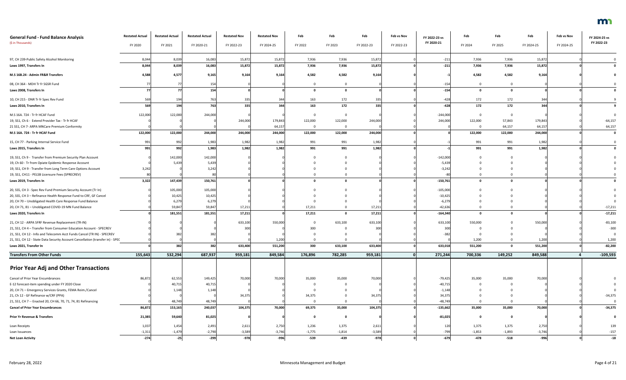| <b>General Fund - Fund Balance Analysis</b>                                                              | <b>Restated Actual</b> | <b>Restated Actual</b> | <b>Restated Actual</b> | <b>Restated Nov</b> | <b>Restated Nov</b> | Feb              | Feb          | Feb              | Feb vs Nov | FY 2022-23 vs | Feb              | Feb          | Feb              | Feb vs Nov | FY 2024-25 vs        |
|----------------------------------------------------------------------------------------------------------|------------------------|------------------------|------------------------|---------------------|---------------------|------------------|--------------|------------------|------------|---------------|------------------|--------------|------------------|------------|----------------------|
| (\$ in Thousands)                                                                                        | FY 2020                | FY 2021                | FY 2020-21             | FY 2022-23          | FY 2024-25          | FY 2022          | FY 2023      | FY 2022-23       | FY 2022-23 | FY 2020-21    | FY 2024          | FY 2025      | FY 2024-25       | FY 2024-25 | FY 2022-23           |
| 97, CH 239-Public Safety Alcohol Monitoring                                                              | 8,044                  | 8,03                   | 16,083                 | 15,872              | 15,872              | 7,936            | 7,936        | 15,872           |            | $-211$        | 7,936            | 7,936        | 15,872           |            |                      |
| Laws 1997, Transfers In                                                                                  | 8,044                  | 8,039                  | 16,083                 | 15,872              | 15,872              | 7,936            | 7,936        | 15,872           |            | $-211$        | 7,936            | 7,936        | 15,872           |            |                      |
| M.S 16B.24 - Admin FR&R Transfers                                                                        | 4,588                  | 4,577                  | 9,165                  | 9,164               | 9,164               | 4,582            | 4,582        | 9,164            |            |               | 4,582            | 4,582        | 9,164            |            |                      |
| 08, CH 364 - MDH Tr fr SGSR Fund                                                                         |                        |                        |                        |                     |                     |                  |              |                  |            | $-154$        | $\mathbf{0}$     | $\mathbf 0$  |                  |            |                      |
| Laws 2008, Transfers In                                                                                  |                        |                        | 154                    |                     |                     | - 0              | $\mathbf{0}$ |                  |            | $-154$        | $\mathbf{0}$     | $\mathbf 0$  |                  |            |                      |
| 10, CH 215 - DNR Tr fr Spec Rev Fund                                                                     |                        |                        | 763                    |                     |                     | 163              | 172          | 335              |            | $-428$        | 172              | 172          | 344              |            |                      |
| Laws 2010, Transfers In                                                                                  | 56                     | 194                    | 763                    | 335                 | 344                 | 163              | 172          | 335              |            | $-428$        | 172              | 172          | 344              |            |                      |
| M.S 16A. 724 - Tr fr HCAF Fund                                                                           | 122,000                | 122,000                | 244,000                |                     |                     |                  | -0           |                  |            | $-244,000$    | $\mathbf 0$      | $\Omega$     |                  |            |                      |
| 19, SS1, Ch 6 - Extend Provider Tax - Tr fr HCAF                                                         |                        |                        |                        | 244,000             | 179,843             | 122,000          | 122,000      | 244,000          |            | 244,000       | 122,000          | 57,843       | 179,843          |            | $-64,157$            |
| 21 SS1, CH 7- ARPA MNCare Premium Conformity                                                             |                        |                        |                        |                     | 64,157              | - 0              |              |                  |            |               | $\Omega$         | 64,157       | 64,157           |            | 64,157               |
| M.S 16A. 724 - Tr fr HCAF Fund                                                                           | 122,000                | 122,000                | 244,000                | 244,000             | 244,000             | 122,000          | 122,000      | 244,000          |            |               | 122,000          | 122,000      | 244,000          |            |                      |
| 15, CH 77 - Parking Internal Service Fund                                                                | 991                    | 992                    | 1,983                  | 1,982               | 1,982               | 991              | 991          | 1,982            |            |               | 991              | 991          | 1,982            |            |                      |
| Laws 2015, Transfers In                                                                                  | 991                    | 992                    | 1,983                  | 1,982               | 1,982               | 991              | 991          | 1,982            |            |               | 991              | 991          | 1,982            |            |                      |
| 19, SS1, Ch 9 - Transfer from Premium Security Plan Account                                              |                        | 142,000                | 142,000                |                     |                     |                  |              |                  |            | $-142,000$    |                  |              |                  |            |                      |
| 19, Ch 60 - Tr from Opiate Epidemic Response Account                                                     |                        | 5,439                  | 5,439                  |                     |                     |                  |              |                  |            | $-5,439$      |                  |              |                  |            |                      |
| 19, SS1, CH 9 - Transfer from Long Term Care Options Account                                             | 3,242                  |                        | 3,242                  |                     |                     |                  |              |                  |            | $-3,242$      |                  |              |                  |            |                      |
| 19, SS1, CH11 - PELSB Licensure Fees (SPRECREV)                                                          |                        |                        | 80                     |                     |                     |                  |              |                  |            |               | $\Omega$         |              |                  |            |                      |
| Laws 2019, Transfers In                                                                                  | 3,322                  | 147,439                | 150,761                |                     |                     |                  | 0            |                  |            | $-150,761$    | $\mathbf 0$      | <sup>0</sup> |                  |            |                      |
| 20, SS5, CH 3 - Spec Rev Fund Premium Security Account (Tr In)                                           |                        | 105,000                | 105,000                |                     |                     |                  |              |                  |            | $-105,000$    |                  |              |                  |            |                      |
| 20, SS5, CH 3 - Refinance Health Response Fund to CRF, GF Cancel                                         |                        | 10,425                 | 10,425                 |                     |                     |                  |              |                  |            | $-10,425$     |                  |              |                  |            |                      |
| 20, CH 70 - Unobligated Health Care Response Fund Balance                                                |                        | 6,279                  | 6,279                  |                     |                     |                  |              |                  |            | $-6,279$      |                  |              |                  |            |                      |
| 20, CH 71, 81 - Unobligated COVID-19 MN Fund Balance                                                     |                        |                        | 59,847                 |                     |                     |                  |              |                  |            | $-42,636$     | 0                |              |                  |            |                      |
| Laws 2020, Transfers In                                                                                  |                        | 59,847<br>181,551      | 181,551                | 17,211<br>17,211    |                     | 17,211<br>17,211 | $\Omega$     | 17,211<br>17,211 |            | $-164,340$    | $\mathbf 0$      | $\Omega$     |                  |            | -17,211<br>$-17,211$ |
| 21, CH 12 - ARPA SFRF Revenue Replacement (TR-IN)                                                        |                        |                        |                        |                     | 550,000             |                  |              |                  |            |               |                  |              |                  |            |                      |
|                                                                                                          |                        |                        |                        | 633,100             |                     |                  | 633,100      | 633,100          |            | 633,100       | 550,000          |              | 550,000          |            | $-83,100$            |
| 21, SS1, CH 4 - Transfer from Consumer Education Account - SPECREV                                       |                        |                        |                        |                     |                     | 300              |              |                  |            | 300           |                  |              |                  |            | $-300$               |
| 21, SS1, CH 12 - Info and Telecomm Acct Funds Cancel (TR IN) - SPECREV                                   |                        |                        |                        |                     |                     |                  |              |                  |            | $-382$        | $\Omega$         |              |                  |            | - 0                  |
| 21, SS1, CH 12 - State Data Security Account Cancellation (transfer in) - SPE(<br>Laws 2021, Transfer In |                        | 382                    | 382                    | 633,400             | 1,200<br>551,200    | 300              | 633,100      | 633,400          |            | 633,018       | 1,200<br>551,200 | $\mathbf{0}$ | 1,200<br>551,200 |            | 1,200<br>$-82,200$   |
| <b>Transfers From Other Funds</b>                                                                        |                        |                        |                        | 959,181             | 849,584             | 176,896          | 782,285      | 959,181          |            |               | 700,336          | 149,252      |                  |            |                      |
|                                                                                                          | 155,643                | 532,294                | 687,937                |                     |                     |                  |              |                  |            | 271,244       |                  |              | 849,588          |            | $-109,593$           |
| <b>Prior Year Adj and Other Transactions</b>                                                             |                        |                        |                        |                     |                     |                  |              |                  |            |               |                  |              |                  |            |                      |
| Cancel of Prior Year Encumbrances                                                                        | 86,872                 | 62,553                 | 149,425                | 70,000              | 70,000              | 35,000           | 35,000       | 70,000           |            | $-79,425$     | 35,000           | 35,000       | 70,000           |            |                      |
| E-12 forecast-item spending under FY 2020 Close                                                          |                        | 40,71                  | 40,71                  |                     |                     |                  |              |                  |            | $-40,715$     |                  |              |                  |            |                      |
| 20, CH 71 - Emergency Services Grants, FEMA Reim./Cancel                                                 |                        | 1,148                  | 1,148                  |                     |                     |                  |              |                  |            | $-1,148$      |                  |              |                  |            |                      |
| 21, Ch 12 - GF Refinance w/CRF (PPA)                                                                     |                        |                        |                        | 34,375              |                     | 34,375           |              | 34,375           |            | 34,375        |                  |              |                  |            | $-34,375$            |
| 21, SS1, CH 7 -- Enacted 20, CH 66, 70, 71, 74, 81 Refinancing                                           |                        | 48,749                 | 48,749                 |                     |                     |                  |              |                  |            | $-48,749$     | $\Omega$         |              |                  |            |                      |
| <b>Cancel of Prior Year Encumbrances</b>                                                                 | 86,872                 | 153,165                | 240,037                | 104,375             | 70,000              | 69,375           | 35,000       | 104,375          |            | $-135,662$    | 35,000           | 35,000       | 70,000           |            | $-34,375$            |
| <b>Prior Yr Revenue &amp; Transfers</b>                                                                  | 21,385                 | 59,640                 | 81,025                 |                     |                     |                  |              |                  |            | $-81,025$     |                  |              |                  |            |                      |
| Loan Receipts                                                                                            | 1,037                  | 1,454                  | 2,491                  | 2,611               | 2,750               | 1,236            | 1,375        | 2,611            |            | 120           | 1,375            | 1,375        | 2,750            |            | 139                  |
| Loan Issuances                                                                                           | $-1,31$                | $-1,479$               | $-2,790$               | $-3,589$            | $-3,746$            | $-1,775$         | $-1,814$     | $-3,589$         |            | -799          | $-1,853$         | $-1,893$     | $-3,746$         |            | $-157$               |
| <b>Net Loan Activity</b>                                                                                 | $-274$                 | $-25$                  | $-299$                 | $-978$              | $-996$              | -539             | $-439$       | $-978$           |            | $-679$        | $-478$           | $-518$       | $-996$           |            | $-18$                |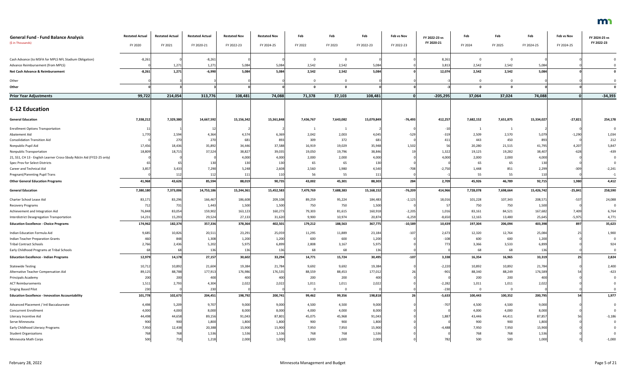| <b>General Fund - Fund Balance Analysis</b><br>(\$ in Thousands)      | <b>Restated Actual</b><br>FY 2020 | <b>Restated Actual</b><br>FY 2021 | <b>Restated Actual</b><br>FY 2020-21 | <b>Restated Nov</b><br>FY 2022-23 | <b>Restated Nov</b><br>FY 2024-25 | Feb<br>FY 2022 | Feb<br>FY 2023 | Feb<br>FY 2022-23 | Feb vs Nov<br>FY 2022-23 | FY 2022-23 vs<br>FY 2020-21 | Feb<br>FY 2024 | Feb<br>FY 2025 | Feb<br>FY 2024-25 | Feb vs Nov<br>FY 2024-25 | FY 2024-25 vs<br>FY 2022-23 |
|-----------------------------------------------------------------------|-----------------------------------|-----------------------------------|--------------------------------------|-----------------------------------|-----------------------------------|----------------|----------------|-------------------|--------------------------|-----------------------------|----------------|----------------|-------------------|--------------------------|-----------------------------|
|                                                                       |                                   |                                   |                                      |                                   |                                   |                |                |                   |                          |                             |                |                |                   |                          |                             |
| Cash Advance (to MSFA for MPLS NFL Stadium Obligation)                | $-8,261$                          |                                   | $-8,261$                             |                                   |                                   |                |                |                   |                          | 8,261                       | $\Omega$       |                |                   |                          |                             |
| Advance Reimbursement (from MPLS)                                     |                                   | 1,271                             | 1,271                                | 5,084                             | 5,084                             | 2,542          | 2,542          | 5,084             |                          | 3,813                       | 2,542          | 2,542          | 5,084             |                          |                             |
| Net Cash Advance & Reimbursement                                      | $-8,261$                          | 1,271                             | $-6,990$                             | 5,084                             | 5,084                             | 2,542          | 2,542          | 5,084             |                          | 12,074                      | 2,542          | 2,542          | 5,084             |                          |                             |
| Other                                                                 |                                   |                                   |                                      |                                   |                                   |                |                |                   |                          |                             | $\Omega$       |                |                   |                          |                             |
| Other                                                                 |                                   |                                   |                                      |                                   |                                   |                |                |                   |                          |                             | $\mathbf{0}$   | $\Omega$       |                   |                          |                             |
| <b>Prior Year Adjustments</b>                                         | 99,722                            | 214,054                           | 313,776                              | 108,481                           | 74,088                            | 71,378         | 37,103         | 108,481           |                          | $-205,295$                  | 37,064         | 37,024         | 74,088            | $\Omega$                 | $-34,393$                   |
|                                                                       |                                   |                                   |                                      |                                   |                                   |                |                |                   |                          |                             |                |                |                   |                          |                             |
| <b>E-12 Education</b>                                                 |                                   |                                   |                                      |                                   |                                   |                |                |                   |                          |                             |                |                |                   |                          |                             |
| <b>General Education</b>                                              | 7,338,212                         | 7,329,380                         | 14,667,592                           | 15,156,342                        | 15,361,848                        | 7,436,767      | 7,643,082      | 15,079,849        | $-76,493$                | 412,257                     | 7,682,152      | 7,651,875      | 15,334,027        | $-27,821$                | 254,178                     |
| <b>Enrollment Options Transportation</b>                              |                                   |                                   |                                      |                                   |                                   |                |                |                   |                          |                             |                |                |                   |                          |                             |
| Abatement Aid                                                         | 1,770                             | 2,594                             | 4,364                                | 4,57                              | 6,36                              | 2,042          | 2,003          | 4,045             | -529                     | $-319$                      | 2,509          | 2,570          | 5,079             | $-1,290$                 | 1,034                       |
| <b>Consolidation Transition Aid</b>                                   |                                   | 270                               | 270                                  | 681                               | 893                               | 309            | 372            | 681               |                          | 411                         | 443            | 450            | 893               |                          | 212                         |
| Nonpublic Pupil Aid                                                   | 17,456                            | 18,436                            | 35,892                               | 34,446                            | 37,588                            | 16,919         | 19,029         | 35,948            | 1,502                    | 56                          | 20,280         | 21,515         | 41,795            | 4,207                    | 5,847                       |
| Nonpublic Transportation                                              | 18,809                            | 18,715                            | 37,524                               | 38,82                             | 39,035                            | 19,050         | 19,796         | 38,846            |                          | 1,322                       | 19,125         | 19,282         | 38,40             | $-628$                   | $-439$                      |
| 21, SS1, CH 13 - English Learner Cross-Sbsdy Rdctn Aid (FY22-25 only) |                                   |                                   |                                      | 4,000                             | 4,000                             | 2,000          | 2,000          | 4,000             |                          | 4,000                       | 2,000          | 2,000          | 4,000             |                          |                             |
| Spec Prov for Select Districts                                        |                                   |                                   | 130                                  | 130                               | 130                               | 65             | 65             | 130               |                          |                             | 65             | 65             | 130               |                          |                             |
| Career and Technical Aid                                              | 3,85                              | 3,433                             | 7,290                                | 5,248                             | 2,608                             | 2,560          | 1,980          | 4,540             | $-708$                   | $-2,750$                    | 1,448          | 851            | 2,299             | $-309$                   | $-2,241$                    |
| <b>Pregnant/Parenting Pupil Trans</b>                                 |                                   | 112                               | 112                                  | 111                               | 110                               | 56             | 55             | 111               |                          |                             | 55             | 55             | 11(               |                          | $-1$                        |
| <b>Other General Education Programs</b>                               | 41,968                            | 43,626                            | 85,594                               | 88,019                            | 90,735                            | 43,002         | 45,301         | 88,303            | 284                      | 2,709                       | 45,926         | 46,789         | 92,715            | 1,980                    | 4,412                       |
| <b>General Education</b>                                              | 7,380,180                         | 7,373,006                         | 14,753,186                           | 15,244,361                        | 15,452,583                        | 7,479,769      | 7,688,383      | 15,168,152        | $-76,209$                | 414,966                     | 7,728,078      | 7,698,664      | 15,426,742        | $-25,841$                | 258,590                     |
| Charter School Lease Aid                                              | 83,17                             | 83,296                            | 166,467                              | 186,608                           | 209,108                           | 89,259         | 95,224         | 184,483           | $-2,125$                 | 18,016                      | 101,228        | 107,343        | 208,57            | $-537$                   | 24,088                      |
| Recovery Programs                                                     |                                   | 731                               | 1,443                                | 1,500                             | 1,500                             | 750            | 750            | 1,500             |                          |                             | 750            | 750            | 1,500             |                          |                             |
| Achievement and Integration Aid                                       | 76,848                            | 83,054                            | 159,902                              | 163,123                           | 160,273                           | 79,303         | 81,615         | 160,918           | $-2,205$                 | 1,016                       | 83,161         | 84,521         | 167,682           | 7,409                    | 6,764                       |
| Interdistrict Desegregation Transportation                            | 14,231                            | 15,293                            | 29,524                               | 27,133                            | 31,620                            | 9,900          | 10,974         | 20,874            | $-6,259$                 | $-8,650$                    | 12,165         | 13,480         | 25,645            | $-5,975$                 | 4,771                       |
| <b>Education Excellence - Choice Programs</b>                         | 174,962                           | 182,374                           | 357,336                              | 378,364                           | 402,501                           | 179,212        | 188,563        | 367,775           | $-10,589$                | 10,439                      | 197,304        | 206,094        | 403,398           | 897                      | 35,623                      |
| Indian Education Formula Aid                                          | 9,685                             | 10,826                            | 20,51                                | 23,291                            | 25,059                            | 11,295         | 11,889         | 23,184            | $-107$                   | 2,673                       | 12,320         | 12,764         | 25,084            | 25                       | 1,900                       |
| Indian Teacher Preparation Grants                                     | 460                               | 848                               | 1,308                                | 1,200                             | 1,200                             | 600            | 600            | 1,200             |                          | $-108$                      | 600            | 600            | 1,200             |                          |                             |
| <b>Tribal Contract Schools</b>                                        | 2,766                             | 2,436                             | 5,202                                | 5,975                             | 6,899                             | 2,808          | 3,167          | 5,975             |                          | 773                         | 3,366          | 3,533          | 6,899             |                          | 924                         |
| Early Childhood Programs at Tribal Schools                            |                                   |                                   | 136                                  | 136                               | 136                               | 68             | 68             | 136               |                          |                             | 68             | 68             | 136               |                          | 0                           |
| <b>Education Excellence - Indian Programs</b>                         | 12,979                            | 14,178                            | 27,157                               | 30,602                            | 33,294                            | 14,771         | 15,724         | 30,495            | $-107$                   | 3,338                       | 16,354         | 16,965         | 33,319            | 25                       | 2,824                       |
| <b>Statewide Testing</b>                                              | 10,712                            | 10,892                            | 21,604                               | 19,384                            | 21,784                            | 9,692          | 9,692          | 19,384            |                          | $-2,220$                    | 10,892         | 10,892         | 21,784            |                          | 2,400                       |
| Alternative Teacher Compensation Aid                                  | 89,125                            | 88,788                            | 177,913                              | 176,986                           | 176,535                           | 88,559         | 88,453         | 177,012           |                          | $-901$                      | 88,340         | 88,249         | 176,589           |                          | $-423$                      |
| Principals Academy                                                    | 200                               | 200                               | 400                                  | 400                               | 400                               | 200            | 200            | 400               |                          |                             | 200            | 200            | 400               |                          |                             |
| <b>ACT Reimbursements</b>                                             | 1,511                             | 2,793                             | 4,304                                | 2,022                             | 2,022                             | 1,011          | 1,011          | 2,022             |                          | $-2,282$                    | 1,011          | 1,011          | 2,022             |                          |                             |
| Singing Based Pilot                                                   | 230                               |                                   | 230                                  |                                   |                                   | 0              |                |                   |                          | $-230$                      | $\overline{0}$ |                |                   |                          |                             |
| <b>Education Excellence - Innovation Accountability</b>               | 101,778                           | 102,673                           | 204,451                              | 198,792                           | 200,741                           | 99,462         | 99,356         | 198,818           | 26                       | $-5,633$                    | 100,443        | 100,352        | 200,795           | 54                       | 1,977                       |
| Advanced Placement / Intl Baccalaureate                               | 4,498                             | 5,209                             | 9,707                                | 9,000                             | 9,000                             | 4,500          | 4,500          | 9,000             |                          | $-707$                      | 4,500          | 4,500          | 9,000             |                          |                             |
| <b>Concurrent Enrollment</b>                                          | 4,000                             | 4,000                             | 8,000                                | 8,000                             | 8,000                             | 4,000          | 4,000          | 8,000             |                          |                             | 4,000          | 4,000          | 8,000             |                          |                             |
| Literacy Incentive Aid                                                | 44,498                            | 44,658                            | 89,156                               | 91,043                            | 87,801                            | 45,075         | 45,968         | 91,043            |                          | 1,887                       | 43,446         | 44,411         | 87,857            |                          | $-3,186$                    |
| Serve Minnesota                                                       | 900                               | 900                               | 1,800                                | 1,800                             | 1,800                             | 900            | 900            | 1,800             |                          |                             | 900            | 900            | 1,800             |                          |                             |
| Early Childhood Literacy Programs                                     | 7,950                             | 12,438                            | 20,388                               | 15,900                            | 15,900                            | 7,950          | 7,950          | 15,900            |                          | $-4,488$                    | 7,950          | 7,950          | 15,900            |                          |                             |
| <b>Student Organizations</b>                                          |                                   | 768                               | 1,536                                | 1,536                             | 1,536                             | 768            | 768            | 1,536             |                          |                             | 768            | 768            | 1,536             |                          |                             |
| Minnesota Math Corps                                                  | 500                               | 718                               | 1,218                                | 2,000                             | 1,000                             | 1,000          | 1,000          | 2,000             |                          | 782                         | 500            | 500            | 1,000             |                          | $-1,000$                    |

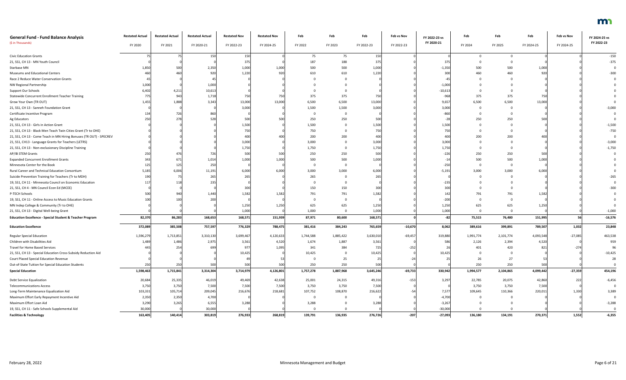| <b>General Fund - Fund Balance Analysis</b>                         | <b>Restated Actual</b> | <b>Restated Actual</b> | <b>Restated Actual</b> | <b>Restated Nov</b> | <b>Restated Nov</b> | Feb       | Feb       | Feb             | Feb vs Nov | FY 2022-23 vs | Feb       | Feb       | Feb        | Feb vs Nov | FY 2024-25 vs |
|---------------------------------------------------------------------|------------------------|------------------------|------------------------|---------------------|---------------------|-----------|-----------|-----------------|------------|---------------|-----------|-----------|------------|------------|---------------|
| (\$ in Thousands)                                                   | FY 2020                | FY 2021                | FY 2020-21             | FY 2022-23          | FY 2024-25          | FY 2022   | FY 2023   | FY 2022-23      | FY 2022-23 | FY 2020-21    | FY 2024   | FY 2025   | FY 2024-25 | FY 2024-25 | FY 2022-23    |
| <b>Civic Education Grants</b>                                       |                        |                        | 150                    | 150                 |                     | 75        | 75        | 15              |            |               |           |           |            |            | $-150$        |
| 21, SS1, CH 13 - MN Youth Council                                   |                        |                        |                        | 375                 |                     | 187       | 188       | 37 <sup>1</sup> |            | 375           |           |           |            |            | $-375$        |
| Starbase MN                                                         | 1,850                  | 500                    | 2,350                  | 1,000               | 1.000               | 500       | 500       | 1,000           |            | $-1,35$       | 500       | 500       | 1,000      |            |               |
| Museums and Educational Centers                                     |                        | 460                    | 920                    | 1,220               |                     | 610       | 610       | 1,220           |            | 30            | 460       | 460       | 920        |            |               |
| Race 2 Reduce Water Conservation Grants                             |                        |                        |                        |                     |                     |           |           |                 |            |               |           |           |            |            |               |
| NW Regional Partnership                                             | 1,000                  |                        | 1,000                  |                     |                     |           |           |                 |            | $-1,000$      |           |           |            |            |               |
| Support Our Schools                                                 | 6,40                   | 4,21                   | 10,613                 |                     |                     |           |           |                 |            | $-10,61$      |           |           |            |            |               |
| Statewide Concurrent Enrollment Teacher Training                    |                        | 943                    | 1,718                  | -750                |                     | 375       | 375       | 750             |            | -96           | 375       | 375       | 750        |            |               |
| Grow Your Own (TR OUT)                                              | 1,455                  | 1,888                  | 3,343                  | 13,000              | 13,000              | 6,500     | 6,500     | 13,000          |            | 9,65          | 6,500     | 6,500     | 13,000     |            |               |
| 21, SS1, CH 13 - Sanneh Foundation Grant                            |                        |                        |                        | 3,000               |                     | 1,500     | 1,500     | 3,000           |            | 3,000         |           |           |            |            | $-3,000$      |
| Certificate Incentive Program                                       |                        | 726                    |                        |                     |                     |           |           |                 |            |               |           |           |            |            |               |
| Ag Educators                                                        |                        | 278                    |                        | 500                 |                     | 250       | 250       | 50              |            |               | 250       | 250       | 500        |            |               |
| 21, SS1, CH 13 - Girls in Action Grant                              |                        |                        |                        | 1,500               |                     | 1,500     |           | 1,500           |            | 1,50          |           |           |            |            | $-1,500$      |
| 21, SS1, CH 13 - Black Men Teach Twin Cities Grant (Tr to OHE)      |                        |                        |                        | 750                 |                     | 750       |           |                 |            |               |           |           |            |            | $-750$        |
| 21, SS1, CH 13 - Come Teach in MN Hiring Bonuses (TR OUT) - SPECREV |                        |                        |                        | 40                  |                     | 200       | 200       | 40              |            | 40            | 200       | 200       | 400        |            |               |
| 21, SS1, CH13 - Language Grants for Teachers (LETRS)                |                        |                        |                        | 3,000               |                     | 3,000     |           | 3,000           |            | 3,000         |           |           |            |            | $-3,000$      |
| 21, SS1, CH 13 - Non-exclusionary Discipline Training               |                        |                        |                        | 1,750               |                     | 1,750     |           | 1,750           |            | 1,75          |           |           |            |            | $-1,750$      |
| AP/IB STEM Grants                                                   |                        | 476                    |                        | 500                 | 50                  | 250       | 250       | 500             |            | $-220$        | 250       | 250       | 500        |            |               |
| <b>Expanded Concurrent Enrollment Grants</b>                        |                        | 67:                    | 1,014                  | 1,000               | 1.000               | 500       | 500       | 1,000           |            |               | 500       | 500       | 1,000      |            |               |
| Minnesota Center for the Book                                       |                        |                        | 250                    |                     |                     |           |           |                 |            | $-25$         |           |           |            |            |               |
| Rural Career and Technical Education Consortium                     | 5,18                   | 6,006                  | 11,191                 | 6,000               | 6.00(               | 3,000     | 3,000     | 6,000           |            | $-5,19$       | 3,000     | 3,000     | 6,000      |            |               |
| Suicide Prevention Training for Teachers (Tr to MDH)                |                        |                        | 265                    | 265                 |                     | 265       |           | 26'             |            |               |           |           |            |            |               |
| 19, SS1, CH 11 - Minnesota Council on Economic Education            |                        |                        | 235                    |                     |                     |           |           |                 |            | $-23$         |           |           |            |            |               |
| 21, SS1, CH 4 - MN Council Econ Ed (MCEE)                           |                        |                        |                        | 30                  |                     | 150       | 150       |                 |            |               |           |           |            |            |               |
| P-TECH Schools                                                      |                        | 940                    | 1,440                  | 1,582               | 1,582               | 791       | 791       | 1,582           |            |               | 791       | 791       | 1,582      |            |               |
| 19, SS1, CH 11 - Online Access to Music Education Grants            |                        |                        | 200                    |                     |                     |           |           |                 |            |               |           |           |            |            |               |
| MN Indep College & Community (Tr to OHE)                            |                        |                        |                        | 1,250               | 1,250               | 625       | 625       | 1,250           |            | 1,250         | 625       | 625       | 1,250      |            |               |
| 21, SS1, CH 13 - Digital Well-being Grant                           |                        |                        |                        | 1,000               |                     | 1,000     | $\Omega$  | 1,000           |            | 1,000         | $\Omega$  |           |            |            | $-1,000$      |
| <b>Education Excellence - Special Student &amp; Teacher Program</b> | 82,370                 | 86,283                 | 168,653                | 168,571             | 151,939             | 87,971    | 80,600    | 168,571         |            |               | 75,515    | 76,480    | 151,995    | 56         | $-16,576$     |
| <b>Education Excellence</b>                                         | 372,089                | 385,508                | 757,597                | 776,329             | 788,475             | 381,416   | 384,243   | 765,659         | $-10,670$  | 8,062         | 389,616   | 399,891   | 789,507    | 1,032      | 23,848        |
| <b>Regular Special Education</b>                                    | 1,596,279              | 1,713,851              | 3,310,130              | 3,699,467           | 4,120,633           | 1,744,588 | 1,885,422 | 3,630,010       | $-69,457$  | 319,880       | 1,991,774 | 2,101,774 | 4,093,548  | $-27,085$  | 463,538       |
| Children with Disabilities Aid                                      | 1,489                  | 1,486                  | 2,975                  | 3,561               | 4,520               | 1,674     | 1,887     | 3,561           |            |               | 2,126     | 2,394     | 4,520      |            | 959           |
| <b>Travel for Home Based Services</b>                               |                        | 254                    |                        | 97                  | 1,095               | 341       | 384       | 725             | $-252$     |               | 401       | 420       | 82         | $-274$     | 96            |
| 21, SS1, CH 13 - Special Education Cross-Subsidy Reduction Aid      |                        |                        |                        | 10,425              |                     | 10,425    |           | 10,425          |            | 10,425        | $\Omega$  |           |            |            | $-10,425$     |
| Court Placed Special Education Revenue                              |                        |                        |                        |                     |                     |           | 25        |                 |            |               | 26        | 27        | 53         |            | 28            |
| Out-of-State Tuition for Special Education Students                 | 25                     | 250                    | 500                    | 500                 | 500                 | 250       | 250       | 500             |            |               | 250       | 250       | 500        |            |               |
| <b>Special Education</b>                                            | 1,598,463              | 1,715,841              | 3,314,304              | 3,714,979           | 4,126,801           | 1,757,278 | 1,887,968 | 3,645,246       | $-69,733$  | 330,942       | 1,994,577 | 2,104,865 | 4,099,442  | $-27,359$  | 454,196       |
| Debt Service Equalization                                           | 20,684                 | 25,335                 | 46,019                 | 49,469              | 42,638              | 25,001    | 24,315    | 49,316          | $-153$     | 3,297         | 22,785    | 20,075    | 42,860     | 222        | $-6,456$      |
| <b>Telecommunications Access</b>                                    | 3,750                  | 3,750                  | 7,500                  | 7,500               | 7,500               | 3,750     | 3,750     | 7,500           |            |               | 3,750     | 3,750     | 7,500      |            |               |
| Long-Term Maintenance Equalization Aid                              | 103,331                | 105,714                | 209,045                | 216,676             | 218,681             | 107,752   | 108,870   | 216,622         |            | 7,577         | 109,645   | 110,366   | 220,011    | 1,330      | 3,389         |
| Maximum Effort Early Repayment Incentive Aid                        | 2,350                  | 2,350                  | 4,700                  |                     |                     |           |           |                 |            | $-4,700$      |           |           |            |            |               |
| Maximum Effort Loan Aid                                             | 3,290                  | 3,265                  | 6,555                  | 3,288               |                     | 3,288     |           | 3,288           |            | $-3,26$       |           |           |            |            | $-3,288$      |
| 19, SS1, CH 11 - Safe Schools Supplemental Aid                      | 30,000                 |                        | 30,000                 |                     |                     |           |           |                 |            | $-30,000$     |           |           |            |            | $\Omega$      |
| <b>Facilities &amp; Technology</b>                                  | 163,405                | 140,414                | 303,819                | 276,933             | 268,819             | 139,791   | 136,935   | 276,726         | $-207$     | $-27,093$     | 136,180   | 134,191   | 270,371    | 1,552      | $-6,355$      |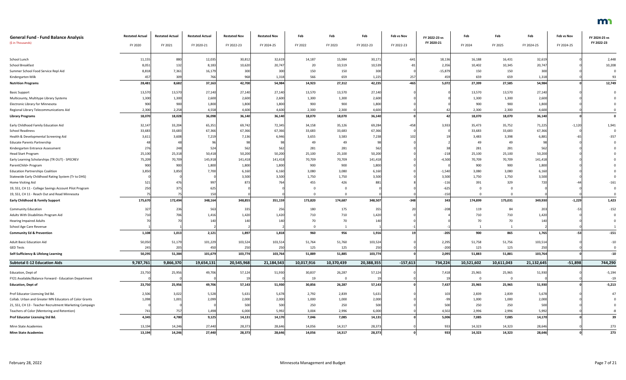| <b>General Fund - Fund Balance Analysis</b><br>(\$ in Thousands)                                        | <b>Restated Actual</b><br>FY 2020 | <b>Restated Actual</b><br>FY 2021 | <b>Restated Actual</b><br>FY 2020-21 | <b>Restated Nov</b><br>FY 2022-23 | <b>Restated Nov</b><br>FY 2024-25 | Feb<br>FY 2022 | Feb<br>FY 2023 | Feb<br>FY 2022-23 | Feb vs Nov<br>FY 2022-23 | FY 2022-23 vs<br>FY 2020-21 | Feb<br>FY 2024       | Feb<br>FY 2025       | Feb<br>FY 2024-25 | Feb vs Nov<br>FY 2024-25 | FY 2024-25 vs<br>FY 2022-23 |
|---------------------------------------------------------------------------------------------------------|-----------------------------------|-----------------------------------|--------------------------------------|-----------------------------------|-----------------------------------|----------------|----------------|-------------------|--------------------------|-----------------------------|----------------------|----------------------|-------------------|--------------------------|-----------------------------|
|                                                                                                         |                                   |                                   |                                      |                                   |                                   |                |                |                   |                          |                             |                      |                      |                   |                          |                             |
| School Lunch                                                                                            | 11,15                             | 880                               | 12,035                               | 30,81                             | 32,619                            | 14,187         | 15,984         | 30,171            | $-641$                   | 18,136                      | 16,188               | 16,431               | 32,61             |                          | 2,448                       |
| School Breakfast                                                                                        | 8,051                             | 13                                | 8,183                                | 10,620                            | 20,747                            | 20             | 10,519         | 10,539            | -8:                      | 2,356                       | 10,402               | 10,345               | 20,747            |                          | 10,208                      |
| Summer School Food Service Repl Aid                                                                     | 8,818                             | 7,36                              | 16,179                               | 300                               | 300                               | 150            | 150            | 300               |                          | $-15,879$                   | 150                  | 150                  | 300               |                          |                             |
| Kindergarten Milk                                                                                       | 45                                | 309                               | 766                                  | 968                               | 1,318                             | 566            | 659            | 1,225             | 257                      | 459                         | 659                  | 659                  | 1,31              |                          | 93                          |
| <b>Nutrition Programs</b>                                                                               | 28,481                            | 8,682                             | 37,163                               | 42,700                            | 54,984                            | 14,923         | 27,312         | 42,235            | $-465$                   | 5,072                       | 27,399               | 27,585               | 54,984            |                          | 12,749                      |
| <b>Basic Support</b>                                                                                    | 13,570                            | 13,570                            | 27,140                               | 27,140                            | 27,140                            | 13,570         | 13,570         | 27,140            |                          |                             | 13,570               | 13,570               | 27,140            |                          |                             |
| Multicounty, Multitype Library Systems                                                                  | 1,300                             | 1,300                             | 2,600                                | 2,600                             | 2,600                             | 1,300          | 1,300          | 2,600             |                          |                             | 1,300                | 1,300                | 2,600             |                          |                             |
| Electronic Library for Minnesota                                                                        | 900                               | 900                               | 1,800                                | 1,800                             | 1,800                             | 900            | 900            | 1,800             |                          |                             | 900                  | 900                  | 1,800             |                          |                             |
| Regional Library Telecommunications Aid                                                                 | 2,300                             | 2,258                             | 4,558                                | 4,600                             | 4,600                             | 2,300          | 2,300          | 4,600             |                          |                             | 2,300                | 2,300                | 4,600             |                          |                             |
| <b>Library Programs</b>                                                                                 | 18,070                            | 18,028                            | 36,098                               | 36,140                            | 36,140                            | 18,070         | 18,070         | 36,140            |                          | 42                          | 18,070               | 18,070               | 36,140            |                          |                             |
| Early Childhood Family Education Aid                                                                    | 32,147                            | 33,204                            | 65,351                               | 69,742                            | 72,345                            | 34,158         | 35,126         | 69,284            | $-458$                   | 3,933                       | 35,473               | 35,752               | 71,225            | $-1,120$                 | 1,941                       |
| <b>School Readiness</b>                                                                                 | 33,68                             | 33,68                             | 67,366                               | 67,366                            | 67,366                            | 33,683         | 33,683         | 67,366            |                          |                             | 33,683               | 33,683               | 67,366            |                          |                             |
| Health & Developmental Screening Aid                                                                    | 3,611                             | 3,60 <sub>o</sub>                 | 7,219                                | 7,136                             | 6,946                             | 3,655          | 3,583          | 7,238             | 102                      |                             | 3,483                | 3,398                | 6,88              |                          | $-357$                      |
| <b>Educate Parents Partnership</b>                                                                      |                                   |                                   | Qf                                   |                                   |                                   | 49             | 49             |                   |                          |                             | 49                   | 49                   |                   |                          |                             |
| Kindergarten Entrance Assessment                                                                        | 276                               | 248                               | 524                                  | 562                               | 562                               | 281            | 281            | 562               |                          |                             | 281                  | 281                  | 562               |                          |                             |
| <b>Head Start Program</b>                                                                               | 25,100                            | 25,318                            | 50,418                               | 50,200                            | 50,200                            | 25,100         | 25,100         | 50,200            |                          | $-218$                      | 25,100               | 25,100               | 50,200            |                          |                             |
| Early Learning Scholarships (TR OUT) - SPECREV                                                          | 75,209                            | 70,709                            | 145,918                              | 141,418                           | 141,418                           | 70,709         | 70,709         | 141,418           |                          | -4,500                      | 70,709               | 70,709               | 141,41            |                          |                             |
| ParentChild+ Program                                                                                    | 900                               | 900                               | 1,800                                | 1,800                             | 1,800                             | 900            | 900            | 1,800             |                          |                             | 900                  | 900                  | 1,800             |                          |                             |
| <b>Education Partnerships Coalition</b>                                                                 | 3,850                             | 3,85                              | 7,700                                | 6,160                             | 6,160                             | 3,080          | 3,080          | 6,160             |                          | $-1,540$                    | 3,080                | 3,080                | 6,160             |                          |                             |
| Statewide Early Childhood Rating System (Tr to DHS)                                                     |                                   | 47                                |                                      | 3,500<br>873                      | 3,500                             | 1,750          | 1,750          | 3,500             |                          | 3,500                       | 1,750                | 1,750                | 3,500             |                          |                             |
| Home Visiting Aid                                                                                       | 521                               | 37                                | 997<br>625                           |                                   | 764                               | 455            | 426            | 881               |                          | $-116$                      | 391                  | 329                  | 720               |                          | $-161$                      |
| 19, SS1, CH 11 - College Savings Account Pilot Program<br>19, SS1, CH 11 - Reach Out and Read Minnesota | 250                               |                                   | 150                                  |                                   |                                   |                |                |                   |                          | $-625$<br>$-150$            | $\Omega$<br>$\Omega$ | $\Omega$<br>$\Omega$ |                   |                          |                             |
|                                                                                                         |                                   |                                   |                                      |                                   |                                   |                |                |                   |                          |                             |                      |                      |                   |                          |                             |
| <b>Early Childhood &amp; Family Support</b>                                                             | 175,670                           | 172,494                           | 348,164                              | 348,855                           | 351,159                           | 173,820        | 174,687        | 348,507           | $-348$                   | 343                         | 174,899              | 175,031              | 349,930           | $-1,229$                 | 1,423                       |
| <b>Community Education</b>                                                                              |                                   | 236                               | 563                                  | 335                               | 256                               | 180            | 175            | 355               |                          | $-208$                      | 119                  | 84                   | 203               | -53                      | $-152$                      |
| Adults With Disabilities Program Aid                                                                    |                                   |                                   | 1,416                                | 1,420                             | 1,420                             | 710            | 710            | 1,420             |                          |                             | 710                  | 710                  | 1,420             |                          |                             |
| <b>Hearing Impaired Adults</b>                                                                          |                                   |                                   |                                      | 140                               | 140                               | 70             | 70             | 140               |                          |                             | $70\,$               | 70                   |                   |                          |                             |
| School Age Care Revenue                                                                                 |                                   |                                   |                                      |                                   |                                   |                |                |                   |                          |                             |                      |                      |                   |                          |                             |
| <b>Community Ed &amp; Prevention</b>                                                                    | 1,108                             | 1,013                             | 2,121                                | 1,897                             | 1,818                             | 960            | 956            | 1,916             | 19                       | $-205$                      | 900                  | 865                  | 1,765             | $-53$                    | $-151$                      |
| Adult Basic Education Aid                                                                               | 50,050                            | 51,179                            | 101,229                              | 103,524                           | 103,514                           | 51,764         | 51,760         | 103,524           |                          | 2,295                       | 51,758               | 51,756               | 103,514           |                          | $-10$                       |
| <b>GED Tests</b>                                                                                        | 245                               | 205                               | 450                                  | 250                               | 250                               | 125            | 125            | 250               |                          | $-200$                      | 125                  | 125                  | 250               |                          | - 0                         |
| Self-Sufficiency & Lifelong Learning                                                                    | 50,295                            | 51,384                            | 101,679                              | 103,774                           | 103,764                           | 51,889         | 51,885         | 103,774           |                          | 2,095                       | 51,883               | 51,881               | 103,764           |                          | $-10$                       |
| <b>Subtotal E-12 Education Aids</b>                                                                     | 9,787,761                         | 9,866,370                         | 19,654,131                           | 20,545,968                        | 21,184,543                        | 10,017,916     | 10,370,439     | 20,388,355        | $-157,613$               | 734,224                     | 10,521,602           | 10,611,043           | 21,132,645        | $-51,898$                | 744,290                     |
| Education, Dept of                                                                                      | 23,750                            | 25,95                             | 49,706                               | 57,124                            | 51,930                            | 30,837         | 26,287         | 57,124            |                          | 7,418                       | 25,965               | 25,965               | 51,930            |                          | $-5,194$                    |
| FY21 Available/Balance Forward - Education Department                                                   |                                   |                                   |                                      |                                   |                                   | 19             | $\Omega$       |                   |                          |                             | $\mathbf 0$          |                      |                   |                          | $-19$                       |
| <b>Education, Dept of</b>                                                                               | 23,750                            | 25,956                            | 49,706                               | 57,143                            | 51,930                            | 30,856         | 26,287         | 57,143            |                          | 7,437                       | 25,965               | 25,965               | 51,930            |                          | $-5,213$                    |
| Prof Educator Licensing Std Bd.                                                                         | 2,506                             | 3,022                             | 5,528                                | 5,631                             | 5,678                             | 2,792          | 2,839          | 5,631             |                          | 103                         | 2,839                | 2,839                | 5,678             |                          | 47                          |
| Collab. Urban and Greater MN Educators of Color Grants                                                  | 1,098                             | 1,001                             | 2,099                                | 2,000                             | 2,000                             | 1,000          | 1,000          | 2,000             |                          | -99                         | 1,000                | 1,000                | 2,000             |                          |                             |
| 21, SS1, CH 13 - Teacher Recruitment Marketing Campaign                                                 |                                   |                                   |                                      | 500                               | 500                               | 250            | 250            | 500               |                          | 500                         | 250                  | 250                  | 500               |                          |                             |
| Teachers of Color (Mentoring and Retention)                                                             | 741                               | 757                               | 1,498                                | 6,000                             | 5,992                             | 3,004          | 2,996          | 6,000             |                          | 4,502                       | 2,996                | 2,996                | 5,992             |                          |                             |
| Prof Educator Licensing Std Bd.                                                                         | 4,345                             | 4,780                             | 9,125                                | 14,131                            | 14,170                            | 7,046          | 7,085          | 14,131            |                          | 5,006                       | 7,085                | 7,085                | 14,170            |                          | 39                          |
| Minn State Academies                                                                                    | 13,194                            | 14,246                            | 27,440                               | 28,373                            | 28,646                            | 14,056         | 14,317         | 28,373            |                          | 933                         | 14,323               | 14,323               | 28,646            |                          | 273                         |
| <b>Minn State Academies</b>                                                                             | 13,194                            | 14,246                            | 27,440                               | 28,373                            | 28,646                            | 14,056         | 14,317         | 28,373            |                          | 933                         | 14,323               | 14,323               | 28,646            |                          | 273                         |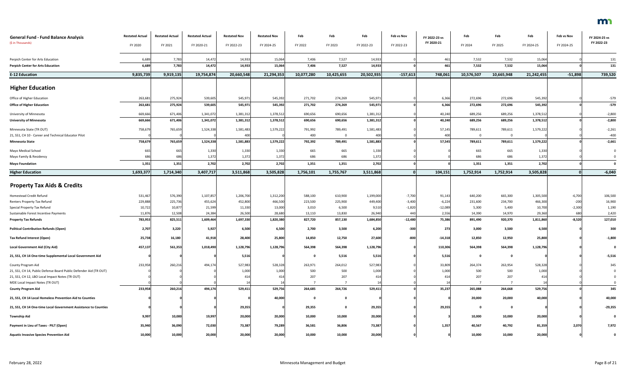| <b>General Fund - Fund Balance Analysis</b><br>(\$ in Thousands)  | <b>Restated Actual</b> | <b>Restated Actual</b> | <b>Restated Actual</b> | <b>Restated Nov</b> | <b>Restated Nov</b> | Feb        | Feb                 | Feb              | Feb vs Nov | FY 2022-23 vs<br>FY 2020-21 | Feb                    | Feb        | Feb        | Feb vs Nov | FY 2024-25 vs<br>FY 2022-23 |
|-------------------------------------------------------------------|------------------------|------------------------|------------------------|---------------------|---------------------|------------|---------------------|------------------|------------|-----------------------------|------------------------|------------|------------|------------|-----------------------------|
|                                                                   | FY 2020                | FY 2021                | FY 2020-21             | FY 2022-23          | FY 2024-25          | FY 2022    | FY 2023             | FY 2022-23       | FY 2022-23 |                             | FY 2024                | FY 2025    | FY 2024-25 | FY 2024-25 |                             |
| Perpich Center for Arts Education                                 | 6,68                   | 7,783                  | 14,472                 | 14,933              | 15,064              | 7,406      | 7,527               | 14,933           |            | 461                         | 7,532                  | 7,532      | 15,064     |            | 131                         |
| <b>Perpich Center for Arts Education</b>                          | 6,689                  | 7,783                  | 14,472                 | 14,933              | 15,064              | 7,406      | 7,527               | 14,933           |            | 461                         | 7,532                  | 7,532      | 15,064     |            | 131                         |
| <b>E-12 Education</b>                                             | 9,835,739              | 9,919,135              | 19,754,874             | 20,660,548          | 21,294,353          | 10,077,280 | 10,425,655          | 20,502,935       | $-157,613$ | 748,061                     | 10,576,507             | 10,665,948 | 21,242,455 | $-51,898$  | 739,520                     |
| <b>Higher Education</b>                                           |                        |                        |                        |                     |                     |            |                     |                  |            |                             |                        |            |            |            |                             |
| Office of Higher Education                                        | 263,68                 | 275,924                | 539,605                | 545,971             | 545,392             | 271,702    | 274,269             | 545,971          |            | 6,366                       | 272,696                | 272,696    | 545,392    |            | $-579$                      |
| <b>Office of Higher Education</b>                                 | 263,681                | 275,924                | 539,605                | 545,971             | 545,392             | 271,702    | 274,269             | 545,971          |            | 6,366                       | 272,696                | 272,696    | 545,392    |            | $-579$                      |
| University of Minnesota                                           | 669,666                | 671,406                | 1,341,072              | 1,381,312           | 1,378,512           | 690,656    | 690,656             | 1,381,312        |            | 40,240                      | 689,256                | 689,256    | 1,378,512  |            | $-2,800$                    |
| <b>University of Minnesota</b>                                    | 669,66                 | 671,406                | 1,341,072              | 1,381,312           | 1,378,512           | 690,656    | 690,656             | 1,381,312        |            | 40,240                      | 689,256                | 689,256    | 1,378,512  |            | $-2,800$                    |
|                                                                   |                        |                        |                        |                     |                     |            |                     |                  |            |                             |                        |            |            |            |                             |
| Minnesota State (TR OUT)                                          | 758,67                 | 765,659                | 1,524,338              | 1,581,483           | 1,579,222           | 791,992    | 789,491<br>$\Omega$ | 1,581,483        |            | 57,145<br>400               | 789,611<br>$\mathbf 0$ | 789,611    | 1,579,222  |            | $-2,261$                    |
| 21, SS1, CH 10 - Career and Technical Educator Pilot              | 758,67                 | 765,659                | 1,524,338              | 400<br>1,581,883    | 1,579,222           | 400        |                     | 400<br>1,581,883 |            | 57,545                      |                        | 789,611    | 1,579,222  |            | $-400$<br>$-2,661$          |
| <b>Minnesota State</b>                                            |                        |                        |                        |                     |                     | 792,392    | 789,491             |                  |            |                             | 789,611                |            |            |            |                             |
| Mayo Medical School                                               | 665                    | 665                    | 1,330                  | 1,330               | 1,330               | 665        | 665                 | 1,330            |            |                             | 665                    | 665        | 1,330      |            |                             |
| Mayo Family & Residency                                           | 686                    | 686                    | 1,372                  | 1,372               | 1,372               | 686        | 686                 | 1,372            |            |                             | 686                    | 686        | 1,372      |            |                             |
| <b>Mayo Foundation</b>                                            | 1,351                  | 1,351                  | 2,702                  | 2,702               | 2,702               | 1,351      | 1,351               | 2,702            |            |                             | 1,351                  | 1,351      | 2,702      |            |                             |
| <b>Higher Education</b>                                           | 1,693,377              | 1,714,340              | 3,407,717              | 3,511,868           | 3,505,828           | 1,756,101  | 1,755,767           | 3,511,868        |            | 104,151                     | 1,752,914              | 1,752,914  | 3,505,828  | -OI        | $-6,040$                    |
| <b>Property Tax Aids &amp; Credits</b>                            |                        |                        |                        |                     |                     |            |                     |                  |            |                             |                        |            |            |            |                             |
| Homestead Credit Refund                                           | 531,467                | 576,390                | 1,107,857              | 1,206,700           | 1,312,200           | 588,100    | 610,900             | 1,199,000        | $-7,700$   | 91,143                      | 640,200                | 665,300    | 1,305,500  | $-6,700$   | 106,500                     |
| Renters Property Tax Refund                                       | 229,888                | 225,736                | 455,624                | 452,800             | 466,500             | 223,500    | 225,900             | 449,400          | $-3,400$   | $-6,224$                    | 231,600                | 234,700    | 466,300    | $-200$     | 16,900                      |
| Special Property Tax Refund                                       | 10,722                 | 10,877                 | 21,599                 | 11,330              | 13,000              | 3,010      | 6,500               | 9,510            | $-1,820$   | $-12,089$                   | 5,300                  | 5,400      | 10,700     | $-2,300$   | 1,190                       |
| Sustainable Forest Incentive Payments                             | 11,876                 | 12,508                 | 24,384                 | 26,500              | 28,680              | 13,110     | 13,830              | 26,940           | 440        | 2,556                       | 14,390                 | 14,970     | 29,360     | 680        | 2,420                       |
| <b>Property Tax Refunds</b>                                       | 783,953                | 825,511                | 1,609,464              | 1,697,330           | 1,820,380           | 827,720    | 857,130             | 1,684,850        | $-12,480$  | 75,386                      | 891,490                | 920,370    | 1,811,860  | $-8,520$   | 127,010                     |
| <b>Political Contribution Refunds (Open)</b>                      | 2,707                  | 3,220                  | 5,927                  | 6,500               | 6,500               | 2,700      | 3,500               | 6,200            | $-300$     | 273                         | 3,000                  | 3,500      | 6,500      |            | 300                         |
| <b>Tax Refund Interest (Open)</b>                                 | 25,738                 | 16,180                 | 41,918                 | 28,400              | 25,800              | 14,850     | 12,750              | 27,600           | $-800$     | $-14,318$                   | 12,850                 | 12,950     | 25,800     |            | $-1,800$                    |
| <b>Local Government Aid (City Aid)</b>                            | 457,137                | 561,353                | 1,018,490              | 1,128,796           | 1,128,796           | 564,398    | 564,398             | 1,128,796        |            | 110,306                     | 564,398                | 564,398    | 1,128,796  |            |                             |
| 21, SS1, CH 14 One-time Supplemental Local Government Aid         |                        |                        |                        | 5,516               |                     |            | 5,516               | 5,516            |            | 5,516                       | 0                      |            |            |            | $-5,516$                    |
| County Program Aid                                                | 233,958                | 260,216                | 494,174                | 527,983             | 528,328             | 263,971    | 264,012             | 527,983          |            | 33,809                      | 264,374                | 263,954    | 528,328    |            | 345                         |
| 21, SS1, CH 14, Public Defense Board Public Defender Aid (TR OUT) |                        |                        |                        | 1,000               | 1,000               | 500        | 500                 | 1,000            |            | 1,000                       | 500                    | 500        | 1,000      |            |                             |
| 21, SS1, CH 12, LBO Local Impact Notes (TR OUT)                   |                        |                        |                        | 414                 |                     | 207        | 207                 |                  |            |                             | 207                    | 207        | 414        |            |                             |
| MDE Local Impact Notes (TR OUT)                                   |                        |                        |                        |                     |                     |            |                     |                  |            |                             |                        |            |            |            |                             |
| <b>County Program Aid</b>                                         | 233,958                | 260,216                | 494,174                | 529,411             | 529,756             | 264,685    | 264,726             | 529,411          |            | 35,237                      | 265,088                | 264,668    | 529,756    |            | 345                         |
| 21, SS1, CH 14 Local Homeless Prevention Aid to Counties          |                        |                        |                        |                     | 40,000              | - 0        |                     |                  |            |                             | 20,000                 | 20,000     | 40,000     |            | 40,000                      |
| 21, SS1, CH 14 One-time Local Government Assistance to Counties   |                        |                        |                        | 29,355              |                     | 29,355     |                     | 29,355           |            | 29,355                      | 0                      |            |            |            | $-29,355$                   |
| <b>Township Aid</b>                                               | 9,997                  | 10,000                 | 19,997                 | 20,000              | 20,000              | 10,000     | 10,000              | 20,000           |            |                             | 10,000                 | 10,000     | 20,000     |            |                             |
| Payment in Lieu of Taxes - PILT (Open)                            | 35,940                 | 36,090                 | 72,030                 | 73,387              | 79,289              | 36,581     | 36,806              | 73,387           |            | 1,357                       | 40,567                 | 40,792     | 81,359     | 2,070      | 7,972                       |
| <b>Aquatic Invasive Species Prevention Aid</b>                    | 10,000                 | 10,000                 | 20,000                 | 20,000              | 20,000              | 10,000     | 10,000              | 20,000           |            |                             | 10,000                 | 10,000     | 20,000     |            | 0                           |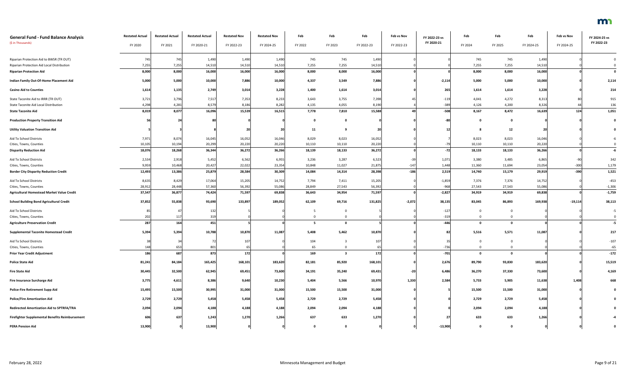| <b>General Fund - Fund Balance Analysis</b>            | <b>Restated Actual</b> | <b>Restated Actual</b> | <b>Restated Actual</b> | <b>Restated Nov</b> | <b>Restated Nov</b> | Feb       | Feb                     | Feb        | Feb vs Nov | FY 2022-23 vs | Feb          | Feb      | Feb        | Feb vs Nov | FY 2024-25 vs |
|--------------------------------------------------------|------------------------|------------------------|------------------------|---------------------|---------------------|-----------|-------------------------|------------|------------|---------------|--------------|----------|------------|------------|---------------|
| (\$ in Thousands)                                      | FY 2020                | FY 2021                | FY 2020-21             | FY 2022-23          | FY 2024-25          | FY 2022   | FY 2023                 | FY 2022-23 | FY 2022-23 | FY 2020-21    | FY 2024      | FY 2025  | FY 2024-25 | FY 2024-25 | FY 2022-23    |
| Riparian Protection Aid to BWSR (TR OUT)               | 745                    | 745                    | 1,490                  | 1,490               | 1,490               | 745       | 745                     | 1,490      |            |               | 745          | 745      | 1,490      |            |               |
| Riparian Protection Aid Local Distribution             | 7,255                  | 7,255                  | 14,510                 | 14,510              | 14,510              | 7,255     | 7,255                   | 14,510     |            |               | 7,255        | 7,255    | 14,510     |            |               |
| <b>Riparian Protection Aid</b>                         | 8,000                  | 8,000                  | 16,000                 | 16,000              | 16,000              | 8,000     | 8,000                   | 16,000     |            |               | 8,000        | 8,000    | 16,000     |            | $\mathbf 0$   |
| Indian Family Out-Of-Home Placement Aid                | 5,000                  | 5,000                  | 10,000                 | 7,886               | 10,000              | 4,337     | 3,549                   | 7,886      |            | $-2,114$      | 5,000        | 5,000    | 10,000     |            | 2,114         |
| <b>Casino Aid to Counties</b>                          | 1,614                  | 1,135                  | 2,749                  | 3,014               | 3,228               | 1,400     | 1,614                   | 3,014      |            | 265           | 1,614        | 1,614    | 3,228      |            | 214           |
| State Taconite Aid to IRRR (TR OUT)                    | 3,721                  | 3,796                  | 7,517                  | 7,353               | 8,233               | 3,643     | 3,755                   | 7,398      |            | $-119$        | 4,041        | 4,272    | 8,313      |            | 915           |
| State Taconite Aid Local Distribution                  | 4,298                  | 4,281                  | 8,579                  | 8,186               | 8,282               | 4,135     | 4,055                   | 8,190      |            | $-389$        | 4,126        | 4,200    | 8,326      | 44         | 136           |
| <b>State Taconite Aid</b>                              | 8,019                  | 8,077                  | 16,096                 | 15,539              | 16,515              | 7,778     | 7,810                   | 15,588     | 49         | $-508$        | 8,167        | 8,472    | 16,639     | 124        | 1,051         |
| <b>Production Property Transition Aid</b>              |                        |                        |                        |                     |                     | <u>ີດ</u> | $\Omega$                |            |            | -80           | 0            |          |            |            |               |
| <b>Utility Valuation Transition Aid</b>                |                        |                        |                        | 20                  | 20                  | 11        |                         | 20         |            | 12            |              | 12       |            |            |               |
| Aid To School Districts                                | 7,971                  | 8,074                  | 16,045                 | 16,052              | 16,046              | 8,029     | 8,023                   | 16,052     |            |               | 8,023        | 8,023    | 16,046     |            |               |
| Cities, Towns, Counties                                | 10,105                 | 10,194                 | 20,299                 | 20,220              | 20,220              | 10,110    | 10,110                  | 20,220     |            |               | 10,110       | 10,110   | 20,220     |            |               |
| <b>Disparity Reduction Aid</b>                         | 18,076                 | 18,268                 | 36,344                 | 36,272              | 36,266              | 18,139    | 18,133                  | 36,272     |            | $-72$         | 18,133       | 18,133   | 36,266     |            | $-6$          |
| Aid To School Districts                                | 2,534                  | 2,918                  | 5,452                  | 6,562               | 6,955               | 3,236     | 3,287                   | 6,523      | $-39$      | 1,071         | 3,380        | 3,485    | 6,865      | $-90$      | 342           |
| Cities, Towns, Counties                                | 9,959                  | 10,468                 | 20,427                 | 22,022              | 23,354              | 10,848    | 11,027                  | 21,875     | $-147$     | 1,448         | 11,360       | 11,694   | 23,054     | $-300$     | 1,179         |
| <b>Border City Disparity Reduction Credit</b>          | 12,493                 | 13,386                 | 25,879                 | 28,584              | 30,309              | 14,084    | 14,314                  | 28,398     | $-186$     | 2,519         | 14,740       | 15,179   | 29,919     | $-390$     | 1,521         |
| Aid To School Districts                                | 8,635                  | 8,429                  | 17,064                 | 15,205              | 14,752              | 7,794     | 7,411                   | 15,205     |            | $-1,859$      | 7,376        | 7,376    | 14,752     |            | $-453$        |
| Cities, Towns, Counties                                | 28,912                 | 28,448                 | 57,360                 | 56,392              | 55,086              | 28,849    | 27,543                  | 56,392     |            | $-968$        | 27,543       | 27,543   | 55,086     |            | $-1,306$      |
| <b>Agricultural Homestead Market Value Credit</b>      | 37,547                 | 36,877                 | 74,424                 | 71,597              | 69,838              | 36,643    | 34,954                  | 71,597     |            | $-2,827$      | 34,919       | 34,919   | 69,838     |            | $-1,759$      |
| <b>School Building Bond Agricultural Credit</b>        | 37,852                 | 55,838                 | 93,690                 | 133,897             | 189,052             | 62,109    | 69,716                  | 131,825    | $-2,072$   | 38,135        | 83,045       | 86,893   | 169,938    | $-19,114$  | 38,113        |
| Aid To School Districts                                | 85                     |                        | 132                    |                     |                     |           |                         |            |            | $-127$        | $\Omega$     |          |            |            |               |
| Cities, Towns, Counties                                | 202                    | 11                     | 319                    |                     |                     |           |                         |            |            | $-319$        | $\mathbf 0$  |          |            |            |               |
| <b>Agriculture Preservation Credit</b>                 | 287                    | 164                    | 451                    |                     |                     |           |                         |            |            | $-446$        | $\mathbf 0$  | $\Omega$ |            |            | $-5$          |
| <b>Supplemental Taconite Homestead Credit</b>          | 5,394                  | 5,394                  | 10,788                 | 10,870              | 11,087              | 5,408     | 5,462                   | 10,870     |            | 82            | 5,516        | 5,571    | 11,087     |            | 217           |
| Aid To School Districts                                |                        |                        |                        |                     |                     | 104       |                         | 107        |            |               | $\mathbf 0$  | 0        |            |            | $-107$        |
| Cities, Towns, Counties                                | 148                    | 653                    | 801                    |                     |                     | 65        | $\Omega$                | 65         |            | $-736$        | $\mathbf{0}$ | $\Omega$ |            |            | $-65$         |
| <b>Prior Year Credit Adjustment</b>                    | 186                    | 687                    | 873                    | 172                 |                     | 169       | $\overline{\mathbf{3}}$ | $172$      |            | $-701$        | $\mathbf 0$  | $\Omega$ |            |            | $-172$        |
| <b>Police State Aid</b>                                | 81,241                 | 84,184                 | 165,425                | 168,101             | 183,620             | 82,181    | 85,920                  | 168,101    |            | 2,676         | 89,790       | 93,830   | 183,620    |            | 15,519        |
| <b>Fire State Aid</b>                                  | 30,445                 | 32,500                 | 62,945                 | 69,451              | 73,600              | 34,191    | 35,240                  | 69,431     | $-20$      | 6,486         | 36,270       | 37,330   | 73,600     |            | 4,169         |
| Fire Insurance Surcharge Aid                           | 3,775                  | 4,611                  | 8,386                  | 9,640               | 10,230              | 5,404     | 5,566                   | 10,970     | 1,330      | 2,584         | 5,733        | 5,905    | 11,638     | 1,408      | 668           |
| <b>Police-Fire Retirement Supp Aid</b>                 | 15,495                 | 15,500                 | 30,995                 | 31,000              | 31,000              | 15,500    | 15,500                  | 31,000     |            |               | 15,500       | 15,500   | 31,000     |            |               |
| <b>Police/Fire Amortization Aid</b>                    | 2,729                  | 2,729                  | 5,458                  | 5,458               | 5,458               | 2,729     | 2,729                   | 5,458      |            |               | 2,729        | 2,729    | 5,458      |            |               |
| <b>Redirected Amortization Aid to SPTRFA/TRA</b>       | 2,094                  | 2,094                  | 4,188                  | 4,188               | 4,188               | 2,094     | 2,094                   | 4,188      |            |               | 2,094        | 2,094    | 4,188      |            |               |
| <b>Firefighter Supplemental Benefits Reimbursement</b> | 606                    | 637                    | 1,243                  | 1,270               | 1,266               | 637       | 633                     | 1,270      |            | 27            | 633          | 633      | 1,266      |            |               |
| <b>PERA Pension Aid</b>                                | 13,900                 |                        | 13,900                 |                     |                     |           | 0                       |            |            | $-13,900$     | $\mathbf{0}$ | 0        |            |            |               |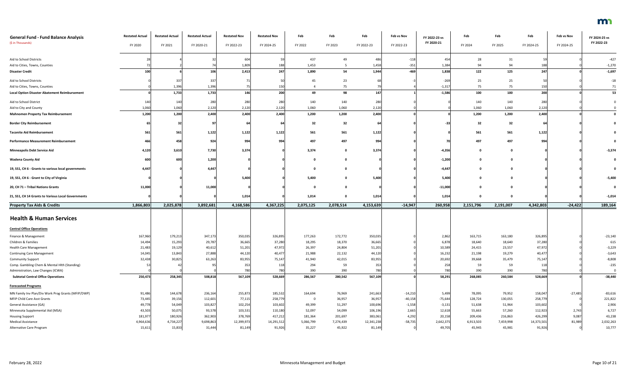| <b>General Fund - Fund Balance Analysis</b>          | <b>Restated Actual</b> | <b>Restated Actual</b> | <b>Restated Actual</b> | <b>Restated Nov</b> | <b>Restated Nov</b> | Feb       | Feb       | Feb        | Feb vs Nov | FY 2022-23 vs | Feb       | Feb       | Feb        | Feb vs Nov | FY 2024-25 vs |
|------------------------------------------------------|------------------------|------------------------|------------------------|---------------------|---------------------|-----------|-----------|------------|------------|---------------|-----------|-----------|------------|------------|---------------|
| (\$ in Thousands)                                    | FY 2020                | FY 2021                | FY 2020-21             | FY 2022-23          | FY 2024-25          | FY 2022   | FY 2023   | FY 2022-23 | FY 2022-23 | FY 2020-21    | FY 2024   | FY 2025   | FY 2024-25 | FY 2024-25 | FY 2022-23    |
| Aid to School Districts                              |                        |                        |                        | 604                 |                     | 437       | 49        | 48         | $-118$     | 454           | 28        | 31        | 50         |            | $-427$        |
| Aid to Cities, Towns, Counties                       |                        |                        |                        | 1,809               |                     | 1,453     |           | 1,458      | $-351$     | 1,384         | 94        | 94        | 188        |            | $-1,270$      |
| <b>Disaster Credit</b>                               |                        |                        | 106                    | 2,413               | 247                 | 1,890     | 54        | 1,944      | $-469$     | 1,838         | 122       | 125       | 247        |            | $-1,697$      |
| Aid to School Districts                              |                        | 337                    | 337                    |                     |                     | 45        | 23        |            |            | $-269$        | 25        | 25        | 50         |            | $-18$         |
| Aid to Cities, Towns, Counties                       |                        | 1,396                  | 1,396                  |                     |                     |           | 75        |            |            | $-1,317$      | 75        | 75        | 150        |            | 71            |
| <b>Local Option Disaster Abatement Reimbursement</b> |                        | 1,733                  | 1,733                  | 146                 | 200                 | 49        | 98        | 147        |            | $-1,586$      | 100       | 100       | 200        |            | 53            |
| Aid to School District                               | 140                    | 140                    | 280                    | 280                 | 280                 | 140       | 140       | 280        |            |               | 140       | 140       | 280        |            |               |
| Aid to City and County                               | 1,060                  | 1,060                  | 2,120                  | 2,120               | 2,120               | 1,060     | 1,060     | 2,120      |            |               | 1,060     | 1,060     | 2,120      |            |               |
| <b>Mahnomen Property Tax Reimbursement</b>           | 1,200                  | 1,200                  | 2,400                  | 2,400               | 2,400               | 1,200     | 1,200     | 2,400      |            |               | 1,200     | 1,200     | 2,400      |            |               |
| <b>Border City Reimbursement</b>                     |                        |                        |                        |                     |                     | 32        | 32        |            |            |               | 32        | 32        |            |            |               |
|                                                      |                        |                        |                        |                     |                     |           |           |            |            |               |           |           |            |            |               |
| <b>Taconite Aid Reimbursement</b>                    | 561                    | 561                    | 1,122                  | 1,122               | 1,122               | 561       | 561       | 1,122      |            |               | 561       | 561       | 1,122      |            |               |
| <b>Performance Measurement Reimbursement</b>         |                        | 458                    | 924                    | 994                 | 994                 | 497       | 497       | 994        |            |               | 497       | 497       | 994        |            |               |
| <b>Minneapolis Debt Service Aid</b>                  | 4,120                  | 3,610                  | 7,730                  | 3,374               |                     | 3,374     |           | 3,374      |            | $-4,35$       |           |           |            |            | $-3,374$      |
| <b>Wadena County Aid</b>                             |                        | 600                    | 1,200                  |                     |                     |           |           |            |            | $-1,200$      |           |           |            |            |               |
| 19, SS1, CH 6 - Grants to various local governments  | 4,447                  |                        | 4,447                  |                     |                     |           |           |            |            | -4,447        |           |           |            |            |               |
| 19, SS1, CH 6 - Grant to City of Virginia            |                        |                        |                        | 5,400               |                     | 5,400     |           | 5,400      |            | 5,400         |           |           |            |            | $-5,400$      |
| 20, CH 71 - Tribal Nations Grants                    | 11,000                 |                        | 11,000                 |                     |                     |           |           |            |            | $-11,000$     |           |           |            |            |               |
| 21, SS1, CH 14 Grants to Various Local Governments   |                        |                        |                        | 1,014               |                     | 1,014     |           | 1,014      |            | 1,014         |           |           |            |            | $-1,014$      |
| <b>Property Tax Aids &amp; Credits</b>               | 1,866,803              | 2,025,878              | 3,892,681              | 4,168,586           | 4,367,225           | 2,075,125 | 2,078,514 | 4,153,639  | $-14,947$  | 260,958       | 2,151,796 | 2,191,007 | 4,342,803  | $-24,422$  | 189,164       |
| <b>Health &amp; Human Services</b>                   |                        |                        |                        |                     |                     |           |           |            |            |               |           |           |            |            |               |
|                                                      |                        |                        |                        |                     |                     |           |           |            |            |               |           |           |            |            |               |
| <b>Central Office Operations</b>                     |                        |                        |                        |                     |                     |           |           |            |            |               |           |           |            |            |               |
| Finance & Management                                 | 167,960                | 179,213                | 347,173                | 350,035             | 326,895             | 177,263   | 172,772   | 350,035    |            | 2,862         | 163,715   | 163,180   | 326,895    |            | $-23,140$     |
| Children & Families                                  | 14,494                 | 15,293                 | 29,787                 | 36,665              | 37,280              | 18,295    | 18,370    | 36,665     |            | 6,878         | 18,640    | 18,640    | 37,280     |            | 615           |
| <b>Health Care Management</b>                        | 21,483                 | 19,129                 | 40,612                 | 51,201              | 47,972              | 26,397    | 24,804    | 51,201     |            | 10,589        | 24,415    | 23,557    | 47,972     |            | $-3,229$      |
| <b>Continuing Care Management</b>                    | 14,045                 | 13,843                 | 27,888                 | 44,120              | 40,477              | 21,988    | 22,132    | 44,120     |            | 16,232        | 21,198    | 19,279    | 40,477     |            | $-3,643$      |
| <b>Community Support</b>                             | 32,438                 | 30,825                 | 63,263                 | 83,955              | 75,147              | 41,940    | 42,015    | 83,955     |            | 20,692        | 39,668    | 35,479    | 75,147     |            | $-8,808$      |
| Comp. Gambling Chem & Mental Hlth (Standing)         |                        |                        |                        | 353                 | 118                 | 294       | 59        | 353        |            | 258           | 59        | 59        | 118        |            | $-235$        |
| Administration, Law Changes (ICWA)                   |                        |                        |                        | 780                 | 780                 | 390       | 390       | 780        |            | 780           | 390       | 390       | 780        |            |               |
| <b>Subtotal Central Office Operations</b>            | 250,473                | 258,345                | 508,818                | 567,109             | 528,669             | 286,567   | 280,542   | 567,109    |            | 58,291        | 268,085   | 260,584   | 528,669    |            | $-38,440$     |
| <b>Forecasted Programs</b>                           |                        |                        |                        |                     |                     |           |           |            |            |               |           |           |            |            |               |
| MN Family Inv Plan/Div Work Prog Grants (MFIP/DWP)   | 91,486                 | 144,678                | 236,164                | 255,873             | 185,532             | 164,694   | 76,969    | 241,663    | $-14,210$  | 5,499         | 78,095    | 79,952    | 158,047    | $-27,485$  | $-83,616$     |
| MFIP Child Care Asst Grants                          | 73,445                 | 39,156                 | 112,601                | 77,115              | 258,779             | - 0       | 36,957    | 36,957     | $-40,158$  | $-75,644$     | 128,724   | 130,055   | 258,779    |            | 221,822       |
| General Assistance (GA)                              | 49,778                 | 54,049                 | 103,827                | 102,254             | 103,602             | 49,399    | 51,297    | 100,696    | $-1,558$   | $-3,131$      | 51,638    | 51,964    | 103,602    |            | 2,906         |
| Minnesota Supplemental Aid (MSA)                     | 43,503                 | 50,075                 | 93,578                 | 103,531             | 110,180             | 52,097    | 54,099    | 106,196    | 2,665      | 12,618        | 55,663    | 57,260    | 112,923    | 2,743      | 6,727         |
| <b>Housing Support</b>                               | 181,977                | 180,926                | 362,903                | 378,769             | 417,212             | 181,364   | 201,697   | 383,061    | 4,292      | 20,158        | 209,436   | 216,863   | 426,299    | 9,087      | 43,238        |
| <b>Medical Assistance</b>                            | 4,964,636              | 4,734,227              | 9,698,863              | 12,399,973          | 14,291,512          | 5,066,799 | 7,274,439 | 12,341,238 | $-58,735$  | 2,642,375     | 6,913,503 | 7,459,998 | 14,373,501 | 81,989     | 2,032,263     |
| Alternative Care Program                             | 15,611                 | 15,833                 | 31,444                 | 81,149              | 91,926              | 35,227    | 45,922    | 81,149     |            | 49,705        | 45,945    | 45,981    | 91,926     |            | 10,777        |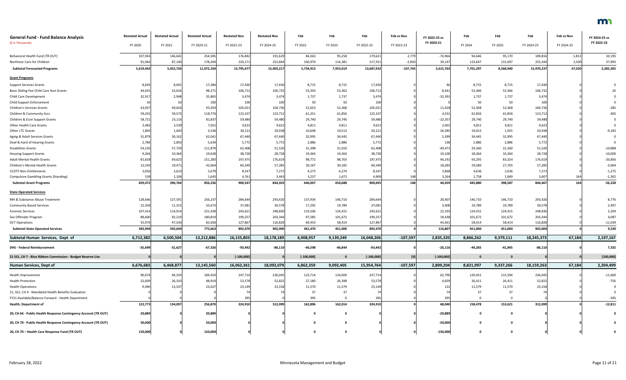| <b>General Fund - Fund Balance Analysis</b>                     | <b>Restated Actual</b> | <b>Restated Actual</b> | <b>Restated Actual</b> | <b>Restated Nov</b> | <b>Restated Nov</b> | Feb          | Feb          | Feb          | Feb vs Nov | FY 2022-23 vs | Feb          | Feb          | Feb        | Feb vs Nov | FY 2024-25 vs |
|-----------------------------------------------------------------|------------------------|------------------------|------------------------|---------------------|---------------------|--------------|--------------|--------------|------------|---------------|--------------|--------------|------------|------------|---------------|
| (\$ in Thousands)                                               | FY 2020                | FY 2021                | FY 2020-21             | FY 2022-23          | FY 2024-25          | FY 2022      | FY 2023      | FY 2022-23   | FY 2022-23 | FY 2020-21    | FY 2024      | FY 2025      | FY 2024-25 | FY 2024-25 | FY 2022-23    |
| Behavioral Health Fund (TR OUT)                                 | 107,94                 | 146,642                | 254,585                | 176,842             | 191,629             | 84,363       | 95,258       | 179,621      | 2,779      | $-74,964$     | 94,646       | 95,170       | 189,816    | $-1,813$   | 10,195        |
| Northstar Care for Children                                     | 91,06                  | 87,140                 | 178,204                | 220,171             | 252,844             | 100,970      | 116,381      | 217,351      | $-2,820$   | 39,147        | 123,647      | 131,697      | 255,344    | 2,500      | 37,993        |
| <b>Subtotal Forecasted Programs</b>                             | 5,619,443              | 5,452,726              | 11,072,169             | 13,795,677          | 15,903,217          | 5,734,913    | 7,953,019    | 13,687,932   | $-107,745$ | 2,615,763     | 7,701,297    | 8,268,940    | 15,970,237 | 67,020     | 2,282,305     |
| <b>Grant Programs</b>                                           |                        |                        |                        |                     |                     |              |              |              |            |               |              |              |            |            |               |
| <b>Support Services Grants</b>                                  | 8,693                  | 8,691                  | 17,384                 | 17,430              | 17,430              | 8,715        | 8,715        | 17,430       |            | 46            | 8,715        | 8,715        | 17,430     |            |               |
| Basic Sliding Fee Child Care Asst Grants                        | 44,65                  | 53,61                  | 98,271                 | 106,712             | 106,732             | 53,350       | 53,362       | 106,712      |            | 8,441         | 53,366       | 53,366       | 106,732    |            |               |
| <b>Child Care Development</b>                                   | 32,91                  | 2,948                  | 35,865                 | 3,474               | 3,474               | 1,737        | 1,737        | 3,474        |            | $-32,391$     | 1,737        | 1,737        | 3,474      |            |               |
| Child Support Enforcement                                       |                        |                        | 100                    | 100                 | 100                 | 50           | 50           | 100          |            |               | 50           | 50           | 100        |            |               |
| <b>Children's Services Grants</b>                               | 43,93                  | 49,656                 | 93,593                 | 105,021             | 104,736             | 52,653       | 52,368       | 105,021      |            | 11,428        | 52,368       | 52,368       | 104,736    |            | $-285$        |
| Children & Community Svcs                                       | 59,201                 | 59,575                 | 118,776                | 123,107             | 123,712             | 61,251       | 61,856       | 123,107      |            | 4,331         | 61,856       | 61,856       | 123,712    |            | 605           |
| Children & Econ Support Grants                                  | 58,72                  | 23,11                  | 81,837                 | 59,480              | 59,480              | 29,740       | 29,740       | 59,480       |            | $-22,357$     | 29,740       | 29,740       | 59,480     |            |               |
| Other Health Care Grants                                        | 3,482                  | 3,539                  | 7,021                  | 9,622               | 9,622               | 4,811        | 4,811        | 9,622        |            | 2,601         | 4,811        | 4,811        | 9,622      |            |               |
| Other LTC Grants                                                | 1,893                  | 1,643                  | 3,536                  | 30,121              | 20,938              | 10,608       | 19,513       | 30,121       |            | 26,585        | 19,013       | 1,925        | 20,938     |            | $-9,183$      |
| Aging & Adult Services Grants                                   | 31,87                  | 30,162                 | 62,041                 | 67,440              | 67,440              | 32,995       | 34,445       | 67,440       |            | 5,399         | 34,445       | 32,995       | 67,440     |            |               |
| Deaf & Hard of Hearing Grants                                   | 2,784                  | 2,850                  | 5,634                  | 5,772               | 5,772               | 2,886        | 2,886        | 5,772        |            | 138           | 2,886        | 2,886        | 5,772      |            |               |
| <b>Disabilities Grants</b>                                      | 54,15                  | 57,729                 | 111,879                | 62,408              | 51,520              | 31,398       | 31,010       | 62,408       |            | $-49,47$      | 29,260       | 22,260       | 51,520     |            | $-10,888$     |
| <b>Housing Support Grants</b>                                   | 9,264                  | 10,364                 | 19,628                 | 38,728              | 28,728              | 19,364       | 19,364       | 38,728       |            | 19,100        | 18,364       | 10,364       | 28,728     |            | $-10,000$     |
| <b>Adult Mental Health Grants</b>                               | 81,658                 | 69,625                 | 151,283                | 197,475             | 176,619             | 98,772       | 98,703       | 197,475      |            | 46,192        | 93,295       | 83,324       | 176,619    |            | $-20,856$     |
| Children's Mental Health Grants                                 | 22,59                  | 19,47                  | 42,064                 | 60,349              | 57,285              | 30,167       | 30,182       | 60,349       |            | 18,285        | 29,580       | 27,705       | 57,285     |            | $-3,064$      |
| <b>CCDTF Non-Entitlements</b>                                   | 3,050                  | 2,623                  | 5,679                  | 8,547               | 7,272               | 4,273        | 4,274        | 8,547        |            | 2,868         | 4,636        | 2,636        | 7,272      |            | $-1,275$      |
| <b>Compulsive Gambling Grants (Standing)</b>                    | 539                    | 1,106                  | 1,645                  | 4,761               | 3,443               | 3,237        | 1,672        | 4,909        | 148        | 3,264         | 1,758        | 1,849        | 3,607      | 164        | $-1,302$      |
| <b>Subtotal Grant Programs</b>                                  | 459,472                | 396,764                | 856,236                | 900,547             | 844,303             | 446,007      | 454,688      | 900,695      | 148        | 44,459        | 445,880      | 398,587      | 844,467    | 164        | $-56,228$     |
| <b>State Operated Services</b>                                  |                        |                        |                        |                     |                     |              |              |              |            |               |              |              |            |            |               |
|                                                                 |                        |                        |                        |                     |                     |              |              |              |            |               |              |              |            |            |               |
| MH & Substance Abuse Treatment                                  | 128,646                | 127,591                | 256,237                | 284,644             | 293,420             | 137,934      | 146,710      | 284,644      |            | 28,407        | 146,710      | 146,710      | 293,420    |            | 8,776         |
| <b>Community Based Services</b>                                 | 22,358                 | 11,315                 | 33,673                 | 37,081              | 39,578              | 17,292       | 19,789       | 37,081       |            | 3,408         | 19,789       | 19,789       | 39,578     |            | 2,497         |
| <b>Forensic Services</b>                                        | 107,414                | 114,014                | 221,428                | 243,621             | 248,830             | 119,206      | 124,415      | 243,621      |            | 22,193        | 124,415      | 124,415      | 248,830    |            | 5,209         |
| Sex Offender Program                                            | 88,60                  | 92,21                  | 180,81                 | 199,257             | 203,344             | 97,585       | 101,672      | 199,257      |            | 18,438        | 101,672      | 101,672      | 203,344    |            | 4,087         |
| <b>DCT Operations</b>                                           | 35,97                  | 47,530                 | 83,506                 | 127,867             | 116,828             | 69,453       | 58,414       | 127,867      |            | 44,361        | 58,414       | 58,414       | 116,828    |            | $-11,039$     |
| <b>Subtotal State Operated Services</b>                         | 382,994                | 392,669                | 775,663                | 892,470             | 902,000             | 441,470      | 451,000      | 892,470      |            | 116,807       | 451,000      | 451,000      | 902,000    |            | 9,530         |
| Subtotal Human Services, Dept of                                | 6,712,382              | 6,500,504              | 13,212,886             | 16,155,803          | 18,178,189          | 6,908,957    | 9,139,249    | 16,048,206   | $-107,597$ | 2,835,320     | 8,866,262    | 9,379,111    | 18,245,373 | 67,184     | 2,197,167     |
| <b>DHS - Federal Reimbursement</b>                              | $-35,699$              | $-31,627$              | $-67,326$              | $-93,442$           | $-86,110$           | $-46,598$    | $-46,844$    | $-93,442$    |            | $-26,116$     | $-44,265$    | $-41,845$    | $-86,110$  |            | 7,332         |
| 21 SS1, CH 7 - Blue Ribbon Commission - Budget Reserve Use      |                        |                        |                        | $[-100,000]$        |                     | $[-100,000]$ | $\mathbf{0}$ | $[-100,000]$ | [0]        | $[-100,000]$  | $\mathbf{0}$ | $\mathbf{0}$ |            |            | [100,000]     |
| Human Services, Dept of                                         | 6,676,683              | 6,468,877              | 13,145,560             | 16,062,361          | 18,092,079          | 6,862,359    | 9,092,405    | 15,954,764   | $-107,597$ | 2,809,204     | 8,821,997    | 9,337,266    | 18,159,263 | 67,184     | 2,204,499     |
| Health Improvement                                              | 90,67                  | 94,250                 | 184,924                | 247,714             | 236,045             | 123,714      | 124,000      | 247,714      |            | 62,790        | 120,451      | 115,594      | 236,045    |            | $-11,669$     |
| <b>Health Protection</b>                                        | 22,60                  | 26,310                 | 48,91                  | 53,578              | 52,822              | 27,180       | 26,398       | 53,578       |            | 4,659         | 26,411       | 26,411       | 52,822     |            | $-756$        |
| <b>Health Operations</b>                                        | 9,49                   | 13,537                 | 23,02                  | 23,149              | 23,158              | 11,570       | 11,579       | 23,149       |            |               | 11,579       | 11,579       | 23,158     |            |               |
| 21, SS1, CH 4 - Mandated Health Benefits Evaluation             |                        |                        |                        |                     |                     | 37           | 37           |              |            |               | 37           | 37           |            |            |               |
| FY21 Available/Balance Forward - Health Department              |                        |                        |                        |                     |                     | 395          |              |              |            | 395           | $\Omega$     |              |            |            | $-395$        |
| Health, Department of                                           | 122,77                 | 134,097                | 256,870                | 324,910             | 312,099             | 162,896      | 162,014      | 324,910      |            | 68,040        | 158,478      | 153,621      | 312,099    |            | $-12,811$     |
|                                                                 |                        |                        |                        |                     |                     |              |              |              |            |               |              |              |            |            |               |
| 20, CH 66 - Public Health Response Contingency Account (TR OUT) | 20,889                 |                        | 20,889                 |                     |                     |              |              |              |            | $-20,889$     | 0            |              |            |            |               |
| 20, CH 70 - Public Health Response Contingency Account (TR OUT) | 50,000                 |                        | 50,000                 |                     |                     |              |              |              |            | $-50,000$     | $\mathbf 0$  |              |            |            |               |
| 20, CH 70 - Health Care Response Fund (TR OUT)                  | 150,000                |                        | 150,000                |                     |                     | . വ          |              |              |            | $-150,000$    | $\mathbf 0$  |              |            |            |               |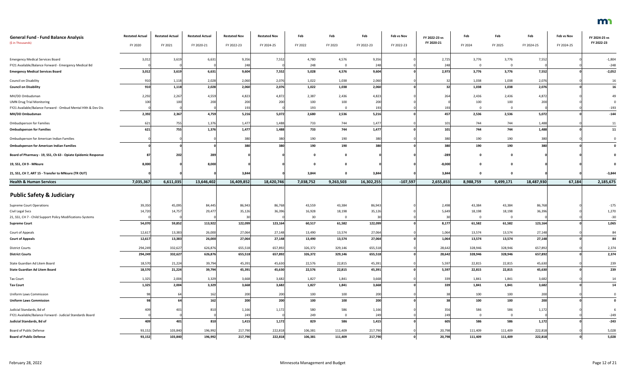| <b>General Fund - Fund Balance Analysis</b>                   | <b>Restated Actual</b> | <b>Restated Actual</b> | <b>Restated Actual</b> | <b>Restated Nov</b> | <b>Restated Nov</b> | Feb          | Feb          | Feb          | Feb vs Nov | FY 2022-23 vs | Feb          | Feb          | Feb          | Feb vs Nov | FY 2024-25 vs |
|---------------------------------------------------------------|------------------------|------------------------|------------------------|---------------------|---------------------|--------------|--------------|--------------|------------|---------------|--------------|--------------|--------------|------------|---------------|
| (\$ in Thousands)                                             | FY 2020                | FY 2021                | FY 2020-21             | FY 2022-23          | FY 2024-25          | FY 2022      | FY 2023      | FY 2022-23   | FY 2022-23 | FY 2020-21    | FY 2024      | FY 2025      | FY 2024-25   | FY 2024-25 | FY 2022-23    |
| <b>Emergency Medical Services Board</b>                       | 3,012                  | 3,619                  | 6,631                  | 9,356               | 7,552               | 4,780        | 4,576        | 9,356        |            | 2,725         | 3,776        | 3,776        | 7,552        |            | $-1,804$      |
| FY21 Available/Balance Forward - Emergency Medical Bd         |                        |                        |                        | 248                 |                     | 248          |              | 248          |            | 248           | $\Omega$     |              |              |            | $-248$        |
| <b>Emergency Medical Services Board</b>                       | 3,012                  | 3,619                  | 6,631                  | 9,604               | 7,552               | 5,028        | 4,576        | 9,604        |            | 2,973         | 3,776        | 3,776        | 7,552        |            | $-2,052$      |
| Council on Disability                                         | 910                    | 1,118                  | 2,028                  | 2,060               | 2,076               | 1,022        | 1,038        | 2,060        |            |               | 1,038        | 1,038        | 2,076        |            | 16            |
| <b>Council on Disability</b>                                  | 910                    | 1,118                  | 2,028                  | 2,060               | 2,076               | 1,022        | 1,038        | 2,060        |            |               | 1,038        | 1,038        | 2,076        |            | 16            |
|                                                               |                        |                        |                        |                     |                     |              |              |              |            |               |              |              |              |            |               |
| MH/DD Ombudsman<br><b>UMN Drug Trial Monitoring</b>           | 2,292                  | 2,267                  | 4,559<br>200           | 4,823<br>200        | 4,872               | 2,387<br>100 | 2,436<br>100 | 4,823<br>200 |            | 264           | 2,436<br>100 | 2,436<br>100 | 4,872<br>200 |            | 49            |
| FY21 Available/Balance Forward - Ombud Mental Hlth & Dev Dis  |                        |                        |                        | 193                 |                     | 193          |              | 193          |            | 193           | $\mathbf{0}$ | $\Omega$     |              |            | $-193$        |
| MH/DD Ombudsman                                               | 2,392                  | 2,367                  | 4,759                  | 5,216               | 5,072               | 2,680        | 2,536        | 5,216        |            | 457           | 2,536        | 2,536        | 5,072        |            | $-144$        |
| <b>Ombudsperson for Families</b>                              | 621                    | 755                    | 1,376                  | 1,477               | 1,488               | 733          | 744          | 1,477        |            | 101           | 744          | 744          | 1,488        |            | 11            |
| <b>Ombudsperson for Families</b>                              | 621                    | 755                    | 1,376                  | 1,477               | 1,488               | 733          | 744          | 1,477        |            | 101           | 744          | 744          | 1,488        |            | 11            |
| Ombudsperson for American Indian Families                     |                        |                        |                        | 380                 | 380                 | 190          | 190          | 380          |            | 380           | 190          | 190          | 380          |            |               |
| <b>Ombudsperson for American Indian Families</b>              |                        |                        |                        | 380                 | 380                 | 190          | 190          | 380          |            | 380           | 190          | 190          | 380          |            |               |
|                                                               |                        |                        |                        |                     |                     |              |              |              |            |               |              |              |              |            |               |
| Board of Pharmacy - 19, SS1, Ch 63 - Opiate Epidemic Response |                        | 202                    | 289                    |                     |                     |              |              |              |            | $-289$        | 0            |              |              |            |               |
| 19, SS1, CH 9 - MNsure                                        | 8,000                  |                        | 8,000                  |                     |                     |              |              |              |            | $-8,000$      | $\Omega$     |              |              |            |               |
| 21, SS1, CH 7, ART 15 - Transfer to MNsure (TR OUT)           |                        |                        |                        | 3,844               |                     | 3,844        |              | 3,844        |            | 3,844         |              |              |              |            | $-3,844$      |
| <b>Health &amp; Human Services</b>                            | 7,035,367              | 6,611,035              | 13,646,402             | 16,409,852          | 18,420,746          | 7,038,752    | 9,263,503    | 16,302,255   | $-107,597$ | 2,655,853     | 8,988,759    | 9,499,171    | 18,487,930   | 67,184     | 2,185,675     |
| <b>Public Safety &amp; Judiciary</b>                          |                        |                        |                        |                     |                     |              |              |              |            |               |              |              |              |            |               |
| <b>Supreme Court Operations</b>                               | 39,350                 | 45,095                 | 84,445                 | 86,943              | 86,768              | 43,559       | 43,384       | 86,943       |            | 2,498         | 43,384       | 43,384       | 86,768       |            | $-175$        |
| Civil Legal Svcs                                              | 14,720                 | 14,757                 | 29,477                 | 35,126              | 36,396              | 16,928       | 18,198       | 35,126       |            | 5,649         | 18,198       | 18,198       | 36,396       |            | 1,270         |
| 21, SS1, CH 7 - Child Support Policy Modifications-Systems    |                        |                        |                        |                     |                     | 30           | 0            | 30           |            |               | $\mathbf{0}$ | $\mathbf 0$  |              |            | $-30$         |
| <b>Supreme Court</b>                                          | 54,070                 | 59,852                 | 113,922                | 122,099             | 123,164             | 60,517       | 61,582       | 122,099      |            | 8,177         | 61,582       | 61,582       | 123,164      |            | 1,065         |
| Court of Appeals                                              | 12,617                 | 13,383                 | 26,000                 | 27,064              | 27,148              | 13,490       | 13,574       | 27,064       |            | 1,064         | 13,574       | 13,574       | 27,148       |            | 84            |
| <b>Court of Appeals</b>                                       | 12,617                 | 13,383                 | 26,000                 | 27,064              | 27,148              | 13,490       | 13,574       | 27,064       |            | 1,064         | 13,574       | 13,574       | 27,148       |            | 84            |
| <b>District Courts</b>                                        | 294,249                | 332,627                | 626,876                | 655,518             | 657,892             | 326,372      | 329,146      | 655,518      |            | 28,642        | 328,946      | 328,946      | 657,892      |            | 2,374         |
| <b>District Courts</b>                                        | 294,249                | 332,627                | 626,876                | 655,518             | 657,892             | 326,372      | 329,146      | 655,518      |            | 28,642        | 328,946      | 328,946      | 657,892      |            | 2,374         |
| State Guardian Ad Litem Board                                 | 18,570                 | 21,224                 | 39,794                 | 45,391              | 45,630              | 22,576       | 22,815       | 45,391       |            | 5,597         | 22,815       | 22,815       | 45,630       |            | 239           |
| <b>State Guardian Ad Litem Board</b>                          | 18,570                 | 21,224                 | 39,794                 | 45,391              | 45,630              | 22,576       | 22,815       | 45,391       |            | 5,597         | 22,815       | 22,815       | 45,630       |            | 239           |
| <b>Tax Court</b>                                              | 1,325                  | 2,004                  | 3,329                  | 3,668               | 3,682               | 1,827        | 1,841        | 3,668        |            | 339           | 1,841        | 1,841        | 3,682        |            | 14            |
| <b>Tax Court</b>                                              | 1,325                  | 2,004                  | 3,329                  | 3,668               | 3,682               | 1,827        | 1,841        | 3,668        |            | 339           | 1,841        | 1,841        | 3,682        |            | 14            |
|                                                               |                        |                        |                        |                     |                     |              |              |              |            |               |              |              |              |            |               |
| <b>Uniform Laws Commission</b>                                |                        |                        | 162                    | 200                 | 200                 | 100          | 100          | 200          |            |               | 100          | 100          | 200          |            |               |
| <b>Uniform Laws Commission</b>                                |                        |                        | 162                    | 200                 | 200                 | 100          | 100          | 200          |            |               | 100          | 100          | 200          |            | 0             |
| Judicial Standards, Bd of                                     |                        | 401                    |                        | 1,166               | 1,172               | 580          | 586          | 1,166        |            | 356           | 586          | 586          | 1,172        |            | -6            |
| FY21 Available/Balance Forward - Judicial Standards Board     |                        |                        |                        | 249                 |                     | 249          |              | 249          |            | 249           | $\mathbf 0$  | $\mathbf 0$  |              |            | $-249$        |
| Judicial Standards, Bd of                                     | 409                    | 401                    | 810                    | 1,415               | 1,172               | 829          | 586          | 1,415        |            | 605           | 586          | 586          | 1,172        |            | $-243$        |
| Board of Public Defense                                       | 93,152                 | 103,840                | 196,992                | 217,790             | 222,818             | 106,381      | 111,409      | 217,790      |            | 20,798        | 111,409      | 111,409      | 222,818      |            | 5,028         |
| <b>Board of Public Defense</b>                                | 93,152                 | 103,840                | 196,992                | 217,790             | 222,818             | 106,381      | 111,409      | 217,790      |            | 20,798        | 111,409      | 111,409      | 222,818      |            | 5,028         |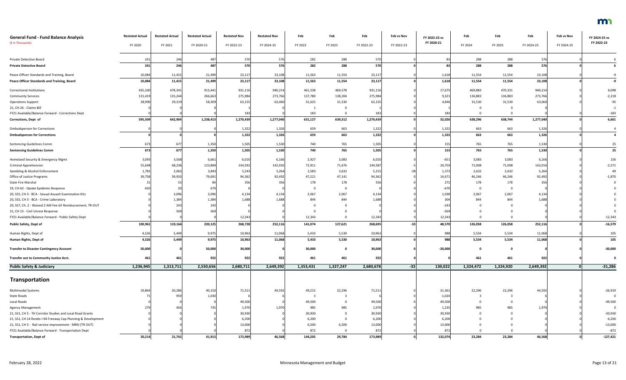| <b>General Fund - Fund Balance Analysis</b>                  | <b>Restated Actual</b> | <b>Restated Actual</b> | <b>Restated Actual</b> | <b>Restated Nov</b> | <b>Restated Nov</b> | Feb       | Feb       | Feb        | Feb vs Nov | FY 2022-23 vs | Feb         | Feb                     | Feb        | Feb vs Nov | FY 2024-25 vs  |
|--------------------------------------------------------------|------------------------|------------------------|------------------------|---------------------|---------------------|-----------|-----------|------------|------------|---------------|-------------|-------------------------|------------|------------|----------------|
| (\$ in Thousands)                                            | FY 2020                | FY 2021                | FY 2020-21             | FY 2022-23          | FY 2024-25          | FY 2022   | FY 2023   | FY 2022-23 | FY 2022-23 | FY 2020-21    | FY 2024     | FY 2025                 | FY 2024-25 | FY 2024-25 | FY 2022-23     |
| Private Detective Board                                      | 241                    | 246                    | 487                    | 570                 | 576                 | 282       | 288       | 570        |            | 83            | 288         | 288                     | 576        |            |                |
| <b>Private Detective Board</b>                               | 241                    | 246                    | 487                    | 570                 | 576                 | 282       | 288       | 570        |            | 83            | 288         | 288                     | 576        |            |                |
| Peace Officer Standards and Training, Board                  | 10,084                 | 11,415                 | 21,499                 | 23,117              | 23,108              | 11,563    | 11,554    | 23,117     |            | 1,618         | 11,554      | 11,554                  | 23,10      |            |                |
| Peace Officer Standards and Training, Board                  | 10,084                 | 11,415                 | 21,499                 | 23,117              | 23,108              | 11,563    | 11,554    | 23,117     |            | 1,618         | 11,554      | 11,554                  | 23,108     |            | -9             |
| <b>Correctional Institutions</b>                             | 435,100                | 478,341                | 913,441                | 931,116             | 940,214             | 461,538   | 469,578   | 931,116    |            | 17,675        | 469,883     | 470,331                 | 940,214    |            | 9,098          |
| <b>Community Services</b>                                    | 131,419                | 135,244                | 266,663                | 275,984             | 273,766             | 137,780   | 138,204   | 275,984    |            | 9,321         | 136,883     | 136,883                 | 273,766    |            | $-2,218$       |
| <b>Operations Support</b>                                    | 28,990                 | 29,319                 | 58,309                 | 63,155              | 63,060              | 31,625    | 31,530    | 63,155     |            | 4,846         | 31,530      | 31,530                  | 63,060     |            | $-95$          |
| 21, CH 26 - Claims Bill                                      |                        |                        |                        |                     |                     |           |           |            |            |               | $\Omega$    | $\Omega$                |            |            | $-1$           |
| FY21 Available/Balance Forward - Corrections Dept            |                        |                        |                        | 183                 |                     | 183       |           | 183        |            | 183           | $\Omega$    |                         |            |            | $-183$         |
| Corrections, Dept of                                         | 595,509                | 642,904                | 1,238,413              | 1,270,439           | 1,277,040           | 631,127   | 639,312   | 1,270,439  |            | 32,026        | 638,296     | 638,744                 | 1,277,040  |            | 6,601          |
| <b>Ombudsperson for Corrections</b>                          |                        |                        |                        | 1,322               | 1,326               | 659       | 663       | 1,322      |            | 1,322         | 663         | 663                     | 1,326      |            | $\overline{4}$ |
| <b>Ombudsperson for Corrections</b>                          |                        |                        |                        | 1,322               | 1,326               | 659       | 663       | 1,322      |            | 1,322         | 663         | 663                     | 1,326      |            |                |
| Sentencing Guidelines Comm                                   | 67                     | 677                    | 1,350                  | 1,505               | 1,530               | 740       | 765       | 1,505      |            | 155           | 765         | 765                     | 1,530      |            | 25             |
| <b>Sentencing Guidelines Comm</b>                            | 673                    | 677                    | 1,350                  | 1,505               | 1,530               | 740       | 765       | 1,505      |            | 155           | 765         | 765                     | 1,530      |            | 25             |
|                                                              |                        |                        |                        |                     |                     |           |           |            |            |               |             |                         |            |            |                |
| Homeland Security & Emergency Mgmt                           | 3,093                  | 3,568                  | 6,661                  | 6,010               | 6,166               | 2,927     | 3,083     | 6,010      |            | $-651$        | 3,083       | 3,083                   | 6,16       |            | 156            |
| <b>Criminal Apprehension</b>                                 | 55,648                 | 68,236                 | 123,884                | 144,592             | 142,016             | 72,911    | 71,676    | 144,587    |            | 20,703        | 71,008      | 71,008                  | 142,016    |            | $-2,571$       |
| Gambling & Alcohol Enforcement                               | 1,781                  | 2,062                  | 3,843                  | 5,243               | 5,264               | 2,583     | 2,632     | 5,215      |            | 1,372         | 2,632       | 2,632                   | 5,264      |            | 49             |
| Office of Justice Programs                                   | 39,758                 | 39,933                 | 79,69                  | 94,362              | 92,492              | 47,221    | 47,141    | 94,362     |            | 14,67         | 46,246      | 46,246                  | 92,49      |            | $-1,870$       |
| State Fire Marshal                                           |                        |                        | -84                    | 356                 | 356                 | 178       | 178       | 356        |            | 272           | 178         | 178                     | 356        |            |                |
| 19, CH 63 - Opiate Epidemic Response                         |                        |                        | 670                    |                     |                     | - 0       | $\Omega$  |            |            | $-670$        | 0           | $\overline{\mathbf{0}}$ |            |            |                |
| 20, SS5, CH 3 - BCA - Sexual Assault Examination Kits        |                        | 3,096                  | 3,096                  | 4,134               | 4,134               | 2,067     | 2,067     | 4,134      |            | 1,038         | 2,067       | 2,067                   | 4,13       |            |                |
| 20, SS5, CH 3 - BCA - Crime Laboratory                       |                        | 1,384                  | 1,384                  | 1,688               | 1,688               | 844       | 844       | 1,688      |            | 304           | 844         | 844                     | 1,68       |            |                |
| 20, SS7, Ch. 2 - Waived 2 AM Fee GF Reimbursement, TR-OUT    |                        | 243                    | 243                    |                     |                     |           |           |            |            | $-243$        |             |                         |            |            |                |
| 21, CH 13 - Civil Unrest Response                            |                        |                        | 569                    |                     |                     |           |           |            |            | $-569$        |             |                         |            |            |                |
| FY21 Available/Balance Forward - Public Safety Dept          |                        |                        |                        | 12,343              |                     | 12,343    |           | 12,343     |            | 12,343        | 0           | $\Omega$                |            |            | $-12,343$      |
| <b>Public Safety, Dept of</b>                                | 100,961                | 119,164                | 220,125                | 268,728             | 252,116             | 141,074   | 127,621   | 268,695    | $-33$      | 48,570        | 126,058     | 126,058                 | 252,11     |            | $-16,579$      |
| Human Rights, Dept of                                        | 4,526                  | 5,449                  | 9,975                  | 10,963              | 11,068              | 5,433     | 5,530     | 10,963     |            | 988           | 5,534       | 5,534                   | 11,068     |            | 105            |
| Human Rights, Dept of                                        | 4,526                  | 5,449                  | 9,975                  | 10,963              | 11,068              | 5,433     | 5,530     | 10,963     |            | 988           | 5,534       | 5,534                   | 11,06      |            | 105            |
| <b>Transfer to Disaster Contingency Account</b>              | 50,000                 |                        | 50,000                 | 30,000              |                     | 30,000    | 0         | 30,000     |            | $-20,000$     | $\mathbf 0$ |                         |            |            | $-30,000$      |
| Transfer out to Community Justice Acct.                      | 461                    | 461                    | 922                    | 922                 | 922                 | 461       | 461       | 922        |            |               | 461         | 461                     | 922        |            |                |
| <b>Public Safety &amp; Judiciary</b>                         | 1,236,945              | 1,313,711              | 2,550,656              | 2,680,711           | 2,649,392           | 1,353,431 | 1,327,247 | 2,680,678  | $-33$      | 130,022       | 1,324,472   | 1,324,920               | 2,649,392  |            | $-31,286$      |
|                                                              |                        |                        |                        |                     |                     |           |           |            |            |               |             |                         |            |            |                |
| Transportation                                               |                        |                        |                        |                     |                     |           |           |            |            |               |             |                         |            |            |                |
| Multimodal Systems                                           | 19,864                 | 20,286                 | 40,150                 | 71,511              | 44,592              | 49,215    | 22,296    | 71,511     |            | 31,361        | 22,296      | 22,296                  | 44,592     |            | $-26,919$      |
| State Roads                                                  |                        | 959                    | 1,030                  |                     |                     |           |           |            |            | $-1,024$      |             |                         |            |            |                |
| Local Roads                                                  |                        |                        |                        | 49,500              |                     | 49,500    |           | 49,500     |            | 49,500        | $\mathbf 0$ |                         |            |            | $-49,500$      |
| <b>Agency Management</b>                                     |                        | 456                    | 735                    | 1,970               | 1,970               | 985       | 985       | 1,970      |            | 1,235         | 985         | 985                     | 1,970      |            |                |
| 21, SS1, CH 5 - TH Corridor Studies and Local Road Grants    |                        |                        |                        | 30,930              |                     | 30,930    |           | 30,930     |            | 30,930        |             |                         |            |            | $-30,930$      |
| 21, SS1, CH 14 Rondo I-94 Freeway Cap Planning & Development |                        |                        |                        | 6,200               |                     | 6,200     |           | 6,200      |            | 6,200         |             |                         |            |            | $-6,200$       |
| 21, SS1, CH 5 - Rail service improvement - MRSI (TR OUT)     |                        |                        |                        | 13,000              |                     | 6,500     | 6,500     | 13,000     |            | 13,000        |             |                         |            |            | $-13,000$      |
| FY21 Available/Balance Forward - Transportation Dept         |                        |                        |                        | 872                 |                     | 872       |           | 872        |            | 872           |             |                         |            |            | $-872$         |
| <b>Transportation, Dept of</b>                               | 20,214                 | 21,701                 | 41,915                 | 173,989             | 46,568              | 144,205   | 29,784    | 173,989    |            | 132,074       | 23,284      | 23,284                  | 46,568     |            | $-127,421$     |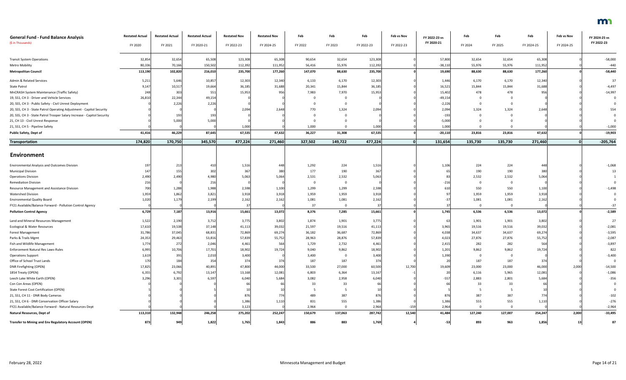| <b>General Fund - Fund Balance Analysis</b>                             | <b>Restated Actual</b> | <b>Restated Actual</b> | <b>Restated Actual</b> | <b>Restated Nov</b> | <b>Restated Nov</b> | Feb     | Feb     | Feb        | Feb vs Nov | FY 2022-23 vs | Feb      | Feb     | Feb        | Feb vs Nov | FY 2024-25 vs           |
|-------------------------------------------------------------------------|------------------------|------------------------|------------------------|---------------------|---------------------|---------|---------|------------|------------|---------------|----------|---------|------------|------------|-------------------------|
| (\$ in Thousands)                                                       | FY 2020                | FY 2021                | FY 2020-21             | FY 2022-23          | FY 2024-25          | FY 2022 | FY 2023 | FY 2022-23 | FY 2022-23 | FY 2020-21    | FY 2024  | FY 2025 | FY 2024-25 | FY 2024-25 | FY 2022-23              |
| <b>Transit System Operations</b>                                        | 32,854                 | 32,654                 | 65,508                 | 123,308             | 65,308              | 90,654  | 32,654  | 123,308    |            | 57,800        | 32,654   | 32,654  | 65,308     |            | $-58,000$               |
| Metro Mobility                                                          | 80,336                 | 70,166                 | 150,502                | 112,392             | 111,952             | 56,416  | 55,976  | 112,392    |            | $-38,110$     | 55,976   | 55,976  | 111,952    |            | $-440$                  |
| <b>Metropolitan Council</b>                                             | 113,190                | 102,820                | 216,010                | 235,700             | 177,260             | 147,070 | 88,630  | 235,700    |            | 19,690        | 88,630   | 88,630  | 177,260    |            | $-58,440$               |
| Admin & Related Services                                                | 5,211                  | 5,646                  | 10,857                 | 12,303              | 12,340              | 6,133   | 6,170   | 12,303     |            | 1,446         | 6,170    | 6,170   | 12,340     |            | 37                      |
| <b>State Patrol</b>                                                     | 9,147                  | 10,517                 | 19,664                 | 36,185              | 31,688              | 20,341  | 15,844  | 36,185     |            | 16,521        | 15,844   | 15,844  | 31,688     |            | $-4,497$                |
| MnCRASH System Maintenance (Traffic Safety)                             | 248                    | 303                    | 551                    | 15,953              |                     | 7,983   | 7,970   | 15,953     |            | 15,402        | 478      | 478     | 956        |            | $-14,997$               |
| 19, SS1, CH 3 - Driver and Vehicle Services                             | 26,810                 | 22,344                 | 49,154                 |                     |                     |         |         |            |            | $-49,154$     | $\Omega$ |         |            |            |                         |
| 20, SS5, CH 3 - Public Safety - Civil Unrest Deployment                 |                        | 2,226                  | 2,226                  |                     |                     |         |         |            |            | $-2,226$      | $\Omega$ |         |            |            |                         |
| 20, SS5, CH 3 - State Patrol Operating Adjustment - Capitol Security    |                        |                        |                        | 2,094               | 2,648               | 770     | 1,324   | 2,094      |            | 2,094         | 1,324    | 1,324   | 2,648      |            |                         |
| 20, SS5, CH 3 - State Patrol Trooper Salary Increase - Capitol Security |                        | 193                    | 193                    |                     |                     |         |         |            |            | $-193$        |          |         |            |            |                         |
| 21, CH 13 - Civil Unrest Response                                       |                        | 5,000                  | 5,000                  |                     |                     |         |         |            |            | $-5,000$      |          |         |            |            |                         |
| 21, SS1, CH 5 - Pipeline Safety                                         |                        |                        |                        | 1,000               |                     | 1,000   |         | 1,000      |            | 1,000         |          |         |            |            | $-1,000$                |
| Public Safety, Dept of                                                  | 41,416                 | 46,229                 | 87,645                 | 67,535              | 47,632              | 36,227  | 31,308  | 67,535     |            | $-20,110$     | 23,816   | 23,816  | 47,632     |            | $-19,903$               |
| <b>Transportation</b>                                                   | 174,820                | 170,750                | 345,570                | 477,224             | 271,460             | 327,502 | 149,722 | 477,224    |            | 131,654       | 135,730  | 135,730 | 271,460    | $\Omega$   | $-205,764$              |
|                                                                         |                        |                        |                        |                     |                     |         |         |            |            |               |          |         |            |            |                         |
| Environment                                                             |                        |                        |                        |                     |                     |         |         |            |            |               |          |         |            |            |                         |
| <b>Environmental Analysis and Outcomes Division</b>                     |                        | 213                    |                        | 1,516               |                     | 1,292   | 224     | 1,516      |            | 1,106         | 224      | 224     | 448        |            | $-1,068$                |
| <b>Municipal Division</b>                                               |                        | 155                    | 302                    | 367                 | 380                 | 177     | 190     | 367        |            |               | 190      | 190     | 380        |            | 13                      |
| <b>Operations Division</b>                                              | 2,490                  | 2,490                  | 4,980                  | 5,06                | 5,064               | 2,531   | 2,532   | 5,063      |            |               | 2,532    | 2,532   | 5,064      |            |                         |
| <b>Remediation Division</b>                                             | 216                    |                        | 216                    |                     |                     |         |         |            |            | $-216$        | 0        |         |            |            |                         |
| Resource Management and Assistance Division                             |                        | 1,288                  | 1,988                  | 2,598               | 1,100               | 1,299   | 1,299   | 2,598      |            | 610           | 550      | 550     | 1,100      |            | $-1,498$                |
| <b>Watershed Division</b>                                               | 1,959                  | 1,862                  | 3,821                  | 3,918               | 3,918               | 1,959   | 1,959   | 3,918      |            |               | 1,959    | 1,959   | 3,918      |            |                         |
| <b>Environmental Quality Board</b>                                      | 1,020                  | 1,179                  | 2,199                  | 2,162               | 2,162               | 1,081   | 1,081   | 2,162      |            |               | 1,081    | 1,081   | 2,162      |            |                         |
| FY21 Available/Balance Forward - Pollution Control Agency               |                        |                        |                        |                     |                     | 37      |         |            |            |               |          |         |            |            |                         |
| <b>Pollution Control Agency</b>                                         | 6,729                  | 7,187                  | 13,916                 | 15,661              | 13,072              | 8,376   | 7,285   | 15,661     |            | 1,745         | 6,536    | 6,536   | 13,072     |            | $-2,589$                |
| Land and Mineral Resources Management                                   | 1,522                  | 2,190                  | 3,712                  | 3,775               | 3,802               | 1,874   | 1,901   | 3,775      |            |               | 1,901    | 1,901   | 3,802      |            | 27                      |
| <b>Ecological &amp; Water Resources</b>                                 | 17,610                 | 19,538                 | 37,148                 | 41,113              | 39,032              | 21,597  | 19,516  | 41,113     |            | 3,965         | 19,516   | 19,516  | 39,032     |            | $-2,081$                |
| <b>Forest Management</b>                                                | 31,786                 | 37,045                 | 68,831                 | 72,869              | 69,274              | 36,182  | 36,687  | 72,869     |            | 4,038         | 34,637   | 34,637  | 69,274     |            | $-3,595$                |
| Parks & Trails Mgmt                                                     | 24,353                 | 29,463                 | 53,816                 | 57,839              | 55,752              | 28,963  | 28,876  | 57,839     |            | 4,023         | 27,876   | 27,876  | 55,752     |            | $-2,087$                |
| Fish and Wildlife Management                                            | 1,774                  | 272                    | 2,046                  | 4,46                | 564                 | 1,729   | 2,732   | 4,461      |            | 2,415         | 282      | 282     | 564        |            | $-3,897$                |
| Enforcement Natural Res Laws-Rules                                      | 6,995                  | 10,706                 | 17,701                 | 18,902              | 19,724              | 9,040   | 9,862   | 18,902     |            | 1,201         | 9,862    | 9,862   | 19,724     |            | 822                     |
| <b>Operations Support</b>                                               | 1,619                  | 391                    | 2,010                  | 3,400               |                     | 3,400   |         | 3,400      |            | 1,390         | $\Omega$ |         |            |            | $-3,400$                |
| Office of School Trust Lands                                            | 170                    | 184                    | 354                    | 374                 | 374                 | 187     | 187     | 374        |            | 20            | 187      | 187     | 374        |            | $\overline{\mathbf{0}}$ |
| DNR Firefighting (OPEN)                                                 | 17,825                 | 23,066                 | 40,891                 | 47,800              | 44,000              | 33,500  | 27,000  | 60,500     | 12,700     | 19,609        | 23,000   | 23,000  | 46,000     | 2,000      | $-14,500$               |
| 1854 Treaty (OPEN)                                                      | 6,355                  | 6,792                  | 13,147                 | 13,168              | 12,081              | 6,803   | 6,364   | 13,167     |            |               | 6,116    | 5,965   | 12,081     |            | $-1,086$                |
| Leech Lake White Earth (OPEN)                                           | 3,296                  | 3,301                  | 6,597                  | 6,040               | 5,684               | 3,082   | 2,958   | 6,040      |            | $-557$        | 2,883    | 2,801   | 5,684      |            | $-356$                  |
| Con Con Areas (OPEN)                                                    |                        |                        |                        |                     |                     | 33      | 33      |            |            |               | 33       | 33      |            |            |                         |
| State Forest Cost Certification (OPEN)                                  |                        |                        |                        |                     |                     |         |         |            |            |               |          |         |            |            |                         |
| 21, SS1, CH 11 - DNR Body Cameras                                       |                        |                        |                        | 876                 |                     | 489     | 387     | 876        |            | 876           | 387      | 387     | 774        |            | $-102$                  |
| 21, SS1, CH 6 - DNR Conservation Officer Salary                         |                        |                        |                        | 1,386               | 1,110               | 831     | 555     | 1,386      |            | 1,386         | 555      | 555     | 1,110      |            | $-276$                  |
| FY21 Available/Balance Forward - Natural Resources Dept                 |                        |                        |                        | 3,123               |                     | 2,964   |         | 2,964      | -159       | 2,964         |          |         |            |            | $-2,964$                |
| Natural Resources, Dept of                                              | 113,310                | 132,948                | 246,258                | 275,202             | 252,247             | 150,679 | 137,063 | 287,742    | 12,540     | 41,484        | 127,240  | 127,007 | 254,247    | 2,000      | $-33,495$               |
| <b>Transfer to Mining and Env Regulatory Account (OPEN)</b>             | 873                    | 949                    | 1,822                  | 1,765               | 1,843               | 886     | 883     | 1,769      |            | $-53$         | 893      | 963     | 1,856      | 13         | 87                      |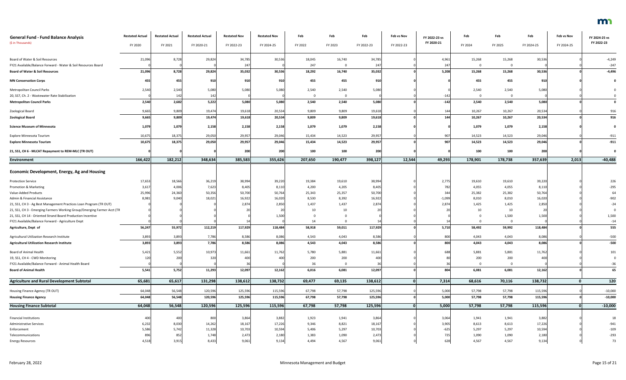| <b>General Fund - Fund Balance Analysis</b>                             | <b>Restated Actual</b> | <b>Restated Actual</b> | <b>Restated Actual</b> | <b>Restated Nov</b> | <b>Restated Nov</b> | Feb     | Feb     | Feb        | Feb vs Nov | FY 2022-23 vs | Feb     | Feb     | Feb        | Feb vs Nov   | FY 2024-25 vs |
|-------------------------------------------------------------------------|------------------------|------------------------|------------------------|---------------------|---------------------|---------|---------|------------|------------|---------------|---------|---------|------------|--------------|---------------|
| (\$ in Thousands)                                                       | FY 2020                | FY 2021                | FY 2020-21             | FY 2022-23          | FY 2024-25          | FY 2022 | FY 2023 | FY 2022-23 | FY 2022-23 | FY 2020-21    | FY 2024 | FY 2025 | FY 2024-25 | FY 2024-25   | FY 2022-23    |
| Board of Water & Soil Resources                                         | 21,096                 | 8,728                  | 29,824                 | 34,785              | 30,536              | 18,045  | 16,740  | 34,785     |            | 4,961         | 15,268  | 15,268  | 30,536     |              | $-4,249$      |
| FY21 Available/Balance Forward - Water & Soil Resources Board           |                        |                        |                        | 24                  |                     | 247     |         | 247        |            | -247          |         |         |            |              | $-247$        |
| <b>Board of Water &amp; Soil Resources</b>                              | 21,096                 | 8,728                  | 29,824                 | 35,032              | 30,536              | 18,292  | 16,740  | 35,032     |            | 5,208         | 15,268  | 15,268  | 30,536     |              | $-4,496$      |
| <b>MN Conservation Corps</b>                                            | 455                    | 455                    | 910                    | 910                 | 910                 | 455     | 455     | 910        |            |               | 455     | 455     | 910        |              |               |
| Metropolitan Council Parks                                              | 2,540                  | 2,540                  | 5,080                  | 5,080               | 5,080               | 2,540   | 2,540   | 5,080      |            |               | 2,540   | 2,540   | 5,080      |              |               |
| 20, SS7, Ch. 2 - Wastewater Rate Stabilization                          |                        | 142                    | 142                    |                     |                     |         |         |            |            | $-142$        |         |         |            |              |               |
|                                                                         | 2,540                  | 2,682                  | 5,222                  | 5,080               | 5,080               | 2,540   | 2,540   | 5,080      |            | $-142$        | 2,540   | 2,540   | 5,080      |              |               |
| <b>Metropolitan Council Parks</b>                                       |                        |                        |                        |                     |                     |         |         |            |            |               |         |         |            |              |               |
| Zoological Board                                                        | 9,665                  | 9,809                  | 19,474                 | 19,618              | 20,534              | 9,809   | 9,809   | 19,618     |            | 144           | 10,267  | 10,267  | 20,534     |              | 916           |
| <b>Zoological Board</b>                                                 | 9,665                  | 9,809                  | 19,474                 | 19,618              | 20,534              | 9,809   | 9,809   | 19,618     |            | 144           | 10,267  | 10,267  | 20,534     |              | 916           |
| <b>Science Museum of Minnesota</b>                                      | 1,079                  | 1,079                  | 2,158                  | 2,158               | 2,158               | 1,079   | 1,079   | 2,158      |            |               | 1,079   | 1,079   | 2,158      |              | $\mathbf 0$   |
| Explore Minnesota Tourism                                               | 10,675                 | 18,375                 | 29,050                 | 29,957              | 29,046              | 15,434  | 14,523  | 29,957     |            | 907           | 14,523  | 14,523  | 29,046     |              | $-911$        |
| <b>Explore Minnesota Tourism</b>                                        | 10,675                 | 18,375                 | 29,050                 | 29,957              | 29,046              | 15,434  | 14,523  | 29,957     |            | 907           | 14,523  | 14,523  | 29,046     |              | $-911$        |
| 21, SS1, CH 6 - MLCAT Repayment to REM-MLC (TR OUT)                     |                        |                        |                        | 200                 | 200                 | 100     | 100     | 200        |            |               | 100     | 100     | 200        |              |               |
| <b>Environment</b>                                                      | 166,422                | 182,212                | 348,634                | 385,583             | 355,626             | 207,650 | 190,477 | 398,127    | 12,544     | 49,293        | 178,901 | 178,738 | 357,639    | 2,013        | $-40,488$     |
|                                                                         |                        |                        |                        |                     |                     |         |         |            |            |               |         |         |            |              |               |
| <b>Economic Development, Energy, Ag and Housing</b>                     |                        |                        |                        |                     |                     |         |         |            |            |               |         |         |            |              |               |
| <b>Protection Service</b>                                               | 17,653                 | 18,566                 | 36,219                 | 38,99               | 39,220              | 19,384  | 19,610  | 38,994     |            | 2,775         | 19,610  | 19,610  | 39,220     |              | 226           |
| Promotion & Marketing                                                   | 3,617                  | 4,006                  | 7,623                  | 8,405               | 8,110               | 4,200   | 4,205   | 8,405      |            | 782           | 4,055   | 4,055   | 8,110      |              | $-295$        |
| Value-Added Products                                                    | 25,996                 | 24,360                 | 50,356                 | 50,700              | 50,764              | 25,343  | 25,357  | 50,700     |            | 344           | 25,382  | 25,382  | 50,764     |              | 64            |
| Admin & Financial Assistance                                            | 8,98                   | 9,040                  | 18,021                 | 16,922              | 16,020              | 8,530   | 8,392   | 16,922     |            | $-1,099$      | 8,010   | 8,010   | 16,020     |              | $-902$        |
| 21, SS1, CH 3 - Ag Best Management Practices Loan Program (TR OUT)      |                        |                        |                        | 2,874               | 2,850               | 1,437   | 1,437   | 2,874      |            | 2,874         | 1,425   | 1,425   | 2,850      |              | $-24$         |
| 21, SS1, CH 3 - Emerging Farmers Working Group/Emerging Farmer Acct (TR |                        |                        |                        |                     |                     | 10      | 10      |            |            |               | 10      | 10      |            |              |               |
| 21, SS1, CH 14 - Oriented Strand Board Production Incentive             |                        |                        |                        |                     | 1,500               |         |         |            |            |               |         | 1,500   | 1,500      |              | 1,500         |
| FY21 Available/Balance Forward - Agriculture Dept                       |                        |                        |                        |                     |                     | 14      |         |            |            |               |         |         |            |              | $-14$         |
| Agriculture, Dept of                                                    | 56,247                 | 55,972                 | 112,219                | 117,929             | 118,484             | 58,918  | 59,011  | 117,929    |            | 5,710         | 58,492  | 59,992  | 118,484    |              | 555           |
| Agricultural Utilization Research Institute                             | 3,893                  | 3,893                  | 7,786                  | 8,586               | 8,086               | 4,543   | 4,043   | 8,586      |            | 800           | 4,043   | 4,043   | 8,086      |              | $-500$        |
| <b>Agricultural Utilization Research Institute</b>                      | 3,893                  | 3,893                  | 7,786                  | 8,586               | 8,086               | 4,543   | 4,043   | 8,586      |            | 800           | 4,043   | 4,043   | 8,086      |              | $-500$        |
| Board of Animal Health                                                  | 5,421                  | 5,552                  | 10,973                 | 11,661              | 11,762              | 5,780   | 5,881   | 11,661     |            | 688           | 5,881   | 5,881   | 11,762     |              | 101           |
| 19, SS1, CH 4 - CWD Monitoring                                          |                        | 200                    | 320                    | 400                 |                     | 200     | 200     | 400        |            |               | 200     | 200     | 400        |              |               |
| FY21 Available/Balance Forward - Animal Health Board                    |                        |                        |                        |                     |                     | 36      |         |            |            |               |         |         |            |              | $-36$         |
| <b>Board of Animal Health</b>                                           | 5,541                  | 5,752                  | 11,293                 | 12,097              | 12,162              | 6,016   | 6,081   | 12,097     |            | 804           | 6,081   | 6,081   | 12,162     |              | 65            |
| <b>Agriculture and Rural Development Subtotal</b>                       | 65,681                 | 65,617                 | 131,298                | 138,612             | 138,732             | 69,477  | 69,135  | 138,612    |            | 7,314         | 68,616  | 70,116  | 138,732    | $\mathbf{0}$ | 120           |
| Housing Finance Agency (TR OUT)                                         | 64,048                 | 56,548                 | 120,596                | 125,596             | 115,596             | 67,798  | 57,798  | 125,596    |            | 5,000         | 57,798  | 57,798  | 115,596    |              | $-10,000$     |
| <b>Housing Finance Agency</b>                                           | 64,048                 | 56,548                 | 120,596                | 125,596             | 115,596             | 67,798  | 57,798  | 125,596    |            | 5,000         | 57,798  | 57,798  | 115,596    |              | $-10,000$     |
|                                                                         |                        | 56,548                 | 120,596                | 125,596             | 115,596             | 67,798  | 57,798  |            |            |               | 57,798  | 57,798  |            |              |               |
| <b>Housing Finance Subtotal</b>                                         | 64,048                 |                        |                        |                     |                     |         |         | 125,596    |            | 5,000         |         |         | 115,596    |              | $-10,000$     |
| <b>Financial Institutions</b>                                           | 400                    | 400                    | 800                    | 3,864               | 3,882               | 1,923   | 1,941   | 3,864      |            | 3,064         | 1,941   | 1,941   | 3,882      |              | 18            |
| <b>Administrative Services</b>                                          | 6,232                  | 8,030                  | 14,262                 | 18,167              | 17,226              | 9,346   | 8,821   | 18,167     |            | 3,905         | 8,613   | 8,613   | 17,226     |              | $-941$        |
| Enforcement                                                             | 5,586                  | 5,742                  | 11,328                 | 10,703              | 10,594              | 5,406   | 5,297   | 10,703     |            | $-625$        | 5,297   | 5,297   | 10,594     |              | $-109$        |
| Telecommunications                                                      | 896                    | 852                    | 1,748                  | 2,473               | 2,180               | 1,383   | 1,090   | 2,473      |            | 725           | 1,090   | 1,090   | 2,180      |              | $-293$        |
| <b>Energy Resources</b>                                                 | 4,518                  | 3,915                  | 8,433                  | 9,061               | 9,134               | 4,494   | 4,567   | 9,061      |            | 628           | 4,567   | 4,567   | 9,134      |              | 73            |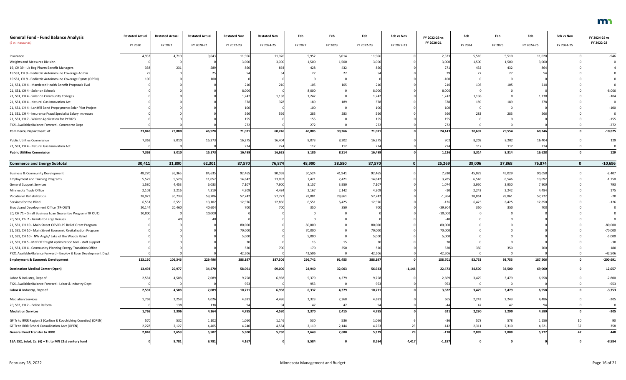| <b>General Fund - Fund Balance Analysis</b>                     | <b>Restated Actual</b> | <b>Restated Actual</b> | <b>Restated Actual</b> | <b>Restated Nov</b> | <b>Restated Nov</b> | Feb     | Feb     | Feb        | Feb vs Nov | FY 2022-23 vs | Feb      | Feb     | Feb        | Feb vs Nov | FY 2024-25 vs |
|-----------------------------------------------------------------|------------------------|------------------------|------------------------|---------------------|---------------------|---------|---------|------------|------------|---------------|----------|---------|------------|------------|---------------|
| (\$ in Thousands)                                               | FY 2020                | FY 2021                | FY 2020-21             | FY 2022-23          | FY 2024-25          | FY 2022 | FY 2023 | FY 2022-23 | FY 2022-23 | FY 2020-21    | FY 2024  | FY 2025 | FY 2024-25 | FY 2024-25 | FY 2022-23    |
| Insurance                                                       | 4,933                  | 4,71                   | 9,643                  | 11,966              | 11,020              | 5,952   | 6,014   | 11,966     |            | 2,323         | 5,510    | 5,510   | 11,020     |            | $-946$        |
| <b>Weights and Measures Division</b>                            |                        |                        |                        | 3,000               | 3,000               | 1,500   | 1,500   | 3,000      |            | 3,000         | 1,500    | 1,500   | 3,000      |            |               |
| 19, CH 39 - Lic Reg Pharm Benefit Managers                      |                        | 23                     |                        | 860                 | 864                 | 428     | 432     | 860        |            |               | 432      | 432     | 864        |            |               |
| 19 SS1, CH 9 - Pediatric Autoimmune Coverage Admin              |                        |                        |                        |                     |                     | 27      | 27      |            |            |               | 27       | 27      | -54        |            |               |
| 19 SS1, CH 9 - Pediatric Autoimmune Coverage Pymts (OPEN)       |                        |                        |                        |                     |                     |         |         |            |            | $-100$        |          |         |            |            |               |
| 21, SS1, CH 4 - Mandated Health Benefit Proposals Eval          |                        |                        |                        | 210                 |                     | 105     | 105     | 210        |            | 210           | 105      | 105     | 210        |            |               |
| 21, SS1, CH 4 - Solar on Schools                                |                        |                        |                        | 8,000               |                     | 8,000   |         | 8,000      |            | 8,000         | 0        |         |            |            | $-8,000$      |
| 21, SS1, CH 4 - Solar on Community Colleges                     |                        |                        |                        | 1,242               | 1,138               | 1,242   |         | 1,242      |            | 1,242         | 1,138    |         | 1,138      |            | $-104$        |
| 21, SS1, CH 4 - Natural Gas Innovation Act                      |                        |                        |                        | 378                 |                     | 189     | 189     | 378        |            | 378           | 189      | 189     | 378        |            |               |
| 21, SS1, CH 4 - Landfill Bond Prepayment; Solar Pilot Project   |                        |                        |                        | 100                 |                     | 100     |         | 100        |            | 100           | $\Omega$ |         |            |            | $-100$        |
| 21, SS1, CH 4 - Insurance Fraud Specialist Salary Increases     |                        |                        |                        | 566                 |                     | 283     | 283     | 566        |            | 566           | 283      | 283     | 566        |            |               |
| 21, SS1, CH 7 - Waiver Application for PY2023                   |                        |                        |                        | 15 <sup>t</sup>     |                     | 155     |         | 155        |            | 155           |          |         |            |            | $-155$        |
| FY21 Available/Balance Forward - Commerce Dept                  |                        |                        |                        | 272                 |                     | 272     |         | 272        |            | 272           |          |         |            |            | $-272$        |
| Commerce, Department of                                         | 23,048                 | 23,880                 | 46,928                 | 71,071              | 60,246              | 40,805  | 30,266  | 71,071     |            | 24,143        | 30,692   | 29,554  | 60,246     |            | $-10,825$     |
| <b>Public Utilities Commission</b>                              | 7,363                  | 8,01                   | 15,373                 | 16,275              | 16,404              | 8,073   | 8,202   | 16,275     |            | 902           | 8,202    | 8,202   | 16,404     |            | 129           |
| 21, SS1, CH 4 - Natural Gas Innovation Act                      |                        |                        |                        | 224                 | 224                 | 112     | 112     | 224        |            | 224           | 112      | 112     | 224        |            |               |
| <b>Public Utilities Commission</b>                              | 7,363                  | 8,010                  | 15,373                 | 16,499              | 16,628              | 8,185   | 8,314   | 16,499     |            | 1,126         | 8,314    | 8,314   | 16,628     |            | 129           |
| <b>Commerce and Energy Subtotal</b>                             | 30,411                 | 31,890                 | 62,301                 | 87,570              | 76,874              | 48,990  | 38,580  | 87,570     |            | 25,269        | 39,006   | 37,868  | 76,874     |            | $-10,696$     |
| <b>Business &amp; Community Development</b>                     | 48,270                 | 36,365                 | 84,635                 | 92,465              | 90,058              | 50,524  | 41,941  | 92,465     |            | 7,830         | 45,029   | 45,029  | 90,058     |            | $-2,407$      |
| <b>Employment and Training Programs</b>                         | 5,529                  | 5,528                  | 11,057                 | 14,842              | 13,092              | 7,421   | 7,421   | 14,842     |            | 3,785         | 6,546    | 6,546   | 13,092     |            | $-1,750$      |
| <b>General Support Services</b>                                 | 1,580                  | 4,45                   | 6,033                  | 7,107               | 7,900               | 3,157   | 3,950   | 7,107      |            | 1,074         | 3,950    | 3,950   | 7,900      |            | 793           |
| Minnesota Trade Office                                          | 2,103                  | 2,216                  | 4,319                  | 4,309               | 4,484               | 2,167   | 2,142   | 4,309      |            | $-10$         | 2,242    | 2,242   | 4,484      |            | 175           |
| <b>Vocational Rehabilitation</b>                                | 28,973                 | 30,733                 | 59,706                 | 57,742              | 57,722              | 28,881  | 28,861  | 57,742     |            | $-1,964$      | 28,861   | 28,861  | 57,722     |            | $-20$         |
| Services for the Blind                                          | 6,551                  | 6,55                   | 13,102                 | 12,976              | 12,850              | 6,551   | 6,425   | 12,976     |            | $-126$        | 6,425    | 6,425   | 12,850     |            | $-126$        |
| Broadband Development Office (TR-OUT)                           | 20,144                 | 20,460                 | 40,604                 |                     |                     | 350     | 350     |            |            | $-39,904$     | 350      | 350     | 700        |            |               |
| 20, CH 71 - Small Business Loan Guarantee Program (TR OUT)      | 10,000                 |                        | 10,000                 |                     |                     |         |         |            |            | $-10,000$     |          |         |            |            |               |
| 20, SS7, Ch. 2 - Grants to Large Venues                         |                        |                        |                        |                     |                     |         |         |            |            |               |          |         |            |            |               |
| 21, SS1, CH 10 - Main Street COVID-19 Relief Grant Program      |                        |                        |                        | 80,000              |                     | 80,000  |         | 80,000     |            | 80,000        |          |         |            |            | $-80,000$     |
| 21, SS1, CH 10 - Main Street Economic Revitalization Program    |                        |                        |                        | 70,000              |                     | 70,000  |         | 70,000     |            | 70,000        |          |         |            |            | $-70,000$     |
| 21, SS1, CH 10 - NW Angle/ Lake of the Woods Relief             |                        |                        |                        | 5,000               |                     | 5,000   |         | 5,000      |            | 5,000         |          |         |            |            | $-5,000$      |
| 21, SS1, CH 5 - MnDOT freight optimization tool - staff support |                        |                        |                        |                     |                     | 15      |         |            |            |               |          |         |            |            | $-30$         |
| 21, SS1, CH 4 - Community Planning Energy Transition Office     |                        |                        |                        | 520                 |                     | 170     | 350     | 520        |            | 520           | 350      | 350     | 700        |            | 180           |
| FY21 Available/Balance Forward - Employ & Econ Development Dept |                        |                        |                        | 42,506              |                     | 42,506  |         | 42,506     |            | 42,506        | $\Omega$ |         |            |            | $-42,506$     |
| <b>Employment &amp; Economic Development</b>                    | 123,150                | 106,346                | 229,496                | 388,197             | 187,506             | 296,742 | 91,455  | 388,197    |            | 158,701       | 93,753   | 93,753  | 187,506    |            | $-200,691$    |
| <b>Destination Medical Center (Open)</b>                        | 13,493                 | 20,977                 | 34,470                 | 58,091              | 69,000              | 24,940  | 32,003  | 56,943     | $-1,148$   | 22,473        | 34,500   | 34,500  | 69,000     |            | 12,057        |
| Labor & Industry, Dept of                                       | 2,581                  | 4,50                   | 7,089                  | 9,758               | 6,958               | 5,379   | 4,379   | 9,758      |            | 2,669         | 3,479    | 3,479   | 6,958      |            | $-2,800$      |
| FY21 Available/Balance Forward - Labor & Industry Dept          |                        |                        |                        | 953                 |                     | 953     |         | 953        |            | 953           |          |         |            |            | $-953$        |
| Labor & Industry, Dept of                                       | 2,581                  | 4,508                  | 7,089                  | 10,711              | 6,958               | 6,332   | 4,379   | 10,711     |            | 3,622         | 3,479    | 3,479   | 6,958      |            | $-3,753$      |
|                                                                 |                        |                        |                        |                     |                     |         |         |            |            |               |          |         |            |            |               |
| <b>Mediation Services</b>                                       | 1,768                  | 2,258                  | 4,026                  | 4,691               | 4,486               | 2,323   | 2,368   | 4,691      |            | 665           | 2,243    | 2,243   | 4,486      |            | $-205$        |
| 20, SS2, CH 2 - Police Reform                                   |                        | 13                     | 138                    |                     |                     | 47      | 47      |            |            |               | 47       | 47      |            |            |               |
| <b>Mediation Services</b>                                       | 1,768                  | 2,396                  | 4,164                  | 4,785               | 4,580               | 2,370   | 2,415   | 4,785      |            | 621           | 2,290    | 2,290   | 4,580      |            | $-205$        |
| GF Tr to IRRR Region 3 (Carlton & Koochiching Counties) (OPEN)  | 570                    | -532                   | 1,102                  | 1,060               | 1,146               | 530     | 536     | 1,066      |            |               | 578      | 578     | 1,156      |            | 90            |
| GF Tr to IRRR School Consolidation Acct (OPEN)                  | 2,278                  | 2,12                   | 4,405                  | 4,240               | 4,584               | 2,119   | 2,144   | 4,263      |            | $-142$        | 2,311    | 2,310   | 4,62       | 37         | 358           |
| <b>General Fund Transfer to IRRR</b>                            | 2,848                  | 2,659                  | 5,507                  | 5,300               | 5,730               | 2,649   | 2,680   | 5,329      |            | $-178$        | 2,889    | 2,888   | 5,777      |            | 448           |
| 16A.152, Subd. 2a. (6) - Tr. to MN 21st century fund            |                        | 9,781                  | 9,781                  | 4,167               |                     | 8,584   |         | 8,584      | 4,417      | $-1,197$      |          |         |            |            | $-8,584$      |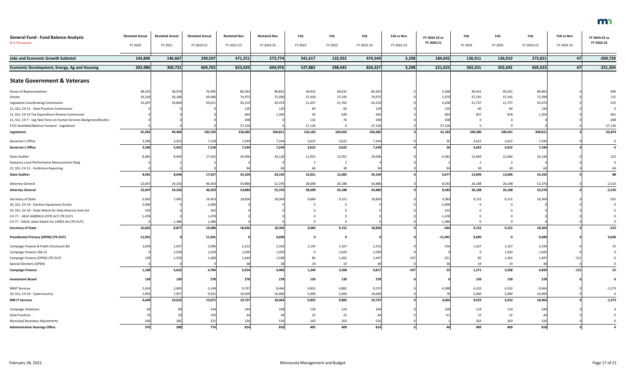| <b>General Fund - Fund Balance Analysis</b>                        | <b>Restated Actual</b> | <b>Restated Actual</b> | <b>Restated Actual</b> | <b>Restated Nov</b> | <b>Restated Nov</b> | Feb     | Feb     | Feb        | Feb vs Nov | FY 2022-23 vs | Feb             | Feb          | Feb        | Feb vs Nov | FY 2024-25 vs |
|--------------------------------------------------------------------|------------------------|------------------------|------------------------|---------------------|---------------------|---------|---------|------------|------------|---------------|-----------------|--------------|------------|------------|---------------|
| (\$ in Thousands)                                                  | FY 2020                | FY 2021                | FY 2020-21             | FY 2022-23          | FY 2024-25          | FY 2022 | FY 2023 | FY 2022-23 | FY 2022-23 | FY 2020-21    | FY 2024         | FY 2025      | FY 2024-25 | FY 2024-25 | FY 2022-23    |
| <b>Jobs and Economic Growth Subtotal</b>                           | 143,840                | 146,667                | 290,507                | 471,251             | 273,774             | 341,617 | 132,932 | 474,549    | 3,298      | 184,042       | 136,911         | 136,910      | 273,821    | 47         | $-200,728$    |
| <b>Economic Development, Energy, Ag and Housing</b>                | 303,980                | 300,722                | 604,702                | 823,029             | 604,976             | 527,882 | 298,445 | 826,327    | 3,298      | 221,625       | 302,331         | 302,692      | 605,023    | 47         | $-221,304$    |
| <b>State Government &amp; Veterans</b>                             |                        |                        |                        |                     |                     |         |         |            |            |               |                 |              |            |            |               |
| House of Representatives                                           | 38,525                 | 38,470                 | 76,995                 | 80,363              | 80,862              | 39,932  | 40,431  | 80,363     |            | 3,368         | 40,431          | 40,431       | 80,86      |            | 499           |
| Senate                                                             | 33,310                 | 36,186                 | 69,496                 | 74,975              | 75,090              | 37,430  | 37,545  | 74,975     |            | 5,479         | 37,545          | 37,545       | 75,090     |            | 115           |
| Legislative Coordinating Commission                                | 19,207                 | 19,804                 | 39,011                 | 43,219              | 43,474              | 21,457  | 21,762  | 43,219     |            | 4,208         | 21,737          | 21,737       | 43,474     |            | 255           |
| 21, SS1, CH 11 - Data Practices Commission                         |                        |                        |                        |                     |                     | 60      | 60      | 120        |            | 120           | 60              | 60           |            |            |               |
| 21, SS1, CH 14 Tax Expenditure Review Commission                   |                        |                        |                        |                     | 1.265               | 36      | 628     |            |            |               | 607             | 658          | 1,265      |            | 601           |
| 21, SS1, CH 7 - Leg Task Force on Human Services BackgroundStudies |                        |                        |                        | 20                  |                     | 132     | 76      | 208        |            | 208           | -0              |              |            |            | $-208$        |
| FY21 Available/Balance Forward - Legislature                       |                        |                        |                        | 27,136              |                     | 27,136  |         | 27,136     |            | 27,136        | $\Omega$        |              |            |            | $-27,136$     |
| Legislature                                                        | 91,042                 | 94,460                 | 185,502                | 226,685             | 200,811             | 126,183 | 100,502 | 226,685    |            | 41,183        | 100,380         | 100,431      | 200,81     |            | $-25,874$     |
| Governor's Office                                                  | 3,296                  | 3,922                  | 7,218                  | 7,244               | 7,244               | 3,622   | 3,622   | 7,244      |            |               | 3,622           | 3,622        | 7,244      |            |               |
| <b>Governor's Office</b>                                           | 3,296                  | 3,922                  | 7,218                  | 7,244               | 7,244               | 3,622   | 3,622   | 7,244      |            |               | 3,622           | 3,622        | 7,244      |            |               |
| <b>State Auditor</b>                                               | 8,481                  | 8,944                  | 17,425                 | 24,006              | 24,128              | 11,955  | 12,051  | 24,006     |            | 6,581         | 12,064          | 12,064       | 24,128     |            | 122           |
| <b>Statutory Local Performance Measurement Rptg</b>                |                        |                        |                        |                     |                     |         |         |            |            |               |                 |              |            |            |               |
| 21, SS1, CH 11 - Forfeiture Reporting                              |                        |                        |                        |                     |                     | 64      | 30      |            |            |               | 30 <sup>°</sup> | 30           |            |            | $-34$         |
| <b>State Auditor</b>                                               | 8,481                  | 8,946                  | 17,427                 | 24,104              | 24,192              | 12,021  | 12,083  | 24,104     |            | 6,677         | 12,096          | 12,096       | 24,192     |            | 88            |
| <b>Attorney General</b>                                            | 22,047                 | 24,256                 | 46,303                 | 54,886              | 52,376              | 28,698  | 26,188  | 54,886     |            | 8,583         | 26,188          | 26,188       | 52,376     |            | $-2,510$      |
| <b>Attorney General</b>                                            | 22,047                 | 24,256                 | 46,303                 | 54,886              | 52,376              | 28,698  | 26,188  | 54,886     |            | 8,583         | 26,188          | 26,188       | 52,376     |            | $-2,510$      |
| Secretary of State                                                 | 6,962                  | 7,491                  | 14,453                 | 18,836              | 18,304              | 9,684   | 9,152   | 18,836     |            | 4,383         | 9,152           | 9,152        | 18,304     |            | $-532$        |
| 19, SS1, CH 10 - Election Equipment Grants                         | 2,000                  |                        | 2,000                  |                     |                     |         |         |            |            | $-2,000$      | $\Omega$        |              |            |            |               |
| 19, SS1, CH 10 - State Match for Help America Vote Act             | 163                    |                        | 163                    |                     |                     |         |         |            |            | $-163$        |                 |              |            |            |               |
| CH 77 - HELP AMERICA VOTE ACT (TR OUT)                             | 1,478                  |                        | 1,478                  |                     |                     |         |         |            |            | $-1,478$      |                 |              |            |            |               |
| CH 77 - HAVA, State Match for CARES Act (TR OUT)                   |                        | 1,386                  | 1,386                  |                     |                     |         |         |            |            | $-1,386$      | $\Omega$        | $\Omega$     |            |            |               |
| <b>Secretary of State</b>                                          | 10,603                 | 8,877                  | 19,480                 | 18,836              | 18,304              | 9,684   | 9,152   | 18,836     |            | $-644$        | 9,152           | 9,152        | 18,304     |            | $-532$        |
| <b>Presidential Primary (OPEN) (TR OUT)</b>                        | 11,941                 |                        | 11,941                 |                     | 9,690               |         |         |            |            | $-11,941$     | 9,690           | <sup>0</sup> | 9,690      |            | 9,690         |
| Campaign Finance & Public Disclosure Bd                            | 1,059                  | 1,037                  | 2,096                  | 2,312               | 2,334               | 1,145   | 1,167   | 2,312      |            |               | 1,167           | 1,167        | 2,334      |            |               |
| Campaign Finance 10A.31                                            |                        | 1,020                  | 1,020                  | 1,020               | 1,020               |         | 1,020   | 1,020      |            |               | 0               | 1,020        | 1,020      |            |               |
| Campaign Finance (OPEN) (TR OUT)                                   | 109                    | 1,559                  | 1,668                  | 1,644               | 1,568               | 85      | 1,362   | 1,447      | -197       | $-221$        | 85              | 1,362        | 1,44       | $-121$     |               |
| <b>Special Elections (OPEN)</b>                                    |                        |                        |                        |                     |                     | 19      | 19      |            |            |               | 19              | 19           |            |            |               |
| <b>Campaign Finance</b>                                            | 1,168                  | 3,616                  | 4,784                  | 5,014               | 4,960               | 1,249   | 3,568   | 4,817      | $-197$     | 33            | 1,271           | 3,568        | 4,839      | $-121$     | 22            |
| <b>Investment Board</b>                                            | 139                    | 139                    | 278                    | 278                 | 278                 | 139     | 139     | 278        |            |               | 139             | 139          | 278        |            |               |
| <b>MNIT Services</b>                                               | 2,454                  | 2,695                  | 5,149                  | 9,737               | 8,464               | 4,855   | 4,882   | 9,737      |            | 4,588         | 4,232           | 4,232        | 8,464      |            | $-1,273$      |
| 19, SS1, CH 10 - Cybersecurity                                     | 1,995                  | 7,927                  | 9,922                  | 10,000              | 10,000              | 5,000   | 5,000   | 10,000     |            |               | 5,000           | 5,000        | 10,000     |            | 0             |
| <b>MN-IT Services</b>                                              | 4,449                  | 10,622                 | 15,071                 | 19,737              | 18,464              | 9,855   | 9,882   | 19,737     |            | 4,666         | 9,232           | 9,232        | 18,464     |            | $-1,273$      |
| <b>Campaign Violations</b>                                         |                        |                        | 144                    | 244                 | 248                 | 120     | 124     | 244        |            | 100           | 124             | 124          |            |            |               |
| Data Practices                                                     |                        |                        | 105                    |                     |                     | 22      | 22      |            |            |               | 22              | 22           |            |            |               |
| Municipal Boundary Adjustments                                     | 240                    | 285                    | 525                    | 52                  |                     | 263     | 263     | 526        |            |               | 263             | 263          |            |            |               |
| <b>Administrative Hearings Office</b>                              | 376                    | 398                    | 774                    | 814                 | 818                 | 405     | 409     | 814        |            | 40            | 409             | 409          | 818        |            |               |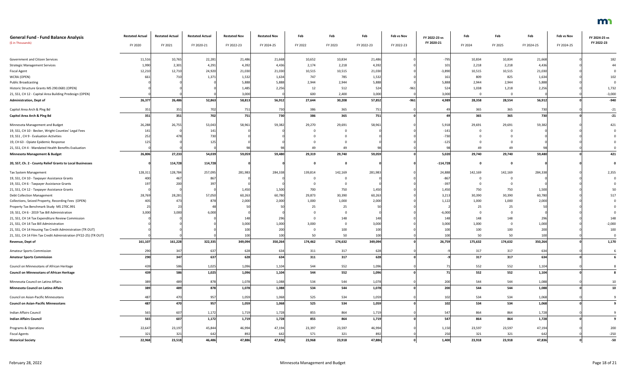| <b>General Fund - Fund Balance Analysis</b>                      | <b>Restated Actual</b> | <b>Restated Actual</b> | <b>Restated Actual</b> | <b>Restated Nov</b> | <b>Restated Nov</b> | Feb     | Feb     | Feb        | Feb vs Nov | FY 2022-23 vs | Feb         | Feb     | Feb        | Feb vs Nov | FY 2024-25 vs |
|------------------------------------------------------------------|------------------------|------------------------|------------------------|---------------------|---------------------|---------|---------|------------|------------|---------------|-------------|---------|------------|------------|---------------|
| (\$ in Thousands)                                                | FY 2020                | FY 2021                | FY 2020-21             | FY 2022-23          | FY 2024-25          | FY 2022 | FY 2023 | FY 2022-23 | FY 2022-23 | FY 2020-21    | FY 2024     | FY 2025 | FY 2024-25 | FY 2024-25 | FY 2022-23    |
| Government and Citizen Services                                  | 11,516                 | 10,765                 | 22,281                 | 21,486              | 21,668              | 10,652  | 10,834  | 21,486     |            | $-795$        | 10,834      | 10,834  | 21,668     |            | 182           |
| <b>Strategic Management Services</b>                             | 1,990                  | 2,301                  | 4,291                  | 4,392               | 4,436               | 2,174   | 2,218   | 4,392      |            | 101           | 2,218       | 2,218   | 4,436      |            |               |
| <b>Fiscal Agent</b>                                              | 12,210                 | 12,71                  | 24,920                 | 21,030              | 21,030              | 10,515  | 10,515  | 21,030     |            | $-3,890$      | 10,515      | 10,515  | 21,030     |            |               |
| WCRA (OPEN)                                                      | 66                     |                        | 1,371                  | 1,532               | 1,634               | 747     | 785     | 1,532      |            | 161           | 809         | 825     | 1,634      |            | 102           |
| <b>Public Broadcasting</b>                                       |                        |                        |                        | 5,888               | 5,888               | 2,944   | 2,944   | 5,888      |            | 5,888         | 2,944       | 2,944   | 5,888      |            |               |
| Historic Structure Grants MS 290.0681 (OPEN)                     |                        |                        |                        | 1,485               | 2,256               | 12      | 512     | 524        | $-962$     | 524           | 1,038       | 1,218   | 2,256      |            | 1,732         |
| 21, SS1, CH 12 - Capital Area Building Predesign (OPEN)          |                        |                        |                        | 3,000               |                     | 600     | 2,400   | 3,000      |            | 3,000         | $\mathbf 0$ |         |            |            | $-3,000$      |
| <b>Administration, Dept of</b>                                   | 26,377                 | 26,486                 | 52,863                 | 58,813              | 56,912              | 27,644  | 30,208  | 57,852     | $-961$     | 4,989         | 28,358      | 28,554  | 56,912     |            | $-940$        |
| Capitol Area Arch & Plng Bd                                      | 351                    | 35                     | 702                    | 751                 | 730                 | 386     | 365     | 751        |            |               | 365         | 365     | 730        |            | $-21$         |
| Capitol Area Arch & Ping Bd                                      | 351                    | 351                    | 702                    | 751                 | 730                 | 386     | 365     | 751        |            |               | 365         | 365     | 730        |            | $-21$         |
| Minnesota Management and Budget                                  | 26,288                 | 26,75                  | 53,043                 | 58,961              | 59,382              | 29,270  | 29,691  | 58,961     |            | 5,918         | 29,691      | 29,691  | 59,382     |            | 421           |
| 19, SS1, CH 10 - Becker, Wright Counties' Legal Fees             | 141                    |                        | 141                    |                     |                     |         |         |            |            | -141          |             |         |            |            |               |
| 19, SS1, CH 9 - Evaluation Activities                            | 252                    |                        | 730                    |                     |                     |         |         |            |            | $-730$        |             |         |            |            |               |
| 19, CH 63 - Opiate Epidemic Response                             | 125                    |                        | 12 <sup>5</sup>        |                     |                     |         |         |            |            | $-125$        |             |         |            |            |               |
| 21, SS1, CH 4 - Mandated Health Benefits Evaluation              |                        |                        |                        |                     |                     |         |         |            |            |               | 49          | 49      |            |            |               |
| <b>Minnesota Management &amp; Budget</b>                         | 26,806                 | 27,233                 | 54,039                 | 59,059              | 59,480              | 29,319  | 29,740  | 59,059     |            | 5,020         | 29,740      | 29,740  | 59,480     |            | 421           |
| 20, SS7, Ch. 2 - County Relief Grants to Local Businesses        |                        | 114,728                | 114,728                |                     |                     |         |         |            |            | $-114,728$    | $\mathbf 0$ |         |            |            |               |
| Tax System Management                                            | 128,31                 | 128,784                | 257,095                | 281,983             | 284,338             | 139,814 | 142,169 | 281,983    |            | 24,888        | 142,169     | 142,169 | 284,338    |            | 2,355         |
| 19, SS1, CH 10 - Taxpayer Assistance Grants                      | 400                    |                        | 867                    |                     |                     |         |         |            |            | $-867$        |             |         |            |            |               |
| 19, SS1, CH 6 - Taxpayer Assistance Grants                       | 19                     |                        | 39                     |                     |                     |         |         |            |            | -397          | $\Omega$    |         |            |            |               |
| 21, SS1, CH 12 - Taxpayer Assistance Grants                      |                        |                        |                        | 1,450               | 1,500               | 700     | 750     | 1,450      |            | 1,450         | 750         | 750     | 1,500      |            |               |
| <b>Debt Collection Management</b>                                | 28,769                 | 28,281                 | 57,050                 | 60,263              | 60,780              | 29,873  | 30,390  | 60,263     |            | 3,213         | 30,390      | 30,390  | 60,780     |            |               |
| Collections, Seized Property, Recording Fees (OPEN)              |                        |                        |                        | 2,000               | 2,000               | 1,000   | 1,000   | 2,000      |            | 1,122         | 1,000       | 1,000   | 2,000      |            |               |
| Property Tax Benchmark Study MS 270C.991                         |                        |                        |                        |                     |                     | 25      | 25      |            |            |               | 25          |         |            |            |               |
| 19, SS1, CH 6 - 2019 Tax Bill Administration                     | 3,000                  | 3,000                  | 6,000                  |                     |                     |         |         |            |            | $-6,000$      |             |         |            |            |               |
| 21, SS1, CH 14 Tax Expenditure Review Commission                 |                        |                        |                        |                     | 296                 |         | 148     |            |            | 148           | 148         | 148     | 296        |            | 148           |
| 21, SS1, CH 14 Tax Bill Administration                           |                        |                        |                        | 3,000               | 1,000               | 3,000   |         | 3,000      |            | 3,000         | 1,000       |         | 1,000      |            | $-2,000$      |
| 21, SS1, CH 14 Housing Tax Credit Administration (TR OUT)        |                        |                        |                        | 100                 | 200                 |         | 100     | 100        |            | 100           | 100         | 100     | 200        |            | 100           |
| 21, SS1, CH 14 Film Tax Credit Administration (FY22-25) (TR OUT) |                        |                        |                        |                     | 100                 | 50      | 50      | 100        |            | 100           | 50          | 50      |            |            |               |
| Revenue, Dept of                                                 | 161,107                | 161,228                | 322,335                | 349,094             | 350,264             | 174,462 | 174,632 | 349,094    |            | 26,759        | 175,632     | 174,632 | 350,264    |            | 1,170         |
| <b>Amateur Sports Commission</b>                                 | 290                    | 34                     | 637                    | 628                 | 634                 | 311     | 317     | 628        |            |               | 317         | 317     | 634        |            |               |
| <b>Amateur Sports Commission</b>                                 | 290                    | 347                    | 637                    | 628                 | 634                 | 311     | 317     | 628        |            |               | 317         | 317     | 634        |            |               |
| Council on Minnesotans of African Heritage                       | 439                    | 586                    | 1,025                  | 1,096               | 1,104               | 544     | 552     | 1,096      |            |               | 552         | 552     | 1,104      |            |               |
| <b>Council on Minnesotans of African Heritage</b>                | 439                    | 586                    | 1,025                  | 1,096               | 1,104               | 544     | 552     | 1,096      |            | 71            | 552         | 552     | 1,104      |            |               |
| Minnesota Council on Latino Affairs                              | 389                    |                        | 878                    | 1,078               | 1,088               | 534     | 544     | 1,078      |            | 200           | 544         | 544     | 1,088      |            | 10            |
| Minnesota Council on Latino Affairs                              | 389                    | 489                    | 878                    | 1,078               | 1,088               | 534     | 544     | 1,078      |            | 200           | 544         | 544     | 1,088      |            | 10            |
| Council on Asian-Pacific Minnesotans                             | 487                    | 47                     | 957                    | 1,059               | 1,068               | 525     | 534     | 1,059      |            | 102           | 534         | 534     | 1,068      |            |               |
| <b>Council on Asian-Pacific Minnesotans</b>                      | 487                    | 470                    | 957                    | 1,059               | 1,068               | 525     | 534     | 1,059      |            | 102           | 534         | 534     | 1,068      |            |               |
| Indian Affairs Council                                           | 565                    | 607                    | 1,172                  | 1,719               | 1,728               | 855     | 864     | 1,719      |            | 547           | 864         | 864     | 1,728      |            |               |
| <b>Indian Affairs Council</b>                                    | 565                    | 607                    | 1,172                  | 1,719               | 1,728               | 855     | 864     | 1,719      |            | 547           | 864         | 864     | 1,728      |            |               |
| Programs & Operations                                            | 22,647                 | 23,19                  | 45,844                 | 46,994              | 47,194              | 23,397  | 23,597  | 46,994     |            | 1,150         | 23,597      | 23,597  | 47,194     |            | 200           |
| <b>Fiscal Agents</b>                                             | 321                    | 321                    | 642                    | 892                 | 642                 | 571     | 321     | 892        |            | 250           | 321         | 321     | 642        |            | $-250$        |
| <b>Historical Society</b>                                        | 22,968                 | 23,518                 | 46,486                 | 47,886              | 47,836              | 23,968  | 23,918  | 47,886     |            | 1,400         | 23,918      | 23,918  | 47,836     |            | $-50$         |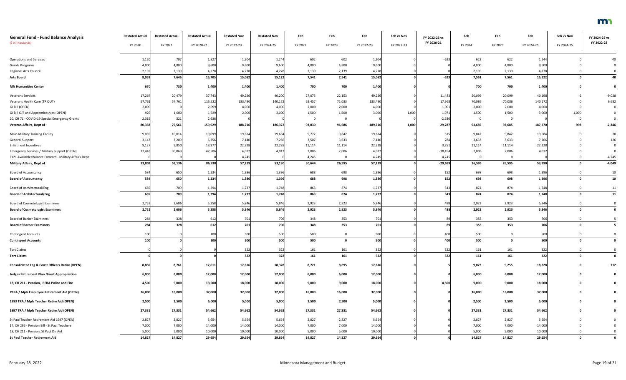| <b>General Fund - Fund Balance Analysis</b>                | <b>Restated Actual</b> | <b>Restated Actual</b> | <b>Restated Actual</b> | <b>Restated Nov</b> | <b>Restated Nov</b> | Feb     | Feb         | Feb        | Feb vs Nov | FY 2022-23 vs | Feb      | Feb         | Feb        | Feb vs Nov | FY 2024-25 vs |
|------------------------------------------------------------|------------------------|------------------------|------------------------|---------------------|---------------------|---------|-------------|------------|------------|---------------|----------|-------------|------------|------------|---------------|
| (\$ in Thousands)                                          | FY 2020                | FY 2021                | FY 2020-21             | FY 2022-23          | FY 2024-25          | FY 2022 | FY 2023     | FY 2022-23 | FY 2022-23 | FY 2020-21    | FY 2024  | FY 2025     | FY 2024-25 | FY 2024-25 | FY 2022-23    |
| <b>Operations and Services</b>                             | 1,120                  | 707                    | 1,827                  | 1,204               | 1,244               | 602     | 602         | 1,204      |            | $-623$        | 622      | 622         | 1,244      |            |               |
| <b>Grants Programs</b>                                     | 4,800                  | 4,800                  | 9,600                  | 9,600               | 9,600               | 4,800   | 4,800       | 9,600      |            |               | 4,800    | 4,800       | 9,600      |            |               |
| Regional Arts Council                                      | 2,139                  | 2,13                   | 4,278                  | 4,278               | 4,278               | 2,139   | 2,139       | 4,278      |            |               | 2,139    | 2,139       | 4,278      |            |               |
| <b>Arts Board</b>                                          | 8,059                  | 7,646                  | 15,705                 | 15,082              | 15,122              | 7,541   | 7,541       | 15,082     |            | $-623$        | 7,561    | 7,561       | 15,122     |            | 40            |
| <b>MN Humanities Center</b>                                | 670                    | 730                    | 1,400                  | 1,400               | 1,400               | 700     | 700         | 1,400      |            |               | 700      | 700         | 1,400      |            |               |
| <b>Veterans Services</b>                                   | 17,264                 | 20,479                 | 37,743                 | 49,226              | 40,200              | 27,073  | 22,153      | 49,226     |            | 11,483        | 20,099   | 20,099      | 40,198     |            | $-9,028$      |
| Veterans Health Care (TR OUT)                              | 57,761                 | 57,761                 | 115,522                | 133,490             | 140,172             | 62,457  | 71,033      | 133,490    |            | 17,968        | 70,086   | 70,086      | 140,172    |            | 6,682         |
| GI Bill (OPEN)                                             | 2,099                  |                        | 2,099                  | 4,000               | 4,000               | 2,000   | 2,000       | 4,000      |            | 1,901         | 2,000    | 2,000       | 4,000      |            |               |
| GI Bill OJT and Apprenticeships (OPEN)                     | 929                    | 1,000                  | 1,929                  | 2,000               | 2,000               | 1,500   | 1,500       | 3,000      | 1,000      | 1,071         | 1,500    | 1,500       | 3,000      | 1,000      |               |
| 20, CH 71 - COVID-19 Special Emergency Grants              | 2,315                  | 321                    | 2,636                  |                     |                     | റ       | 0           |            |            | $-2,636$      | $\Omega$ | $\Omega$    |            |            |               |
| Veteran Affairs, Dept of                                   | 80,368                 | 79,561                 | 159,929                | 188,716             | 186,372             | 93,030  | 96,686      | 189,716    | 1,000      | 29,787        | 93,685   | 93,685      | 187,370    | 998        | $-2,346$      |
| Main-Military Training Facility                            | 9,085                  | 10,014                 | 19,099                 | 19,614              | 19,684              | 9,772   | 9,842       | 19,614     |            | 515           | 9,842    | 9,842       | 19,684     |            | 70            |
| <b>General Support</b>                                     | 3,147                  | 3,209                  | 6,356                  | 7,140               | 7,266               | 3,507   | 3,633       | 7,140      |            | 784           | 3,633    | 3,633       | 7,266      |            | 126           |
| <b>Enlistment Incentives</b>                               | 9,127                  | 9,850                  | 18,977                 | 22,228              | 22,228              | 11,114  | 11,114      | 22,228     |            | 3,251         | 11,114   | 11,114      | 22,228     |            |               |
| <b>Emergency Services / Military Support (OPEN)</b>        | 12,443                 | 30,063                 | 42,506                 | 4,012               | 4,012               | 2,006   | 2,006       | 4,012      |            | $-38,494$     | 2,006    | 2,006       | 4,01       |            |               |
| FY21 Available/Balance Forward - Military Affairs Dept     |                        |                        |                        | 4,245               |                     | 4,245   | $\Omega$    | 4,245      |            | 4,245         |          | $\Omega$    |            |            | $-4,245$      |
| <b>Military Affairs, Dept of</b>                           | 33,802                 | 53,136                 | 86,938                 | 57,239              | 53,190              | 30,644  | 26,595      | 57,239     |            | $-29,699$     | 26,595   | 26,595      | 53,190     |            | $-4,049$      |
| <b>Board of Accountancy</b>                                | 584                    | 650                    | 1,234                  | 1,386               | 1,396               | 688     | 698         | 1,386      |            | 152           | 698      | 698         | 1,396      |            | $10\,$        |
| <b>Board of Accountancy</b>                                | 584                    | 650                    | 1,234                  | 1,386               | 1,396               | 688     | 698         | 1,386      |            | 152           | 698      | 698         | 1,396      |            | ${\bf 10}$    |
| <b>Board of Architectural/Eng</b>                          | 685                    | 70 <sup>c</sup>        | 1,394                  | 1,737               | 1,748               | 863     | 874         | 1,737      |            | 343           | 874      | 874         | 1,748      |            | 11            |
| <b>Board of Architectural/Eng</b>                          | 685                    | 709                    | 1,394                  | 1,737               | 1,748               | 863     | 874         | 1,737      |            | 343           | 874      | 874         | 1,748      |            | 11            |
| <b>Board of Cosmetologist Examiners</b>                    | 2,752                  | 2,606                  | 5,358                  | 5,846               | 5,846               | 2,923   | 2,923       | 5,846      |            | 488           | 2,923    | 2,923       | 5,846      |            |               |
| <b>Board of Cosmetologist Examiners</b>                    | 2,752                  | 2,606                  | 5,358                  | 5,846               | 5,846               | 2,923   | 2,923       | 5,846      |            |               | 2,923    | 2,923       | 5,846      |            |               |
| <b>Board of Barber Examiners</b>                           | 284                    | 328                    | 612                    | 701                 | 706                 | 348     | 353         | 701        |            | 89            | 353      | 353         | 706        |            |               |
| <b>Board of Barber Examiners</b>                           | 284                    | 328                    | 612                    | 701                 | 706                 | 348     | 353         | 701        |            |               | 353      | 353         | 706        |            |               |
| <b>Contingent Accounts</b>                                 | 100                    |                        | 100                    | 500                 | 500                 | 500     | $\mathbf 0$ | 500        |            | 400           | 500      | 0           | 500        |            |               |
| <b>Contingent Accounts</b>                                 | 100                    |                        | 100                    | 500                 | 500                 | 500     | $\mathbf 0$ | 500        |            | 400           | 500      | $\mathbf 0$ | 500        |            |               |
|                                                            |                        |                        |                        |                     |                     |         |             |            |            |               |          |             |            |            |               |
| <b>Tort Claims</b>                                         |                        |                        |                        | 322                 | 322                 | 161     | 161         | 322        |            | 322           | 161      | 161         | 32         |            |               |
| <b>Tort Claims</b>                                         |                        |                        |                        | 322                 | 322                 | 161     | 161         | 322        |            | 322           | 161      | 161         | 322        |            | $\mathbf 0$   |
| <b>Consolidated Leg &amp; Const Officers Retire (OPEN)</b> | 8,850                  | 8,761                  | 17,611                 | 17,616              | 18,328              | 8,721   | 8,895       | 17,616     |            |               | 9,073    | 9,255       | 18,328     |            | 712           |
| <b>Judges Retirement Plan Direct Appropriation</b>         | 6,000                  | 6,000                  | 12,000                 | 12,000              | 12,000              | 6,000   | 6,000       | 12,000     |            |               | 6,000    | 6,000       | 12,000     |            |               |
| 18, CH 211 - Pension, PERA Police and Fire                 | 4,500                  | 9,000                  | 13,500                 | 18,000              | 18,000              | 9,000   | 9,000       | 18,000     |            | 4,500         | 9,000    | 9,000       | 18,000     |            |               |
| PERA / Mpls Employee Retirement Aid (OPEN)                 | 16,000                 | 16,000                 | 32,000                 | 32,000              | 32,000              | 16,000  | 16,000      | 32,000     |            |               | 16,000   | 16,000      | 32,000     |            |               |
| 1993 TRA / Mpls Teacher Retire Aid (OPEN)                  | 2,500                  | 2,500                  | 5,000                  | 5,000               | 5,000               | 2,500   | 2,500       | 5,000      |            |               | 2,500    | 2,500       | 5,000      |            |               |
| 1997 TRA / Mpls Teacher Retire Aid (OPEN)                  | 27,331                 | 27,331                 | 54,662                 | 54,662              | 54,662              | 27,331  | 27,331      | 54,662     |            |               | 27,331   | 27,331      | 54,662     |            |               |
| St Paul Teacher Retirement Aid 1997 (OPEN)                 | 2,827                  | 2,827                  | 5,654                  | 5,654               | 5,654               | 2,827   | 2,827       | 5,654      |            |               | 2,827    | 2,827       | 5,654      |            |               |
| 14, CH 296 - Pension Bill - St Paul Teachers               | 7,000                  | 7,000                  | 14,000                 | 14,000              | 14,000              | 7,000   | 7,000       | 14,000     |            |               | 7,000    | 7,000       | 14,000     |            |               |
| 18, CH 211 - Pension, St Paul Dir Aid                      | 5,000                  | 5,000                  | 10,000                 | 10,000              | 10,000              | 5,000   | 5,000       | 10,000     |            |               | 5,000    | 5,000       | 10,000     |            |               |
| <b>St Paul Teacher Retirement Aid</b>                      | 14,827                 | 14,827                 | 29,654                 | 29,654              | 29,654              | 14,827  | 14,827      | 29,654     |            |               | 14,827   | 14,827      | 29,654     |            |               |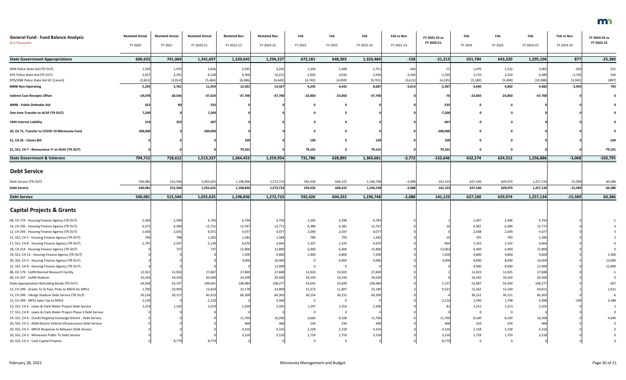| <b>General Fund - Fund Balance Analysis</b><br>(\$ in Thousands) | <b>Restated Actual</b><br>FY 2020 | <b>Restated Actual</b><br>FY 2021 | <b>Restated Actual</b><br>FY 2020-21 | <b>Restated Nov</b><br>FY 2022-23 | <b>Restated Nov</b><br>FY 2024-25 | Feb<br>FY 2022 | Feb<br>FY 2023 | Feb<br>FY 2022-23 | Feb vs Nov<br>FY 2022-23 | FY 2022-23 vs<br>FY 2020-21 | Feb<br>FY 2024 | Feb<br>FY 2025 | Feb<br>FY 2024-25 | Feb vs Nov<br>FY 2024-25 | FY 2024-25 vs<br>FY 2022-23 |
|------------------------------------------------------------------|-----------------------------------|-----------------------------------|--------------------------------------|-----------------------------------|-----------------------------------|----------------|----------------|-------------------|--------------------------|-----------------------------|----------------|----------------|-------------------|--------------------------|-----------------------------|
|                                                                  |                                   |                                   |                                      |                                   |                                   |                |                |                   |                          |                             |                |                |                   |                          |                             |
| <b>State Government Appropriations</b>                           | 600,633                           | 741,064                           | 1,341,697                            | 1,320,642                         | 1,294,227                         | 672,181        | 648,303        | 1,320,484         | $-158$                   | $-21,213$                   | 651,784        | 643,320        | 1,295,104         | 877                      | $-25,380$                   |
| DNR Police State Aid (TR OUT)                                    | 1,356                             | 1,470                             | 2,826                                | 2,935                             | 3,202                             | 1,343          | 1,408          | 2,751             | $-184$                   | $-75$                       | 1,470          | 1,532          | 3,002             | $-200$                   | 251                         |
| DPS Police State Aid (TR OUT)                                    | 3,93                              | 4,291                             | 8,228                                | 9,366                             | 10,225                            | 2,902          | 3,034          | 5,936             | $-3,430$                 | $-2,292$                    | 3,170          | 3,310          | 6,480             | $-3,74!$                 | 544                         |
| DPS/DNR Police State Aid GF [Cancel]                             | [2,652]                           | [2,814]                           | [5, 466]                             | [6,086]                           | [6, 643]                          | [4, 742]       | [4,959]        | [9,701]           | [3,615]                  | [4, 235]                    | [5, 180]       | [5,408]        | [10, 588]         | $[3,945]$                | [887]                       |
| <b>MMB Non-Operating</b>                                         | 5,293                             | 5,761                             | 11,054                               | 12,301                            | 13,427                            | 4,245          | 4,442          | 8,687             | $-3,614$                 | $-2,367$                    | 4,640          | 4,842          | 9,482             | $-3,945$                 | 795                         |
| <b>Indirect Cost Receipts Offset</b>                             | $-19,078$                         | $-28,546$                         | $-47,624$                            | $-47,700$                         | $-47,700$                         | $-23,850$      | $-23,850$      | $-47,700$         |                          | -761                        | $-23,850$      | $-23,850$      | $-47,700$         |                          |                             |
| MMB - Public Defender Aid                                        | 453                               |                                   | 533                                  |                                   |                                   |                |                |                   |                          | $-533$                      |                |                |                   |                          |                             |
| One time Transfer to HCAF (TR OUT)                               | 7,200                             |                                   | 7,200                                |                                   |                                   |                |                |                   |                          | $-7,200$                    |                |                |                   |                          |                             |
| <b>CMA Interest Liability</b>                                    | 214                               | 253                               | 467                                  |                                   |                                   |                |                |                   |                          | $-467$                      |                |                |                   |                          |                             |
| 20, CH 71, Transfer to COVID-19 Minnesota Fund                   | 200,000                           |                                   | 200,000                              |                                   |                                   |                |                |                   |                          | $-200,000$                  |                |                |                   |                          |                             |
| 21, CH 26 - Claims Bill                                          |                                   |                                   |                                      | 109                               |                                   | 109            |                | 109               |                          | 109                         |                |                |                   |                          | $-109$                      |
| 21, SS1, CH 7 - Reinsurance Tr to HCAF (TR OUT)                  |                                   |                                   |                                      | 79,101                            |                                   | 79,101         | $\mathbf{0}$   | 79,101            |                          | 79,101                      | 0              | <sup>0</sup>   |                   |                          | $-79,101$                   |
| <b>State Government &amp; Veterans</b>                           | 794,715                           | 718,612                           | 1,513,327                            | 1,364,453                         | 1,259,954                         | 731,786        | 628,895        | 1,360,681         | $-3,772$                 | $-152,646$                  | 632,574        | 624,312        | 1,256,886         | $-3,068$                 | $-103,795$                  |
|                                                                  |                                   |                                   |                                      |                                   |                                   |                |                |                   |                          |                             |                |                |                   |                          |                             |
| <b>Debt Service</b>                                              |                                   |                                   |                                      |                                   |                                   |                |                |                   |                          |                             |                |                |                   |                          |                             |
| Debt Service (TR OUT)                                            | 540,08                            | 515,544                           | 1,055,625                            | 1,198,836                         | 1,272,723                         | 592,426        | 604,322        | 1,196,748         | $-2,088$                 | 141,123                     | 627,160        | 629,974        | 1,257,134         | $-15,589$                | 60,386                      |
| <b>Debt Service</b>                                              | 540,081                           | 515,544                           | 1,055,625                            | 1,198,836                         | 1,272,723                         | 592,426        | 604,322        | 1,196,748         | $-2,088$                 | 141,123                     | 627,160        | 629,974        | 1,257,134         | $-15,589$                | 60,386                      |
| <b>Debt Service</b>                                              | 540,081                           | 515,544                           | 1,055,625                            | 1,198,836                         | 1,272,723                         | 592,426        | 604,322        | 1,196,748         | $-2,088$                 | 141,123                     | 627,160        | 629,974        | 1,257,134         | $-15,589$                | 60,386                      |
|                                                                  |                                   |                                   |                                      |                                   |                                   |                |                |                   |                          |                             |                |                |                   |                          |                             |
| <b>Capital Projects &amp; Grants</b>                             |                                   |                                   |                                      |                                   |                                   |                |                |                   |                          |                             |                |                |                   |                          |                             |
| 08, CH 179 - Housing Finance Agency (TR OUT)                     | 2,394                             | 2,399                             | 4,793                                | 4,794                             | 4,793                             | 2,395          | 2,399          | 4,794             |                          |                             | 2,397          | 2,396          | 4,79              |                          |                             |
| 14, CH 295 - Housing Finance Agency (TR OUT)                     | 6,37                              | 6,380                             | 12,751                               | 12,767                            | 12,771                            | 6,386          | 6,381          | 12,767            |                          |                             | 6,387          | 6,384          | 12,77             |                          |                             |
| 12, CH 293 - Housing Finance Agency (TR OUT)                     | 2,036                             | 2,035                             | 4,07.                                | 4,077                             | 4,077                             | 2,040          | 2,037          | 4,077             |                          |                             | 2,038          | 2,039          | 4,07              |                          |                             |
| 15, SS1, CH 5 - Housing Finance Agency (TR OUT)                  | 794                               | 798                               | 1,592                                | 1,582                             | 1,584                             | 789            | 793            | 1,582             |                          |                             | 791            | 793            | 1,584             |                          |                             |
| 17, SS1, CH 8 - Housing Finance Agency (TR OUT)                  | 2,797                             | 2,337                             | 5,134                                | 4,670                             | 4,664                             | 2,337          | 2,333          | 4,670             |                          | -464                        | 2,332          | 2,332          | 4,66              |                          |                             |
| 18, CH 214 - Housing Finance Agency (TR OUT)                     |                                   | 737                               | 737                                  | 12,800                            | 12,800                            | 6,400          | 6,400          | 12,800            |                          | 12,063                      | 6,400          | 6,400          | 12,800            |                          |                             |
| 19, SS1, CH 13 - Housing Finance Agency (TR OUT)                 |                                   |                                   |                                      | 7,200                             | 9,600                             | 2,400          | 4,800          | 7,200             |                          | 7,200                       | 4,800          | 4,800          | 9,600             |                          | 2,400                       |
| 20, SS5, CH 3 - Housing Finance Agency (TR OUT)                  |                                   |                                   |                                      | 4,000                             | 16,000                            |                | 4,000          | 4,000             |                          | 4,000                       | 8,000          | 8,000          | 16,000            |                          | 12,000                      |
| 21, SS1, CH 8 - Housing Finance Agency (TR OUT)                  |                                   |                                   |                                      |                                   | 12,000                            |                |                |                   |                          |                             | 4,000          | 8,000          | 12,000            |                          | 12,000                      |
| 08, CH 179 - UofM Biomed Research Facility                       | 13,921                            | 13,926                            | 27,847                               | 27,849                            | 27,848                            | 13,926         | 13,923         | 27,849            |                          |                             | 13,923         | 13,925         | 27,848            |                          | $-1$                        |
| 06, CH 247 - UofM Stadium                                        | 10,250                            | 10,250                            | 20,500                               | 20,500                            | 20,500                            | 10,250         | 10,250         | 20,500            |                          |                             | 10,250         | 10,250         | 20,500            |                          |                             |
| State Appropriation Refunding Bonds (TR OUT)                     | 54,934                            | 54,707                            | 109,641                              | 108,484                           | 108,277                           | 54,645         | 53,839         | 108,484           |                          | $-1,157$                    | 53,987         | 54,290         | 108,27            |                          | $-207$                      |
| 12, CH 299 - Grants To St Paul, Pmts to MSFA for MPLS            | 2,70                              | 10,959                            | 13,659                               | 23,178                            | 24,809                            | 11,373         | 11,807         | 23,180            |                          | 9,521                       | 12,262         | 12,549         | 24,81             |                          | 1,631                       |
| 12, CH 299 - Vikings Stadium Debt Service (TR OUT)               | 30,156                            | 30,157                            | 60,313                               | 60,309                            | 60,303                            | 30,154         | 30,155         | 60,309            |                          |                             | 30,152         | 30,151         | 60,30             |                          |                             |
| 12, CH 299 - MPLS Sales Tax to MSFA                              | 2,120                             |                                   | 2,120                                |                                   | 3,494                             | - 0            |                |                   |                          | $-2,120$                    | 1,590          | 1,798          | 3,388             | $-106$                   | 3,388                       |
| 15, SS1, CH 5 - Lewis & Clark Water Project Debt Service         | 1,254                             | 1,165                             | 2,419                                | 2,500                             | 2,505                             | 1,247          | 1,253          | 2,500             |                          | 81                          | 1,252          | 1,253          | 2,505             |                          |                             |
| 17, SS1, CH 8 - Lewis & Clark Water Project Phase 3 Debt Service |                                   |                                   |                                      |                                   |                                   |                |                |                   |                          |                             | -0             | $\overline{0}$ |                   |                          |                             |
| 19, SS1, CH 6 - Duluth Regional Exchange District - Debt Service |                                   |                                   |                                      | 11,760                            | 16,200                            | 3,660          | 8,100          | 11,760            |                          | 11,760                      | 8,100          | 8,100          | 16,200            |                          |                             |
| 20, SS5, CH 3 - ADM Electric Vehicle Infrastructure Debt Service |                                   |                                   |                                      | 468                               | 468                               | 234            | 234            | 468               |                          | 468                         | 234            | 234            | 46                |                          |                             |
| 20, SS5, CH 3 - MPCA Response to Releases Debt Service           |                                   |                                   |                                      | 4,316                             | 4,316                             | 2,158          | 2,158          | 4,316             |                          | 4,316                       | 2,158          | 2,158          | 4,31              |                          |                             |
| 20, SS5, CH 3 - Minnesota Public TV Debt Service                 |                                   |                                   |                                      | 3,518                             | 3,518                             | 1,759          | 1,759          | 3,518             |                          | 3,518                       | 1,759          | 1,759          | 3,51              |                          |                             |
| 20, SS5, CH 3 - Cash Capital Projects                            |                                   | 8,779                             | 8,779                                |                                   |                                   | $\Omega$       | $\Omega$       |                   |                          | $-8,779$                    | $\mathbf 0$    | $\mathbf 0$    |                   |                          |                             |
|                                                                  |                                   |                                   |                                      |                                   |                                   |                |                |                   |                          |                             |                |                |                   |                          |                             |